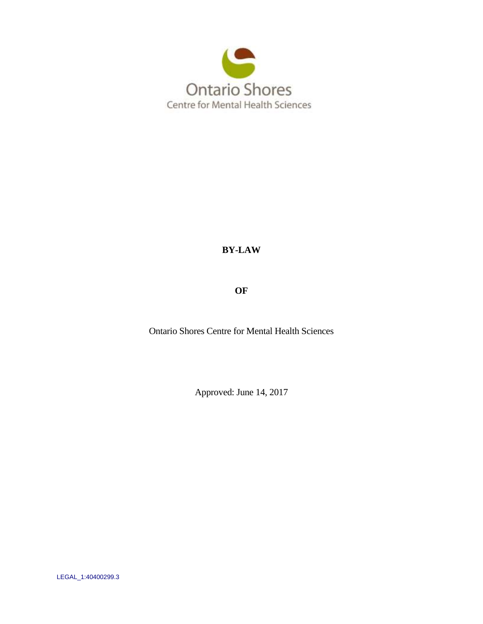

# **BY-LAW**

**OF**

Ontario Shores Centre for Mental Health Sciences

Approved: June 14, 2017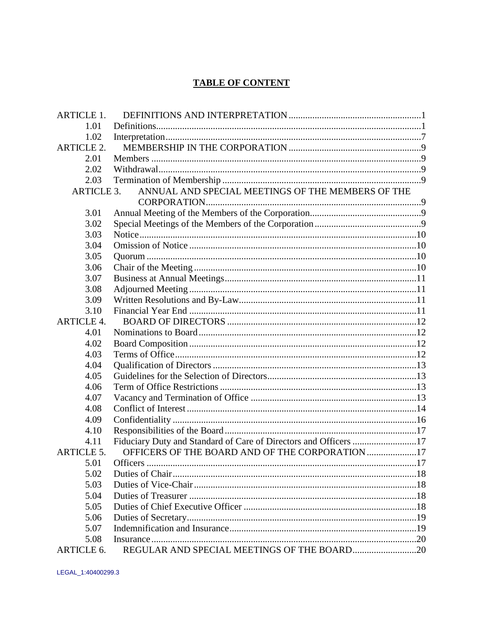# **TABLE OF CONTENT**

| <b>ARTICLE 1.</b> |                                                                  |  |
|-------------------|------------------------------------------------------------------|--|
| 1.01              |                                                                  |  |
| 1.02              |                                                                  |  |
| <b>ARTICLE 2.</b> |                                                                  |  |
| 2.01              |                                                                  |  |
| 2.02              |                                                                  |  |
| 2.03              |                                                                  |  |
| <b>ARTICLE 3.</b> | ANNUAL AND SPECIAL MEETINGS OF THE MEMBERS OF THE                |  |
|                   |                                                                  |  |
| 3.01              |                                                                  |  |
| 3.02              |                                                                  |  |
| 3.03              |                                                                  |  |
| 3.04              |                                                                  |  |
| 3.05              |                                                                  |  |
| 3.06              |                                                                  |  |
| 3.07              |                                                                  |  |
| 3.08              |                                                                  |  |
| 3.09              |                                                                  |  |
| 3.10              |                                                                  |  |
| <b>ARTICLE 4.</b> |                                                                  |  |
| 4.01              |                                                                  |  |
| 4.02              |                                                                  |  |
| 4.03              |                                                                  |  |
| 4.04              |                                                                  |  |
| 4.05              |                                                                  |  |
| 4.06              |                                                                  |  |
| 4.07              |                                                                  |  |
| 4.08              |                                                                  |  |
| 4.09              |                                                                  |  |
| 4.10              |                                                                  |  |
| 4.11              | Fiduciary Duty and Standard of Care of Directors and Officers 17 |  |
| <b>ARTICLE 5.</b> | OFFICERS OF THE BOARD AND OF THE CORPORATION 17                  |  |
| 5.01              |                                                                  |  |
| 5.02              |                                                                  |  |
| 5.03              |                                                                  |  |
| 5.04              |                                                                  |  |
| 5.05              |                                                                  |  |
| 5.06              |                                                                  |  |
| 5.07              |                                                                  |  |
| 5.08              |                                                                  |  |
| ARTICLE 6.        | REGULAR AND SPECIAL MEETINGS OF THE BOARD20                      |  |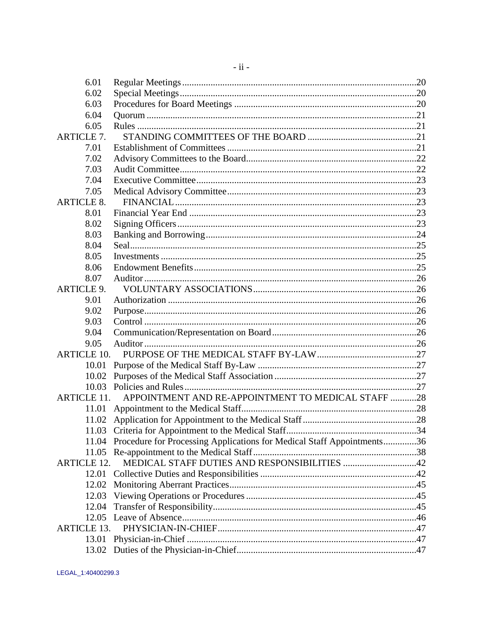| 6.01  |                                                                                                                      |                                                                                                                                                                                                                                                                      |
|-------|----------------------------------------------------------------------------------------------------------------------|----------------------------------------------------------------------------------------------------------------------------------------------------------------------------------------------------------------------------------------------------------------------|
| 6.02  |                                                                                                                      |                                                                                                                                                                                                                                                                      |
| 6.03  |                                                                                                                      |                                                                                                                                                                                                                                                                      |
| 6.04  |                                                                                                                      |                                                                                                                                                                                                                                                                      |
| 6.05  |                                                                                                                      |                                                                                                                                                                                                                                                                      |
|       |                                                                                                                      |                                                                                                                                                                                                                                                                      |
| 7.01  |                                                                                                                      |                                                                                                                                                                                                                                                                      |
| 7.02  |                                                                                                                      |                                                                                                                                                                                                                                                                      |
| 7.03  |                                                                                                                      |                                                                                                                                                                                                                                                                      |
| 7.04  |                                                                                                                      |                                                                                                                                                                                                                                                                      |
| 7.05  |                                                                                                                      |                                                                                                                                                                                                                                                                      |
|       |                                                                                                                      |                                                                                                                                                                                                                                                                      |
| 8.01  |                                                                                                                      |                                                                                                                                                                                                                                                                      |
| 8.02  |                                                                                                                      |                                                                                                                                                                                                                                                                      |
| 8.03  |                                                                                                                      |                                                                                                                                                                                                                                                                      |
|       |                                                                                                                      |                                                                                                                                                                                                                                                                      |
|       |                                                                                                                      |                                                                                                                                                                                                                                                                      |
| 8.06  |                                                                                                                      |                                                                                                                                                                                                                                                                      |
|       |                                                                                                                      |                                                                                                                                                                                                                                                                      |
|       |                                                                                                                      |                                                                                                                                                                                                                                                                      |
|       |                                                                                                                      |                                                                                                                                                                                                                                                                      |
|       |                                                                                                                      |                                                                                                                                                                                                                                                                      |
| 9.03  |                                                                                                                      |                                                                                                                                                                                                                                                                      |
| 9.04  |                                                                                                                      |                                                                                                                                                                                                                                                                      |
|       |                                                                                                                      |                                                                                                                                                                                                                                                                      |
|       |                                                                                                                      |                                                                                                                                                                                                                                                                      |
| 10.01 |                                                                                                                      |                                                                                                                                                                                                                                                                      |
| 10.02 |                                                                                                                      |                                                                                                                                                                                                                                                                      |
|       |                                                                                                                      |                                                                                                                                                                                                                                                                      |
|       |                                                                                                                      |                                                                                                                                                                                                                                                                      |
| 11.01 |                                                                                                                      |                                                                                                                                                                                                                                                                      |
|       |                                                                                                                      |                                                                                                                                                                                                                                                                      |
|       |                                                                                                                      |                                                                                                                                                                                                                                                                      |
| 11.04 |                                                                                                                      |                                                                                                                                                                                                                                                                      |
| 11.05 |                                                                                                                      |                                                                                                                                                                                                                                                                      |
|       |                                                                                                                      |                                                                                                                                                                                                                                                                      |
| 12.01 |                                                                                                                      |                                                                                                                                                                                                                                                                      |
|       |                                                                                                                      |                                                                                                                                                                                                                                                                      |
| 12.03 |                                                                                                                      |                                                                                                                                                                                                                                                                      |
| 12.04 |                                                                                                                      |                                                                                                                                                                                                                                                                      |
| 12.05 |                                                                                                                      |                                                                                                                                                                                                                                                                      |
|       |                                                                                                                      |                                                                                                                                                                                                                                                                      |
| 13.01 |                                                                                                                      |                                                                                                                                                                                                                                                                      |
| 13.02 |                                                                                                                      |                                                                                                                                                                                                                                                                      |
|       | <b>ARTICLE 7.</b><br><b>ARTICLE 8.</b><br>8.04<br>8.05<br>8.07<br><b>ARTICLE 9.</b><br>9.01<br>9.02<br>9.05<br>12.02 | <b>ARTICLE 10.</b><br>APPOINTMENT AND RE-APPOINTMENT TO MEDICAL STAFF 28<br><b>ARTICLE 11.</b><br>Procedure for Processing Applications for Medical Staff Appointments36<br>MEDICAL STAFF DUTIES AND RESPONSIBILITIES 42<br><b>ARTICLE 12.</b><br><b>ARTICLE 13.</b> |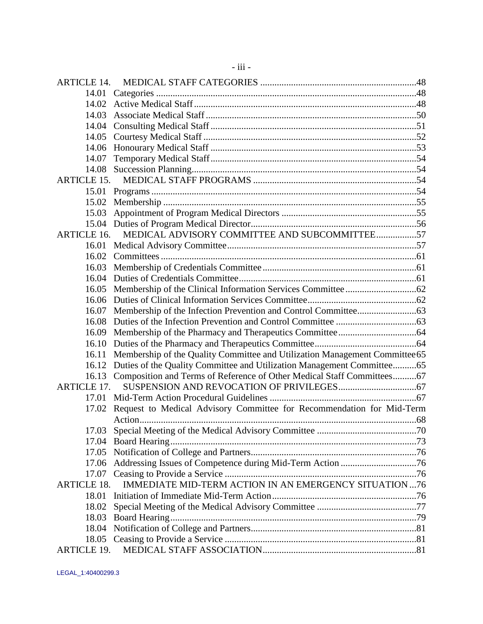| ARTICLE 14.        |                                                                                   |  |
|--------------------|-----------------------------------------------------------------------------------|--|
|                    |                                                                                   |  |
|                    |                                                                                   |  |
| 14.03              |                                                                                   |  |
|                    |                                                                                   |  |
|                    |                                                                                   |  |
| 14.06              |                                                                                   |  |
| 14.07              |                                                                                   |  |
| 14.08              |                                                                                   |  |
| <b>ARTICLE 15.</b> |                                                                                   |  |
| 15.01              |                                                                                   |  |
|                    |                                                                                   |  |
|                    |                                                                                   |  |
|                    |                                                                                   |  |
| <b>ARTICLE 16.</b> | MEDICAL ADVISORY COMMITTEE AND SUBCOMMITTEE57                                     |  |
|                    |                                                                                   |  |
| 16.02              |                                                                                   |  |
|                    |                                                                                   |  |
|                    |                                                                                   |  |
|                    |                                                                                   |  |
|                    |                                                                                   |  |
| 16.07              |                                                                                   |  |
|                    |                                                                                   |  |
| 16.09              |                                                                                   |  |
|                    |                                                                                   |  |
|                    | 16.11 Membership of the Quality Committee and Utilization Management Committee 65 |  |
| 16.12              | Duties of the Quality Committee and Utilization Management Committee65            |  |
|                    | 16.13 Composition and Terms of Reference of Other Medical Staff Committees67      |  |
| <b>ARTICLE 17.</b> |                                                                                   |  |
|                    |                                                                                   |  |
| 17.02              | Request to Medical Advisory Committee for Recommendation for Mid-Term             |  |
|                    |                                                                                   |  |
|                    |                                                                                   |  |
| 17.04              |                                                                                   |  |
|                    |                                                                                   |  |
|                    |                                                                                   |  |
|                    |                                                                                   |  |
| <b>ARTICLE 18.</b> | IMMEDIATE MID-TERM ACTION IN AN EMERGENCY SITUATION  76                           |  |
| 18.01              |                                                                                   |  |
| 18.02              |                                                                                   |  |
|                    |                                                                                   |  |
|                    |                                                                                   |  |
|                    |                                                                                   |  |
| <b>ARTICLE 19.</b> |                                                                                   |  |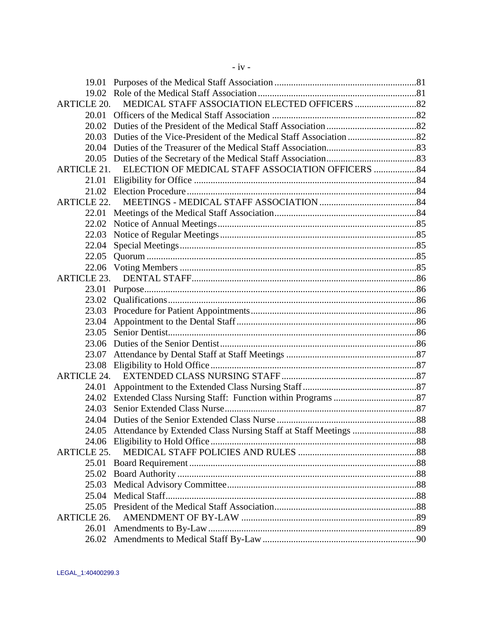| 19.01              |                                                    |  |
|--------------------|----------------------------------------------------|--|
|                    |                                                    |  |
| <b>ARTICLE 20.</b> |                                                    |  |
| 20.01              |                                                    |  |
| 20.02              |                                                    |  |
|                    |                                                    |  |
|                    |                                                    |  |
|                    |                                                    |  |
| ARTICLE 21.        | ELECTION OF MEDICAL STAFF ASSOCIATION OFFICERS  84 |  |
| 21.01              |                                                    |  |
|                    |                                                    |  |
| <b>ARTICLE 22.</b> |                                                    |  |
|                    |                                                    |  |
| 22.02              |                                                    |  |
| 22.03              |                                                    |  |
| 22.04              |                                                    |  |
| 22.05              |                                                    |  |
| 22.06              |                                                    |  |
| ARTICLE 23.        |                                                    |  |
|                    |                                                    |  |
| 23.02              |                                                    |  |
| 23.03              |                                                    |  |
| 23.04              |                                                    |  |
| 23.05              |                                                    |  |
| 23.06              |                                                    |  |
| 23.07              |                                                    |  |
|                    |                                                    |  |
| <b>ARTICLE 24.</b> |                                                    |  |
| 24.01              |                                                    |  |
|                    |                                                    |  |
| 24.03              |                                                    |  |
| 24.04              |                                                    |  |
|                    |                                                    |  |
|                    |                                                    |  |
| <b>ARTICLE 25.</b> |                                                    |  |
|                    |                                                    |  |
|                    |                                                    |  |
| 25.03              |                                                    |  |
| 25.04              |                                                    |  |
|                    |                                                    |  |
| <b>ARTICLE 26.</b> |                                                    |  |
| 26.01              |                                                    |  |
|                    |                                                    |  |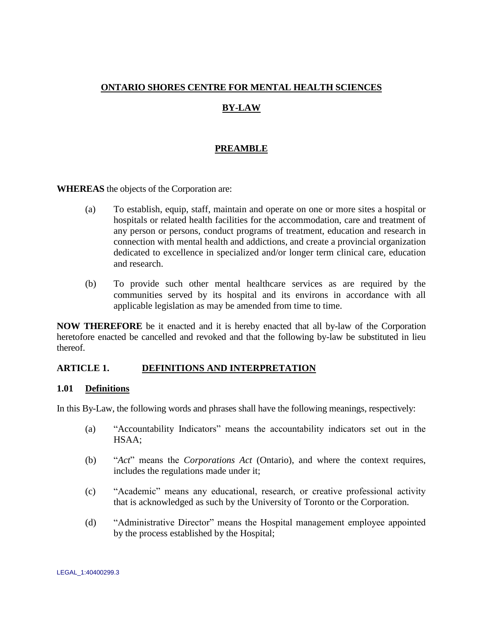## **ONTARIO SHORES CENTRE FOR MENTAL HEALTH SCIENCES**

# **BY-LAW**

## **PREAMBLE**

**WHEREAS** the objects of the Corporation are:

- (a) To establish, equip, staff, maintain and operate on one or more sites a hospital or hospitals or related health facilities for the accommodation, care and treatment of any person or persons, conduct programs of treatment, education and research in connection with mental health and addictions, and create a provincial organization dedicated to excellence in specialized and/or longer term clinical care, education and research.
- (b) To provide such other mental healthcare services as are required by the communities served by its hospital and its environs in accordance with all applicable legislation as may be amended from time to time.

**NOW THEREFORE** be it enacted and it is hereby enacted that all by-law of the Corporation heretofore enacted be cancelled and revoked and that the following by-law be substituted in lieu thereof.

## <span id="page-5-0"></span>**ARTICLE 1. DEFINITIONS AND INTERPRETATION**

### <span id="page-5-1"></span>**1.01 Definitions**

In this By-Law, the following words and phrases shall have the following meanings, respectively:

- (a) "Accountability Indicators" means the accountability indicators set out in the HSAA;
- (b) "*Act*" means the *Corporations Act* (Ontario), and where the context requires, includes the regulations made under it;
- (c) "Academic" means any educational, research, or creative professional activity that is acknowledged as such by the University of Toronto or the Corporation.
- (d) "Administrative Director" means the Hospital management employee appointed by the process established by the Hospital;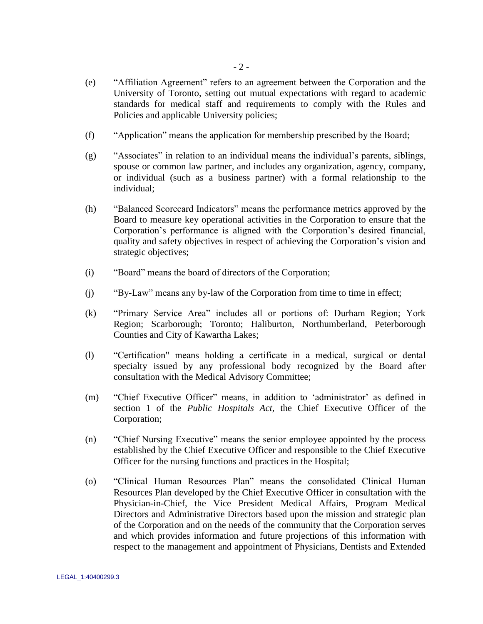- (e) "Affiliation Agreement" refers to an agreement between the Corporation and the University of Toronto, setting out mutual expectations with regard to academic standards for medical staff and requirements to comply with the Rules and Policies and applicable University policies;
- (f) "Application" means the application for membership prescribed by the Board;
- (g) "Associates" in relation to an individual means the individual"s parents, siblings, spouse or common law partner, and includes any organization, agency, company, or individual (such as a business partner) with a formal relationship to the individual;
- (h) "Balanced Scorecard Indicators" means the performance metrics approved by the Board to measure key operational activities in the Corporation to ensure that the Corporation"s performance is aligned with the Corporation"s desired financial, quality and safety objectives in respect of achieving the Corporation"s vision and strategic objectives;
- (i) "Board" means the board of directors of the Corporation;
- (j) "By-Law" means any by-law of the Corporation from time to time in effect;
- (k) "Primary Service Area" includes all or portions of: Durham Region; York Region; Scarborough; Toronto; Haliburton, Northumberland, Peterborough Counties and City of Kawartha Lakes;
- (l) "Certification" means holding a certificate in a medical, surgical or dental specialty issued by any professional body recognized by the Board after consultation with the Medical Advisory Committee;
- (m) "Chief Executive Officer" means, in addition to "administrator" as defined in section 1 of the *Public Hospitals Act*, the Chief Executive Officer of the Corporation;
- (n) "Chief Nursing Executive" means the senior employee appointed by the process established by the Chief Executive Officer and responsible to the Chief Executive Officer for the nursing functions and practices in the Hospital;
- (o) "Clinical Human Resources Plan" means the consolidated Clinical Human Resources Plan developed by the Chief Executive Officer in consultation with the Physician-in-Chief, the Vice President Medical Affairs, Program Medical Directors and Administrative Directors based upon the mission and strategic plan of the Corporation and on the needs of the community that the Corporation serves and which provides information and future projections of this information with respect to the management and appointment of Physicians, Dentists and Extended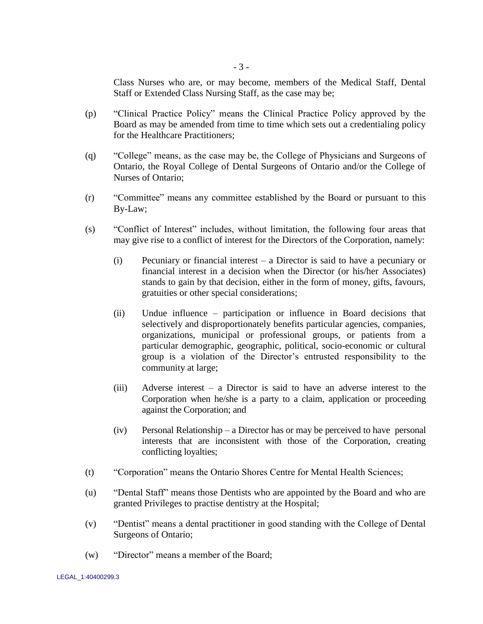Class Nurses who are, or may become, members of the Medical Staff, Dental Staff or Extended Class Nursing Staff, as the case may be;

- (p) "Clinical Practice Policy" means the Clinical Practice Policy approved by the Board as may be amended from time to time which sets out a credentialing policy for the Healthcare Practitioners;
- (q) "College" means, as the case may be, the College of Physicians and Surgeons of Ontario, the Royal College of Dental Surgeons of Ontario and/or the College of Nurses of Ontario;
- (r) "Committee" means any committee established by the Board or pursuant to this By-Law;
- (s) "Conflict of Interest" includes, without limitation, the following four areas that may give rise to a conflict of interest for the Directors of the Corporation, namely:
	- (i) Pecuniary or financial interest a Director is said to have a pecuniary or financial interest in a decision when the Director (or his/her Associates) stands to gain by that decision, either in the form of money, gifts, favours, gratuities or other special considerations;
	- (ii) Undue influence participation or influence in Board decisions that selectively and disproportionately benefits particular agencies, companies, organizations, municipal or professional groups, or patients from a particular demographic, geographic, political, socio-economic or cultural group is a violation of the Director"s entrusted responsibility to the community at large;
	- (iii) Adverse interest a Director is said to have an adverse interest to the Corporation when he/she is a party to a claim, application or proceeding against the Corporation; and
	- (iv) Personal Relationship a Director has or may be perceived to have personal interests that are inconsistent with those of the Corporation, creating conflicting loyalties;
- (t) "Corporation" means the Ontario Shores Centre for Mental Health Sciences;
- (u) "Dental Staff" means those Dentists who are appointed by the Board and who are granted Privileges to practise dentistry at the Hospital;
- (v) "Dentist" means a dental practitioner in good standing with the College of Dental Surgeons of Ontario;
- (w) "Director" means a member of the Board;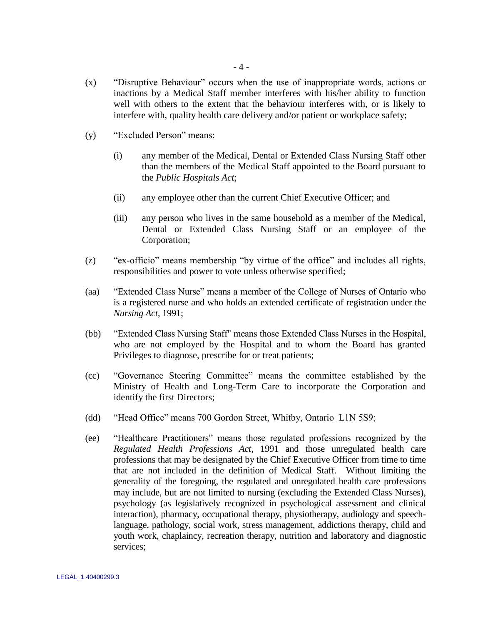- (x) "Disruptive Behaviour" occurs when the use of inappropriate words, actions or inactions by a Medical Staff member interferes with his/her ability to function well with others to the extent that the behaviour interferes with, or is likely to interfere with, quality health care delivery and/or patient or workplace safety;
- (y) "Excluded Person" means:
	- (i) any member of the Medical, Dental or Extended Class Nursing Staff other than the members of the Medical Staff appointed to the Board pursuant to the *Public Hospitals Act*;
	- (ii) any employee other than the current Chief Executive Officer; and
	- (iii) any person who lives in the same household as a member of the Medical, Dental or Extended Class Nursing Staff or an employee of the Corporation;
- (z) "ex-officio" means membership "by virtue of the office" and includes all rights, responsibilities and power to vote unless otherwise specified;
- (aa) "Extended Class Nurse" means a member of the College of Nurses of Ontario who is a registered nurse and who holds an extended certificate of registration under the *Nursing Act*, 1991;
- (bb) "Extended Class Nursing Staff" means those Extended Class Nurses in the Hospital, who are not employed by the Hospital and to whom the Board has granted Privileges to diagnose, prescribe for or treat patients;
- (cc) "Governance Steering Committee" means the committee established by the Ministry of Health and Long-Term Care to incorporate the Corporation and identify the first Directors;
- (dd) "Head Office" means 700 Gordon Street, Whitby, Ontario L1N 5S9;
- (ee) "Healthcare Practitioners" means those regulated professions recognized by the *Regulated Health Professions Act*, 1991 and those unregulated health care professions that may be designated by the Chief Executive Officer from time to time that are not included in the definition of Medical Staff. Without limiting the generality of the foregoing, the regulated and unregulated health care professions may include, but are not limited to nursing (excluding the Extended Class Nurses), psychology (as legislatively recognized in psychological assessment and clinical interaction), pharmacy, occupational therapy, physiotherapy, audiology and speechlanguage, pathology, social work, stress management, addictions therapy, child and youth work, chaplaincy, recreation therapy, nutrition and laboratory and diagnostic services;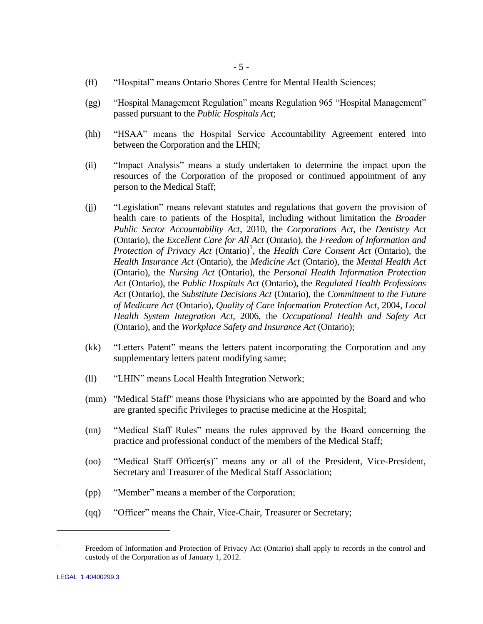- (ff) "Hospital" means Ontario Shores Centre for Mental Health Sciences;
- (gg) "Hospital Management Regulation" means Regulation 965 "Hospital Management" passed pursuant to the *Public Hospitals Act*;
- (hh) "HSAA" means the Hospital Service Accountability Agreement entered into between the Corporation and the LHIN;
- (ii) "Impact Analysis" means a study undertaken to determine the impact upon the resources of the Corporation of the proposed or continued appointment of any person to the Medical Staff;
- (jj) "Legislation" means relevant statutes and regulations that govern the provision of health care to patients of the Hospital, including without limitation the *Broader Public Sector Accountability Act*, 2010, the *Corporations Act*, the *Dentistry Act*  (Ontario), the *Excellent Care for All Act* (Ontario), the *Freedom of Information and*  Protection of Privacy Act (Ontario)<sup>1</sup>, the *Health Care Consent Act* (Ontario), the *Health Insurance Act* (Ontario), the *Medicine Act* (Ontario), the *Mental Health Act* (Ontario), the *Nursing Act* (Ontario), the *Personal Health Information Protection Act* (Ontario), the *Public Hospitals Act* (Ontario), the *Regulated Health Professions Act* (Ontario), the *Substitute Decisions Act* (Ontario), the *Commitment to the Future of Medicare Act* (Ontario), *Quality of Care Information Protection Act*, 2004, *Local Health System Integration Act*, 2006, the *Occupational Health and Safety Act* (Ontario), and the *Workplace Safety and Insurance Act* (Ontario);
- (kk) "Letters Patent" means the letters patent incorporating the Corporation and any supplementary letters patent modifying same;
- (ll) "LHIN" means Local Health Integration Network;
- (mm) "Medical Staff" means those Physicians who are appointed by the Board and who are granted specific Privileges to practise medicine at the Hospital;
- (nn) "Medical Staff Rules" means the rules approved by the Board concerning the practice and professional conduct of the members of the Medical Staff;
- (oo) "Medical Staff Officer(s)" means any or all of the President, Vice-President, Secretary and Treasurer of the Medical Staff Association;
- (pp) "Member" means a member of the Corporation;
- (qq) "Officer" means the Chair, Vice-Chair, Treasurer or Secretary;

 $\overline{a}$ 

<sup>1</sup> Freedom of Information and Protection of Privacy Act (Ontario) shall apply to records in the control and custody of the Corporation as of January 1, 2012.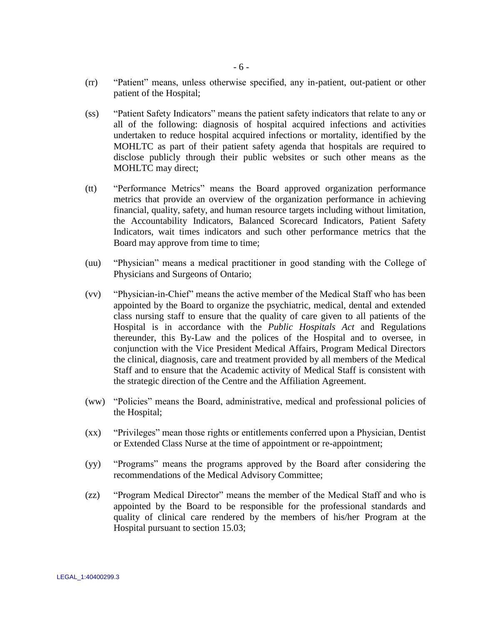- (ss) "Patient Safety Indicators" means the patient safety indicators that relate to any or all of the following: diagnosis of hospital acquired infections and activities undertaken to reduce hospital acquired infections or mortality, identified by the MOHLTC as part of their patient safety agenda that hospitals are required to disclose publicly through their public websites or such other means as the MOHLTC may direct;
- (tt) "Performance Metrics" means the Board approved organization performance metrics that provide an overview of the organization performance in achieving financial, quality, safety, and human resource targets including without limitation, the Accountability Indicators, Balanced Scorecard Indicators, Patient Safety Indicators, wait times indicators and such other performance metrics that the Board may approve from time to time;
- (uu) "Physician" means a medical practitioner in good standing with the College of Physicians and Surgeons of Ontario;
- (vv) "Physician-in-Chief" means the active member of the Medical Staff who has been appointed by the Board to organize the psychiatric, medical, dental and extended class nursing staff to ensure that the quality of care given to all patients of the Hospital is in accordance with the *Public Hospitals Act* and Regulations thereunder, this By-Law and the polices of the Hospital and to oversee, in conjunction with the Vice President Medical Affairs, Program Medical Directors the clinical, diagnosis, care and treatment provided by all members of the Medical Staff and to ensure that the Academic activity of Medical Staff is consistent with the strategic direction of the Centre and the Affiliation Agreement.
- (ww) "Policies" means the Board, administrative, medical and professional policies of the Hospital;
- (xx) "Privileges" mean those rights or entitlements conferred upon a Physician, Dentist or Extended Class Nurse at the time of appointment or re-appointment;
- (yy) "Programs" means the programs approved by the Board after considering the recommendations of the Medical Advisory Committee;
- (zz) "Program Medical Director" means the member of the Medical Staff and who is appointed by the Board to be responsible for the professional standards and quality of clinical care rendered by the members of his/her Program at the Hospital pursuant to section [15.03;](#page-59-1)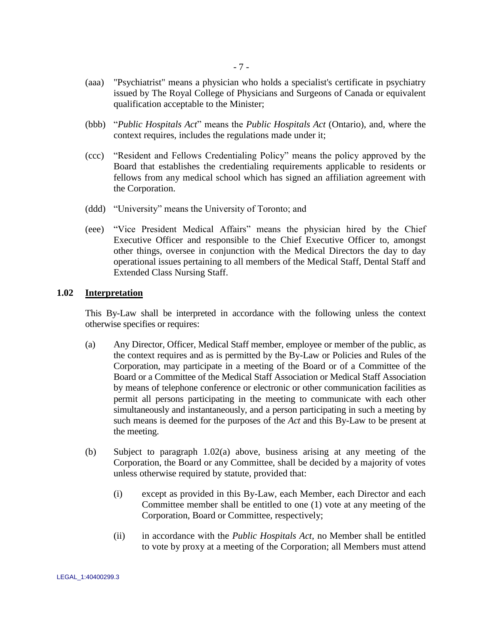- (aaa) "Psychiatrist" means a physician who holds a specialist's certificate in psychiatry issued by The Royal College of Physicians and Surgeons of Canada or equivalent qualification acceptable to the Minister;
- (bbb) "*Public Hospitals Act*" means the *Public Hospitals Act* (Ontario), and, where the context requires, includes the regulations made under it;
- (ccc) "Resident and Fellows Credentialing Policy" means the policy approved by the Board that establishes the credentialing requirements applicable to residents or fellows from any medical school which has signed an affiliation agreement with the Corporation.
- (ddd) "University" means the University of Toronto; and
- (eee) "Vice President Medical Affairs" means the physician hired by the Chief Executive Officer and responsible to the Chief Executive Officer to, amongst other things, oversee in conjunction with the Medical Directors the day to day operational issues pertaining to all members of the Medical Staff, Dental Staff and Extended Class Nursing Staff.

#### <span id="page-11-0"></span>**1.02 Interpretation**

This By-Law shall be interpreted in accordance with the following unless the context otherwise specifies or requires:

- <span id="page-11-1"></span>(a) Any Director, Officer, Medical Staff member, employee or member of the public, as the context requires and as is permitted by the By-Law or Policies and Rules of the Corporation, may participate in a meeting of the Board or of a Committee of the Board or a Committee of the Medical Staff Association or Medical Staff Association by means of telephone conference or electronic or other communication facilities as permit all persons participating in the meeting to communicate with each other simultaneously and instantaneously, and a person participating in such a meeting by such means is deemed for the purposes of the *Act* and this By-Law to be present at the meeting.
- (b) Subject to paragraph [1.02\(a\) above,](#page-11-1) business arising at any meeting of the Corporation, the Board or any Committee, shall be decided by a majority of votes unless otherwise required by statute, provided that:
	- (i) except as provided in this By-Law, each Member, each Director and each Committee member shall be entitled to one (1) vote at any meeting of the Corporation, Board or Committee, respectively;
	- (ii) in accordance with the *Public Hospitals Act*, no Member shall be entitled to vote by proxy at a meeting of the Corporation; all Members must attend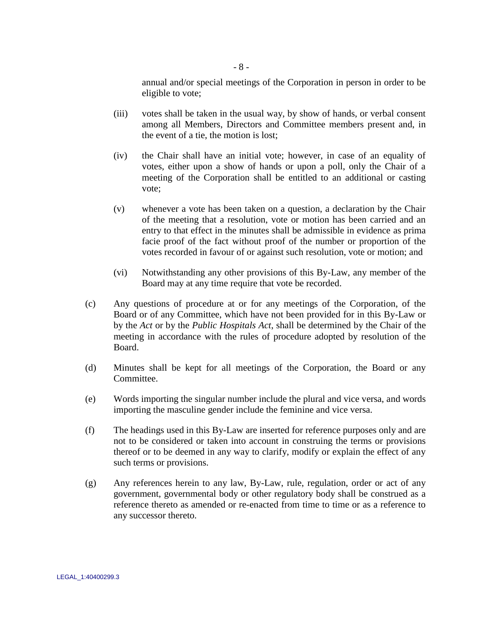annual and/or special meetings of the Corporation in person in order to be eligible to vote;

- (iii) votes shall be taken in the usual way, by show of hands, or verbal consent among all Members, Directors and Committee members present and, in the event of a tie, the motion is lost;
- (iv) the Chair shall have an initial vote; however, in case of an equality of votes, either upon a show of hands or upon a poll, only the Chair of a meeting of the Corporation shall be entitled to an additional or casting vote;
- (v) whenever a vote has been taken on a question, a declaration by the Chair of the meeting that a resolution, vote or motion has been carried and an entry to that effect in the minutes shall be admissible in evidence as prima facie proof of the fact without proof of the number or proportion of the votes recorded in favour of or against such resolution, vote or motion; and
- (vi) Notwithstanding any other provisions of this By-Law, any member of the Board may at any time require that vote be recorded.
- (c) Any questions of procedure at or for any meetings of the Corporation, of the Board or of any Committee, which have not been provided for in this By-Law or by the *Act* or by the *Public Hospitals Act*, shall be determined by the Chair of the meeting in accordance with the rules of procedure adopted by resolution of the Board.
- (d) Minutes shall be kept for all meetings of the Corporation, the Board or any Committee.
- (e) Words importing the singular number include the plural and vice versa, and words importing the masculine gender include the feminine and vice versa.
- (f) The headings used in this By-Law are inserted for reference purposes only and are not to be considered or taken into account in construing the terms or provisions thereof or to be deemed in any way to clarify, modify or explain the effect of any such terms or provisions.
- (g) Any references herein to any law, By-Law, rule, regulation, order or act of any government, governmental body or other regulatory body shall be construed as a reference thereto as amended or re-enacted from time to time or as a reference to any successor thereto.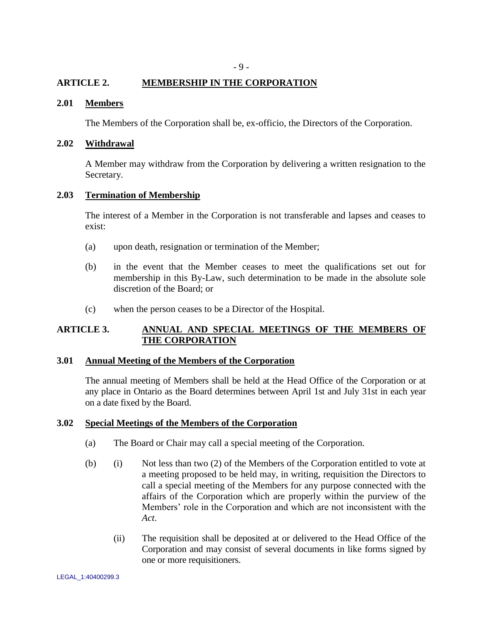## <span id="page-13-0"></span>**ARTICLE 2. MEMBERSHIP IN THE CORPORATION**

### <span id="page-13-1"></span>**2.01 Members**

The Members of the Corporation shall be, ex-officio, the Directors of the Corporation.

## <span id="page-13-2"></span>**2.02 Withdrawal**

A Member may withdraw from the Corporation by delivering a written resignation to the Secretary.

### <span id="page-13-3"></span>**2.03 Termination of Membership**

The interest of a Member in the Corporation is not transferable and lapses and ceases to exist:

- (a) upon death, resignation or termination of the Member;
- (b) in the event that the Member ceases to meet the qualifications set out for membership in this By-Law, such determination to be made in the absolute sole discretion of the Board; or
- (c) when the person ceases to be a Director of the Hospital.

## <span id="page-13-4"></span>**ARTICLE 3. ANNUAL AND SPECIAL MEETINGS OF THE MEMBERS OF THE CORPORATION**

### <span id="page-13-5"></span>**3.01 Annual Meeting of the Members of the Corporation**

The annual meeting of Members shall be held at the Head Office of the Corporation or at any place in Ontario as the Board determines between April 1st and July 31st in each year on a date fixed by the Board.

#### <span id="page-13-6"></span>**3.02 Special Meetings of the Members of the Corporation**

- (a) The Board or Chair may call a special meeting of the Corporation.
- <span id="page-13-7"></span>(b) (i) Not less than two (2) of the Members of the Corporation entitled to vote at a meeting proposed to be held may, in writing, requisition the Directors to call a special meeting of the Members for any purpose connected with the affairs of the Corporation which are properly within the purview of the Members" role in the Corporation and which are not inconsistent with the *Act*.
	- (ii) The requisition shall be deposited at or delivered to the Head Office of the Corporation and may consist of several documents in like forms signed by one or more requisitioners.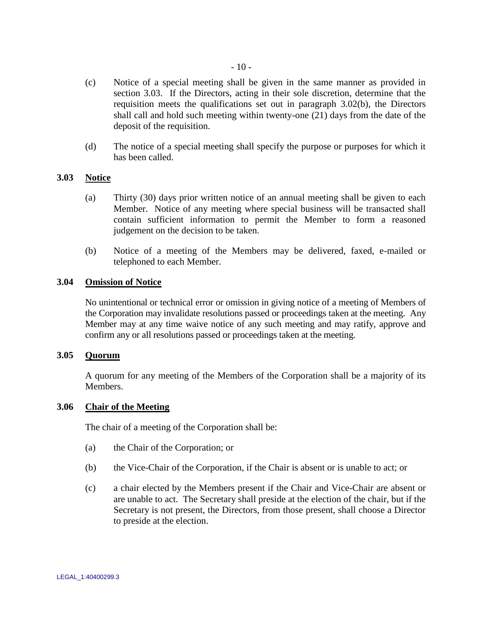- (c) Notice of a special meeting shall be given in the same manner as provided in section [3.03.](#page-14-0) If the Directors, acting in their sole discretion, determine that the requisition meets the qualifications set out in paragraph [3.02\(b\),](#page-13-7) the Directors shall call and hold such meeting within twenty-one (21) days from the date of the deposit of the requisition.
- (d) The notice of a special meeting shall specify the purpose or purposes for which it has been called.

## <span id="page-14-0"></span>**3.03 Notice**

- (a) Thirty (30) days prior written notice of an annual meeting shall be given to each Member. Notice of any meeting where special business will be transacted shall contain sufficient information to permit the Member to form a reasoned judgement on the decision to be taken.
- (b) Notice of a meeting of the Members may be delivered, faxed, e-mailed or telephoned to each Member.

## <span id="page-14-1"></span>**3.04 Omission of Notice**

No unintentional or technical error or omission in giving notice of a meeting of Members of the Corporation may invalidate resolutions passed or proceedings taken at the meeting. Any Member may at any time waive notice of any such meeting and may ratify, approve and confirm any or all resolutions passed or proceedings taken at the meeting.

## <span id="page-14-2"></span>**3.05 Quorum**

A quorum for any meeting of the Members of the Corporation shall be a majority of its Members.

### <span id="page-14-3"></span>**3.06 Chair of the Meeting**

The chair of a meeting of the Corporation shall be:

- (a) the Chair of the Corporation; or
- (b) the Vice-Chair of the Corporation, if the Chair is absent or is unable to act; or
- (c) a chair elected by the Members present if the Chair and Vice-Chair are absent or are unable to act. The Secretary shall preside at the election of the chair, but if the Secretary is not present, the Directors, from those present, shall choose a Director to preside at the election.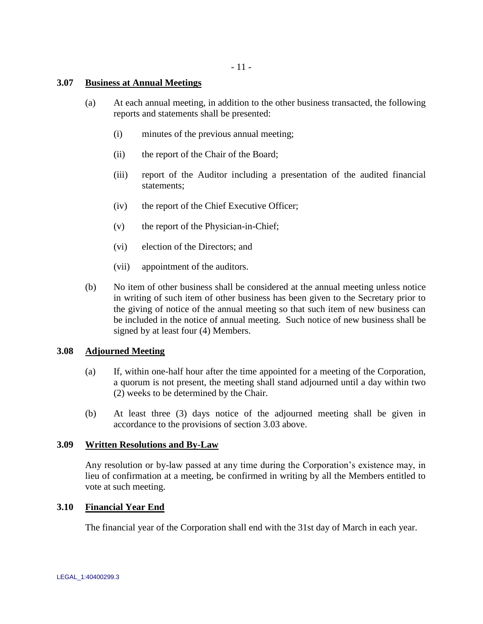- 11 -

### <span id="page-15-0"></span>**3.07 Business at Annual Meetings**

- (a) At each annual meeting, in addition to the other business transacted, the following reports and statements shall be presented:
	- (i) minutes of the previous annual meeting;
	- (ii) the report of the Chair of the Board;
	- (iii) report of the Auditor including a presentation of the audited financial statements;
	- (iv) the report of the Chief Executive Officer;
	- (v) the report of the Physician-in-Chief;
	- (vi) election of the Directors; and
	- (vii) appointment of the auditors.
- (b) No item of other business shall be considered at the annual meeting unless notice in writing of such item of other business has been given to the Secretary prior to the giving of notice of the annual meeting so that such item of new business can be included in the notice of annual meeting. Such notice of new business shall be signed by at least four (4) Members.

### <span id="page-15-1"></span>**3.08 Adjourned Meeting**

- (a) If, within one-half hour after the time appointed for a meeting of the Corporation, a quorum is not present, the meeting shall stand adjourned until a day within two (2) weeks to be determined by the Chair.
- (b) At least three (3) days notice of the adjourned meeting shall be given in accordance to the provisions of section [3.03](#page-14-0) above.

### <span id="page-15-2"></span>**3.09 Written Resolutions and By-Law**

Any resolution or by-law passed at any time during the Corporation"s existence may, in lieu of confirmation at a meeting, be confirmed in writing by all the Members entitled to vote at such meeting.

### <span id="page-15-3"></span>**3.10 Financial Year End**

The financial year of the Corporation shall end with the 31st day of March in each year.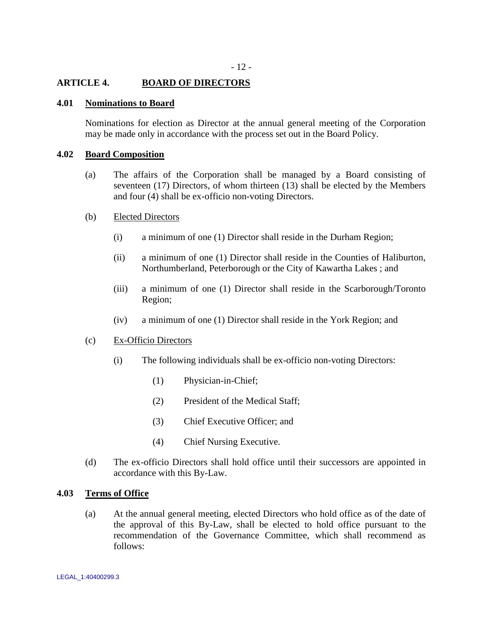## <span id="page-16-0"></span>**ARTICLE 4. BOARD OF DIRECTORS**

#### <span id="page-16-1"></span>**4.01 Nominations to Board**

Nominations for election as Director at the annual general meeting of the Corporation may be made only in accordance with the process set out in the Board Policy.

#### <span id="page-16-2"></span>**4.02 Board Composition**

- (a) The affairs of the Corporation shall be managed by a Board consisting of seventeen (17) Directors, of whom thirteen (13) shall be elected by the Members and four (4) shall be ex-officio non-voting Directors.
- (b) Elected Directors
	- (i) a minimum of one (1) Director shall reside in the Durham Region;
	- (ii) a minimum of one (1) Director shall reside in the Counties of Haliburton, Northumberland, Peterborough or the City of Kawartha Lakes ; and
	- (iii) a minimum of one (1) Director shall reside in the Scarborough/Toronto Region;
	- (iv) a minimum of one (1) Director shall reside in the York Region; and

#### <span id="page-16-4"></span>(c) Ex-Officio Directors

- (i) The following individuals shall be ex-officio non-voting Directors:
	- (1) Physician-in-Chief;
	- (2) President of the Medical Staff;
	- (3) Chief Executive Officer; and
	- (4) Chief Nursing Executive.
- (d) The ex-officio Directors shall hold office until their successors are appointed in accordance with this By-Law.

#### <span id="page-16-3"></span>**4.03 Terms of Office**

(a) At the annual general meeting, elected Directors who hold office as of the date of the approval of this By-Law, shall be elected to hold office pursuant to the recommendation of the Governance Committee, which shall recommend as follows: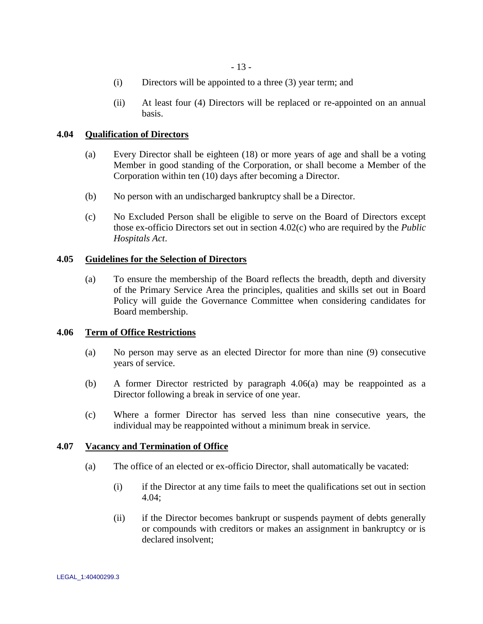- (i) Directors will be appointed to a three (3) year term; and
- (ii) At least four (4) Directors will be replaced or re-appointed on an annual basis.

### <span id="page-17-0"></span>**4.04 Qualification of Directors**

- (a) Every Director shall be eighteen (18) or more years of age and shall be a voting Member in good standing of the Corporation, or shall become a Member of the Corporation within ten (10) days after becoming a Director.
- (b) No person with an undischarged bankruptcy shall be a Director.
- (c) No Excluded Person shall be eligible to serve on the Board of Directors except those ex-officio Directors set out in section [4.02\(c\)](#page-16-4) who are required by the *Public Hospitals Act*.

## <span id="page-17-1"></span>**4.05 Guidelines for the Selection of Directors**

(a) To ensure the membership of the Board reflects the breadth, depth and diversity of the Primary Service Area the principles, qualities and skills set out in Board Policy will guide the Governance Committee when considering candidates for Board membership.

### <span id="page-17-4"></span><span id="page-17-2"></span>**4.06 Term of Office Restrictions**

- (a) No person may serve as an elected Director for more than nine (9) consecutive years of service.
- (b) A former Director restricted by paragraph [4.06\(a\)](#page-17-4) may be reappointed as a Director following a break in service of one year.
- (c) Where a former Director has served less than nine consecutive years, the individual may be reappointed without a minimum break in service.

### <span id="page-17-3"></span>**4.07 Vacancy and Termination of Office**

- (a) The office of an elected or ex-officio Director, shall automatically be vacated:
	- (i) if the Director at any time fails to meet the qualifications set out in section [4.04;](#page-17-0)
	- (ii) if the Director becomes bankrupt or suspends payment of debts generally or compounds with creditors or makes an assignment in bankruptcy or is declared insolvent;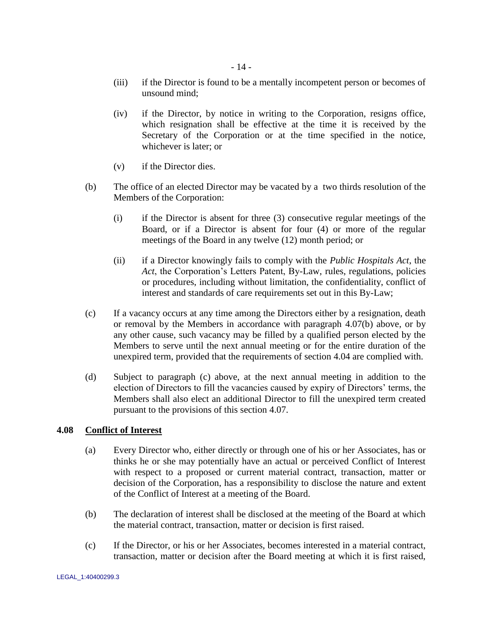- (iii) if the Director is found to be a mentally incompetent person or becomes of unsound mind;
- (iv) if the Director, by notice in writing to the Corporation, resigns office, which resignation shall be effective at the time it is received by the Secretary of the Corporation or at the time specified in the notice, whichever is later; or
- (v) if the Director dies.
- <span id="page-18-1"></span>(b) The office of an elected Director may be vacated by a two thirds resolution of the Members of the Corporation:
	- (i) if the Director is absent for three (3) consecutive regular meetings of the Board, or if a Director is absent for four (4) or more of the regular meetings of the Board in any twelve (12) month period; or
	- (ii) if a Director knowingly fails to comply with the *Public Hospitals Act*, the Act, the Corporation's Letters Patent, By-Law, rules, regulations, policies or procedures, including without limitation, the confidentiality, conflict of interest and standards of care requirements set out in this By-Law;
- <span id="page-18-2"></span>(c) If a vacancy occurs at any time among the Directors either by a resignation, death or removal by the Members in accordance with paragraph [4.07\(b\) above,](#page-18-1) or by any other cause, such vacancy may be filled by a qualified person elected by the Members to serve until the next annual meeting or for the entire duration of the unexpired term, provided that the requirements of section [4.04](#page-17-0) are complied with.
- (d) Subject to paragraph [\(c\) above,](#page-18-2) at the next annual meeting in addition to the election of Directors to fill the vacancies caused by expiry of Directors' terms, the Members shall also elect an additional Director to fill the unexpired term created pursuant to the provisions of this section [4.07.](#page-17-3)

## <span id="page-18-0"></span>**4.08 Conflict of Interest**

- (a) Every Director who, either directly or through one of his or her Associates, has or thinks he or she may potentially have an actual or perceived Conflict of Interest with respect to a proposed or current material contract, transaction, matter or decision of the Corporation, has a responsibility to disclose the nature and extent of the Conflict of Interest at a meeting of the Board.
- (b) The declaration of interest shall be disclosed at the meeting of the Board at which the material contract, transaction, matter or decision is first raised.
- (c) If the Director, or his or her Associates, becomes interested in a material contract, transaction, matter or decision after the Board meeting at which it is first raised,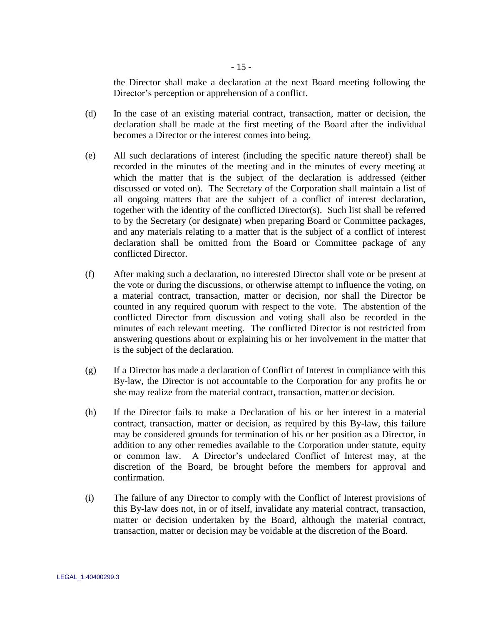the Director shall make a declaration at the next Board meeting following the Director's perception or apprehension of a conflict.

- (d) In the case of an existing material contract, transaction, matter or decision, the declaration shall be made at the first meeting of the Board after the individual becomes a Director or the interest comes into being.
- (e) All such declarations of interest (including the specific nature thereof) shall be recorded in the minutes of the meeting and in the minutes of every meeting at which the matter that is the subject of the declaration is addressed (either discussed or voted on). The Secretary of the Corporation shall maintain a list of all ongoing matters that are the subject of a conflict of interest declaration, together with the identity of the conflicted Director(s). Such list shall be referred to by the Secretary (or designate) when preparing Board or Committee packages, and any materials relating to a matter that is the subject of a conflict of interest declaration shall be omitted from the Board or Committee package of any conflicted Director.
- (f) After making such a declaration, no interested Director shall vote or be present at the vote or during the discussions, or otherwise attempt to influence the voting, on a material contract, transaction, matter or decision, nor shall the Director be counted in any required quorum with respect to the vote. The abstention of the conflicted Director from discussion and voting shall also be recorded in the minutes of each relevant meeting. The conflicted Director is not restricted from answering questions about or explaining his or her involvement in the matter that is the subject of the declaration.
- (g) If a Director has made a declaration of Conflict of Interest in compliance with this By-law, the Director is not accountable to the Corporation for any profits he or she may realize from the material contract, transaction, matter or decision.
- (h) If the Director fails to make a Declaration of his or her interest in a material contract, transaction, matter or decision, as required by this By-law, this failure may be considered grounds for termination of his or her position as a Director, in addition to any other remedies available to the Corporation under statute, equity or common law. A Director"s undeclared Conflict of Interest may, at the discretion of the Board, be brought before the members for approval and confirmation.
- (i) The failure of any Director to comply with the Conflict of Interest provisions of this By-law does not, in or of itself, invalidate any material contract, transaction, matter or decision undertaken by the Board, although the material contract, transaction, matter or decision may be voidable at the discretion of the Board.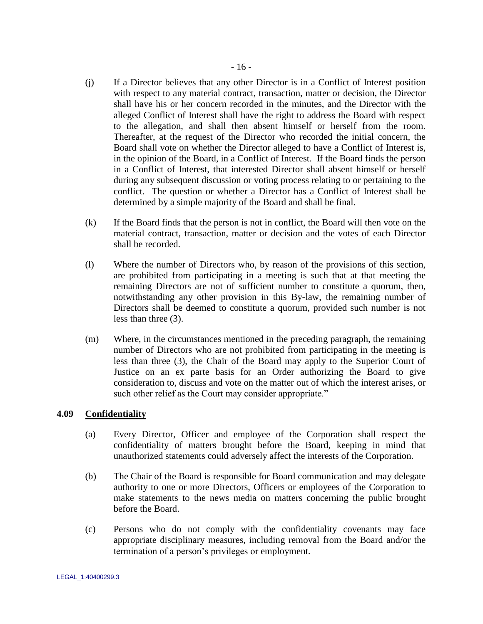- (j) If a Director believes that any other Director is in a Conflict of Interest position with respect to any material contract, transaction, matter or decision, the Director shall have his or her concern recorded in the minutes, and the Director with the alleged Conflict of Interest shall have the right to address the Board with respect to the allegation, and shall then absent himself or herself from the room. Thereafter, at the request of the Director who recorded the initial concern, the Board shall vote on whether the Director alleged to have a Conflict of Interest is, in the opinion of the Board, in a Conflict of Interest. If the Board finds the person in a Conflict of Interest, that interested Director shall absent himself or herself during any subsequent discussion or voting process relating to or pertaining to the conflict. The question or whether a Director has a Conflict of Interest shall be determined by a simple majority of the Board and shall be final.
- (k) If the Board finds that the person is not in conflict, the Board will then vote on the material contract, transaction, matter or decision and the votes of each Director shall be recorded.
- (l) Where the number of Directors who, by reason of the provisions of this section, are prohibited from participating in a meeting is such that at that meeting the remaining Directors are not of sufficient number to constitute a quorum, then, notwithstanding any other provision in this By-law, the remaining number of Directors shall be deemed to constitute a quorum, provided such number is not less than three (3).
- (m) Where, in the circumstances mentioned in the preceding paragraph, the remaining number of Directors who are not prohibited from participating in the meeting is less than three (3), the Chair of the Board may apply to the Superior Court of Justice on an ex parte basis for an Order authorizing the Board to give consideration to, discuss and vote on the matter out of which the interest arises, or such other relief as the Court may consider appropriate."

## <span id="page-20-0"></span>**4.09 Confidentiality**

- (a) Every Director, Officer and employee of the Corporation shall respect the confidentiality of matters brought before the Board, keeping in mind that unauthorized statements could adversely affect the interests of the Corporation.
- (b) The Chair of the Board is responsible for Board communication and may delegate authority to one or more Directors, Officers or employees of the Corporation to make statements to the news media on matters concerning the public brought before the Board.
- (c) Persons who do not comply with the confidentiality covenants may face appropriate disciplinary measures, including removal from the Board and/or the termination of a person"s privileges or employment.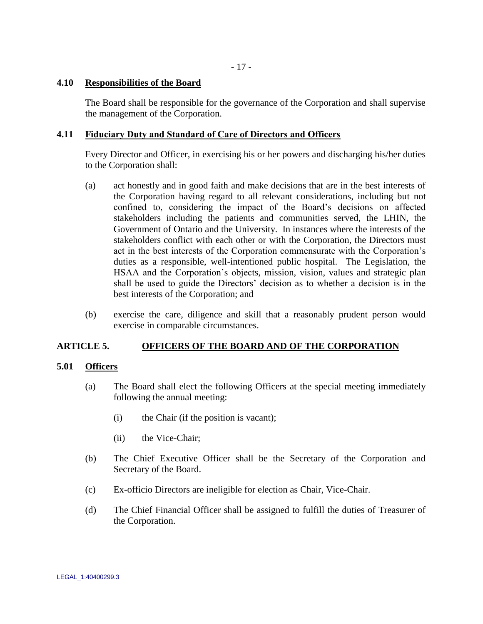- 17 -

## <span id="page-21-0"></span>**4.10 Responsibilities of the Board**

The Board shall be responsible for the governance of the Corporation and shall supervise the management of the Corporation.

## <span id="page-21-1"></span>**4.11 Fiduciary Duty and Standard of Care of Directors and Officers**

Every Director and Officer, in exercising his or her powers and discharging his/her duties to the Corporation shall:

- (a) act honestly and in good faith and make decisions that are in the best interests of the Corporation having regard to all relevant considerations, including but not confined to, considering the impact of the Board"s decisions on affected stakeholders including the patients and communities served, the LHIN, the Government of Ontario and the University. In instances where the interests of the stakeholders conflict with each other or with the Corporation, the Directors must act in the best interests of the Corporation commensurate with the Corporation"s duties as a responsible, well-intentioned public hospital. The Legislation, the HSAA and the Corporation"s objects, mission, vision, values and strategic plan shall be used to guide the Directors' decision as to whether a decision is in the best interests of the Corporation; and
- (b) exercise the care, diligence and skill that a reasonably prudent person would exercise in comparable circumstances.

## <span id="page-21-2"></span>**ARTICLE 5. OFFICERS OF THE BOARD AND OF THE CORPORATION**

### <span id="page-21-3"></span>**5.01 Officers**

- (a) The Board shall elect the following Officers at the special meeting immediately following the annual meeting:
	- (i) the Chair (if the position is vacant);
	- (ii) the Vice-Chair;
- (b) The Chief Executive Officer shall be the Secretary of the Corporation and Secretary of the Board.
- (c) Ex-officio Directors are ineligible for election as Chair, Vice-Chair.
- (d) The Chief Financial Officer shall be assigned to fulfill the duties of Treasurer of the Corporation.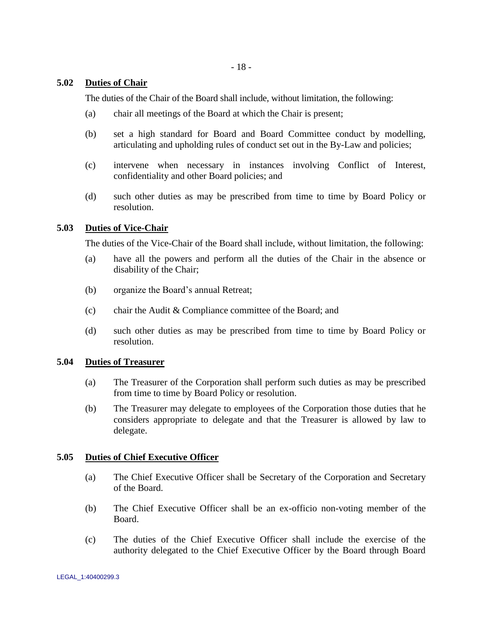## <span id="page-22-0"></span>**5.02 Duties of Chair**

The duties of the Chair of the Board shall include, without limitation, the following:

- (a) chair all meetings of the Board at which the Chair is present;
- (b) set a high standard for Board and Board Committee conduct by modelling, articulating and upholding rules of conduct set out in the By-Law and policies;
- (c) intervene when necessary in instances involving Conflict of Interest, confidentiality and other Board policies; and
- (d) such other duties as may be prescribed from time to time by Board Policy or resolution.

## <span id="page-22-1"></span>**5.03 Duties of Vice-Chair**

The duties of the Vice-Chair of the Board shall include, without limitation, the following:

- (a) have all the powers and perform all the duties of the Chair in the absence or disability of the Chair;
- (b) organize the Board"s annual Retreat;
- (c) chair the Audit & Compliance committee of the Board; and
- (d) such other duties as may be prescribed from time to time by Board Policy or resolution.

### <span id="page-22-2"></span>**5.04 Duties of Treasurer**

- (a) The Treasurer of the Corporation shall perform such duties as may be prescribed from time to time by Board Policy or resolution.
- (b) The Treasurer may delegate to employees of the Corporation those duties that he considers appropriate to delegate and that the Treasurer is allowed by law to delegate.

## <span id="page-22-3"></span>**5.05 Duties of Chief Executive Officer**

- (a) The Chief Executive Officer shall be Secretary of the Corporation and Secretary of the Board.
- (b) The Chief Executive Officer shall be an ex-officio non-voting member of the Board.
- (c) The duties of the Chief Executive Officer shall include the exercise of the authority delegated to the Chief Executive Officer by the Board through Board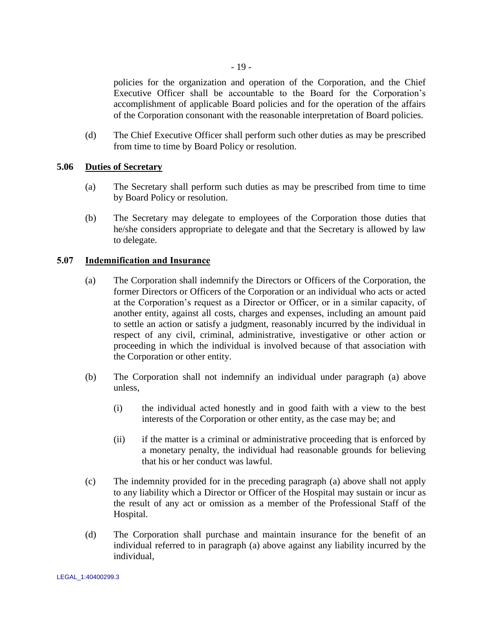policies for the organization and operation of the Corporation, and the Chief Executive Officer shall be accountable to the Board for the Corporation"s accomplishment of applicable Board policies and for the operation of the affairs of the Corporation consonant with the reasonable interpretation of Board policies.

(d) The Chief Executive Officer shall perform such other duties as may be prescribed from time to time by Board Policy or resolution.

## <span id="page-23-0"></span>**5.06 Duties of Secretary**

- (a) The Secretary shall perform such duties as may be prescribed from time to time by Board Policy or resolution.
- (b) The Secretary may delegate to employees of the Corporation those duties that he/she considers appropriate to delegate and that the Secretary is allowed by law to delegate.

## <span id="page-23-2"></span><span id="page-23-1"></span>**5.07 Indemnification and Insurance**

- (a) The Corporation shall indemnify the Directors or Officers of the Corporation, the former Directors or Officers of the Corporation or an individual who acts or acted at the Corporation"s request as a Director or Officer, or in a similar capacity, of another entity, against all costs, charges and expenses, including an amount paid to settle an action or satisfy a judgment, reasonably incurred by the individual in respect of any civil, criminal, administrative, investigative or other action or proceeding in which the individual is involved because of that association with the Corporation or other entity.
- (b) The Corporation shall not indemnify an individual under paragraph [\(a\) above](#page-23-2) unless,
	- (i) the individual acted honestly and in good faith with a view to the best interests of the Corporation or other entity, as the case may be; and
	- (ii) if the matter is a criminal or administrative proceeding that is enforced by a monetary penalty, the individual had reasonable grounds for believing that his or her conduct was lawful.
- (c) The indemnity provided for in the preceding paragraph [\(a\) above](#page-23-2) shall not apply to any liability which a Director or Officer of the Hospital may sustain or incur as the result of any act or omission as a member of the Professional Staff of the Hospital.
- (d) The Corporation shall purchase and maintain insurance for the benefit of an individual referred to in paragraph [\(a\) above](#page-23-2) against any liability incurred by the individual,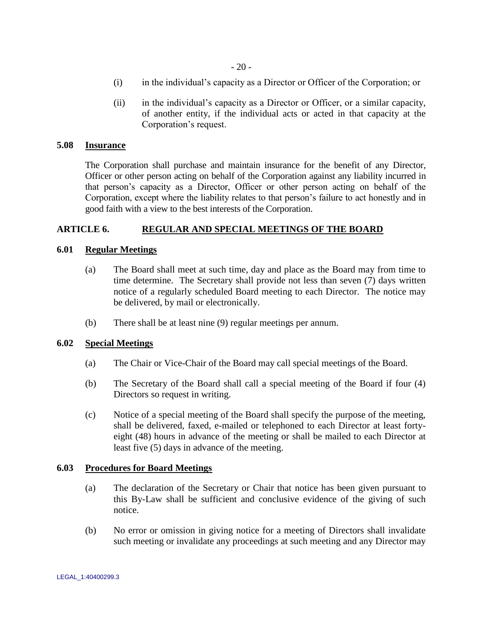- (i) in the individual"s capacity as a Director or Officer of the Corporation; or
- (ii) in the individual"s capacity as a Director or Officer, or a similar capacity, of another entity, if the individual acts or acted in that capacity at the Corporation"s request.

### <span id="page-24-0"></span>**5.08 Insurance**

The Corporation shall purchase and maintain insurance for the benefit of any Director, Officer or other person acting on behalf of the Corporation against any liability incurred in that person"s capacity as a Director, Officer or other person acting on behalf of the Corporation, except where the liability relates to that person"s failure to act honestly and in good faith with a view to the best interests of the Corporation.

## <span id="page-24-1"></span>**ARTICLE 6. REGULAR AND SPECIAL MEETINGS OF THE BOARD**

## <span id="page-24-2"></span>**6.01 Regular Meetings**

- (a) The Board shall meet at such time, day and place as the Board may from time to time determine. The Secretary shall provide not less than seven (7) days written notice of a regularly scheduled Board meeting to each Director. The notice may be delivered, by mail or electronically.
- (b) There shall be at least nine (9) regular meetings per annum.

### <span id="page-24-3"></span>**6.02 Special Meetings**

- (a) The Chair or Vice-Chair of the Board may call special meetings of the Board.
- (b) The Secretary of the Board shall call a special meeting of the Board if four (4) Directors so request in writing.
- (c) Notice of a special meeting of the Board shall specify the purpose of the meeting, shall be delivered, faxed, e-mailed or telephoned to each Director at least fortyeight (48) hours in advance of the meeting or shall be mailed to each Director at least five (5) days in advance of the meeting.

### <span id="page-24-4"></span>**6.03 Procedures for Board Meetings**

- (a) The declaration of the Secretary or Chair that notice has been given pursuant to this By-Law shall be sufficient and conclusive evidence of the giving of such notice.
- (b) No error or omission in giving notice for a meeting of Directors shall invalidate such meeting or invalidate any proceedings at such meeting and any Director may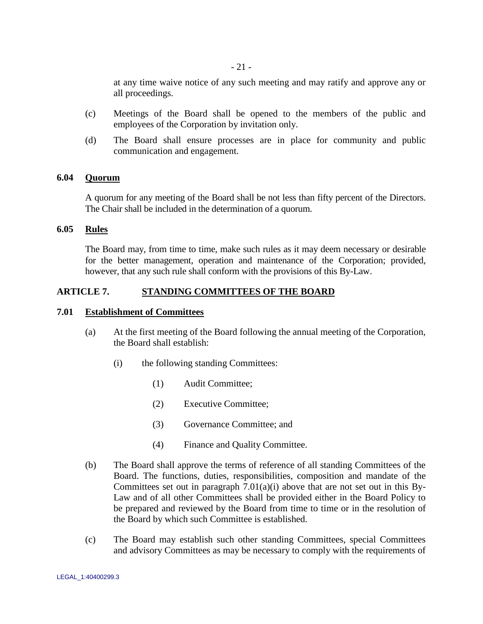at any time waive notice of any such meeting and may ratify and approve any or all proceedings.

- (c) Meetings of the Board shall be opened to the members of the public and employees of the Corporation by invitation only.
- (d) The Board shall ensure processes are in place for community and public communication and engagement.

## <span id="page-25-0"></span>**6.04 Quorum**

A quorum for any meeting of the Board shall be not less than fifty percent of the Directors. The Chair shall be included in the determination of a quorum.

### <span id="page-25-1"></span>**6.05 Rules**

The Board may, from time to time, make such rules as it may deem necessary or desirable for the better management, operation and maintenance of the Corporation; provided, however, that any such rule shall conform with the provisions of this By-Law.

### <span id="page-25-2"></span>**ARTICLE 7. STANDING COMMITTEES OF THE BOARD**

#### <span id="page-25-3"></span>**7.01 Establishment of Committees**

- <span id="page-25-4"></span>(a) At the first meeting of the Board following the annual meeting of the Corporation, the Board shall establish:
	- (i) the following standing Committees:
		- (1) Audit Committee;
		- (2) Executive Committee;
		- (3) Governance Committee; and
		- (4) Finance and Quality Committee.
- (b) The Board shall approve the terms of reference of all standing Committees of the Board. The functions, duties, responsibilities, composition and mandate of the Committees set out in paragraph  $7.01(a)(i)$  above that are not set out in this By-Law and of all other Committees shall be provided either in the Board Policy to be prepared and reviewed by the Board from time to time or in the resolution of the Board by which such Committee is established.
- (c) The Board may establish such other standing Committees, special Committees and advisory Committees as may be necessary to comply with the requirements of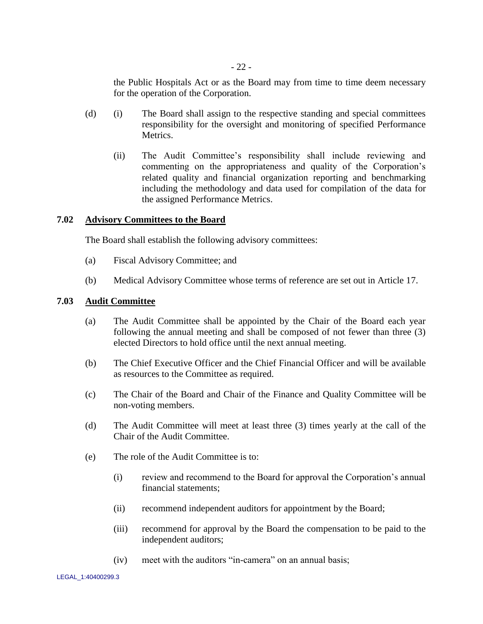the Public Hospitals Act or as the Board may from time to time deem necessary for the operation of the Corporation.

- (d) (i) The Board shall assign to the respective standing and special committees responsibility for the oversight and monitoring of specified Performance Metrics.
	- (ii) The Audit Committee"s responsibility shall include reviewing and commenting on the appropriateness and quality of the Corporation"s related quality and financial organization reporting and benchmarking including the methodology and data used for compilation of the data for the assigned Performance Metrics.

## <span id="page-26-0"></span>**7.02 Advisory Committees to the Board**

The Board shall establish the following advisory committees:

- (a) Fiscal Advisory Committee; and
- (b) Medical Advisory Committee whose terms of reference are set out in Article 17.

## <span id="page-26-1"></span>**7.03 Audit Committee**

- (a) The Audit Committee shall be appointed by the Chair of the Board each year following the annual meeting and shall be composed of not fewer than three (3) elected Directors to hold office until the next annual meeting.
- (b) The Chief Executive Officer and the Chief Financial Officer and will be available as resources to the Committee as required.
- (c) The Chair of the Board and Chair of the Finance and Quality Committee will be non-voting members.
- (d) The Audit Committee will meet at least three (3) times yearly at the call of the Chair of the Audit Committee.
- (e) The role of the Audit Committee is to:
	- (i) review and recommend to the Board for approval the Corporation"s annual financial statements;
	- (ii) recommend independent auditors for appointment by the Board;
	- (iii) recommend for approval by the Board the compensation to be paid to the independent auditors;
	- (iv) meet with the auditors "in-camera" on an annual basis;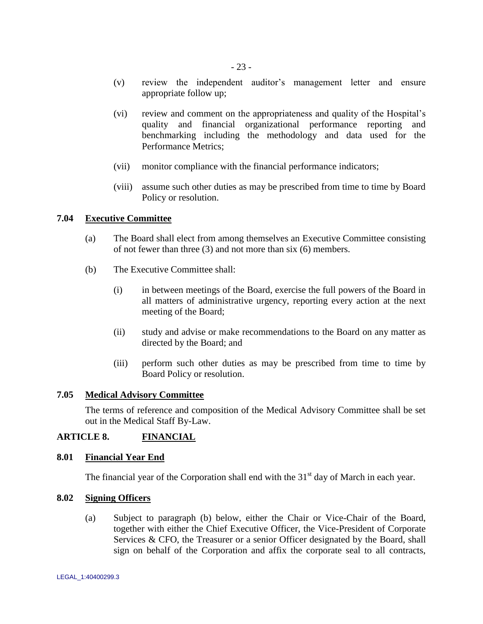- (v) review the independent auditor"s management letter and ensure appropriate follow up;
- (vi) review and comment on the appropriateness and quality of the Hospital"s quality and financial organizational performance reporting and benchmarking including the methodology and data used for the Performance Metrics;
- (vii) monitor compliance with the financial performance indicators;
- (viii) assume such other duties as may be prescribed from time to time by Board Policy or resolution.

## <span id="page-27-0"></span>**7.04 Executive Committee**

- (a) The Board shall elect from among themselves an Executive Committee consisting of not fewer than three (3) and not more than six (6) members.
- (b) The Executive Committee shall:
	- (i) in between meetings of the Board, exercise the full powers of the Board in all matters of administrative urgency, reporting every action at the next meeting of the Board;
	- (ii) study and advise or make recommendations to the Board on any matter as directed by the Board; and
	- (iii) perform such other duties as may be prescribed from time to time by Board Policy or resolution.

## <span id="page-27-1"></span>**7.05 Medical Advisory Committee**

The terms of reference and composition of the Medical Advisory Committee shall be set out in the Medical Staff By-Law.

## <span id="page-27-2"></span>**ARTICLE 8. FINANCIAL**

### <span id="page-27-3"></span>**8.01 Financial Year End**

The financial year of the Corporation shall end with the  $31<sup>st</sup>$  day of March in each year.

### <span id="page-27-5"></span><span id="page-27-4"></span>**8.02 Signing Officers**

(a) Subject to paragraph [\(b\) below,](#page-28-1) either the Chair or Vice-Chair of the Board, together with either the Chief Executive Officer, the Vice-President of Corporate Services & CFO, the Treasurer or a senior Officer designated by the Board, shall sign on behalf of the Corporation and affix the corporate seal to all contracts,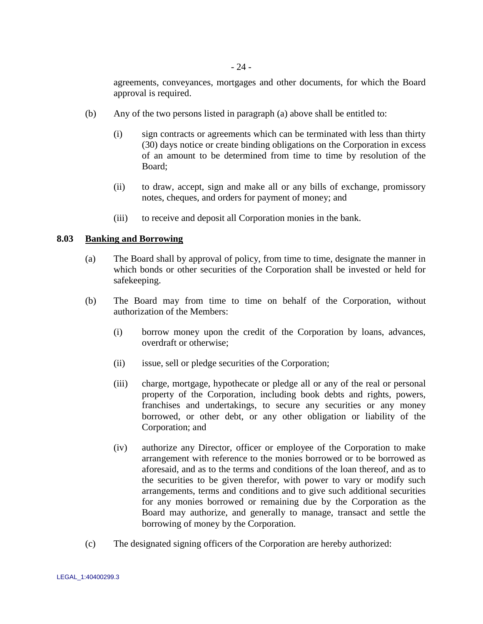agreements, conveyances, mortgages and other documents, for which the Board approval is required.

- <span id="page-28-1"></span>(b) Any of the two persons listed in paragraph [\(a\) above](#page-27-5) shall be entitled to:
	- (i) sign contracts or agreements which can be terminated with less than thirty (30) days notice or create binding obligations on the Corporation in excess of an amount to be determined from time to time by resolution of the Board;
	- (ii) to draw, accept, sign and make all or any bills of exchange, promissory notes, cheques, and orders for payment of money; and
	- (iii) to receive and deposit all Corporation monies in the bank.

## <span id="page-28-2"></span><span id="page-28-0"></span>**8.03 Banking and Borrowing**

- (a) The Board shall by approval of policy, from time to time, designate the manner in which bonds or other securities of the Corporation shall be invested or held for safekeeping.
- (b) The Board may from time to time on behalf of the Corporation, without authorization of the Members:
	- (i) borrow money upon the credit of the Corporation by loans, advances, overdraft or otherwise;
	- (ii) issue, sell or pledge securities of the Corporation;
	- (iii) charge, mortgage, hypothecate or pledge all or any of the real or personal property of the Corporation, including book debts and rights, powers, franchises and undertakings, to secure any securities or any money borrowed, or other debt, or any other obligation or liability of the Corporation; and
	- (iv) authorize any Director, officer or employee of the Corporation to make arrangement with reference to the monies borrowed or to be borrowed as aforesaid, and as to the terms and conditions of the loan thereof, and as to the securities to be given therefor, with power to vary or modify such arrangements, terms and conditions and to give such additional securities for any monies borrowed or remaining due by the Corporation as the Board may authorize, and generally to manage, transact and settle the borrowing of money by the Corporation.
- (c) The designated signing officers of the Corporation are hereby authorized: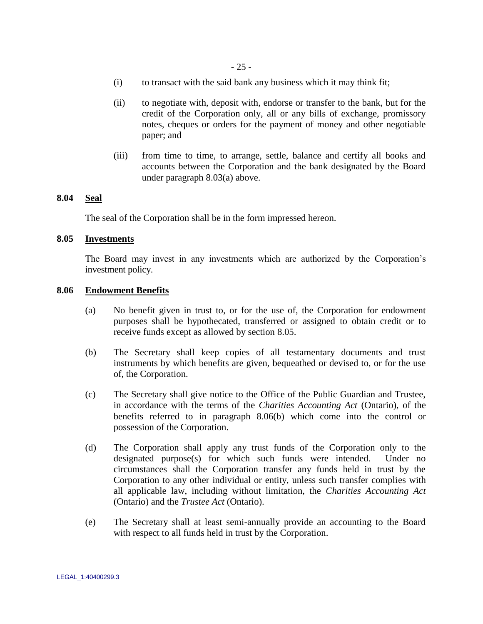- (i) to transact with the said bank any business which it may think fit;
- (ii) to negotiate with, deposit with, endorse or transfer to the bank, but for the credit of the Corporation only, all or any bills of exchange, promissory notes, cheques or orders for the payment of money and other negotiable paper; and
- (iii) from time to time, to arrange, settle, balance and certify all books and accounts between the Corporation and the bank designated by the Board under paragraph [8.03\(a\)](#page-28-2) above.

### <span id="page-29-0"></span>**8.04 Seal**

The seal of the Corporation shall be in the form impressed hereon.

## <span id="page-29-1"></span>**8.05 Investments**

The Board may invest in any investments which are authorized by the Corporation"s investment policy.

### <span id="page-29-2"></span>**8.06 Endowment Benefits**

- (a) No benefit given in trust to, or for the use of, the Corporation for endowment purposes shall be hypothecated, transferred or assigned to obtain credit or to receive funds except as allowed by section [8.05.](#page-29-1)
- <span id="page-29-3"></span>(b) The Secretary shall keep copies of all testamentary documents and trust instruments by which benefits are given, bequeathed or devised to, or for the use of, the Corporation.
- (c) The Secretary shall give notice to the Office of the Public Guardian and Trustee, in accordance with the terms of the *Charities Accounting Act* (Ontario), of the benefits referred to in paragraph [8.06\(b\)](#page-29-3) which come into the control or possession of the Corporation.
- (d) The Corporation shall apply any trust funds of the Corporation only to the designated purpose(s) for which such funds were intended. Under no circumstances shall the Corporation transfer any funds held in trust by the Corporation to any other individual or entity, unless such transfer complies with all applicable law, including without limitation, the *Charities Accounting Act* (Ontario) and the *Trustee Act* (Ontario).
- (e) The Secretary shall at least semi-annually provide an accounting to the Board with respect to all funds held in trust by the Corporation.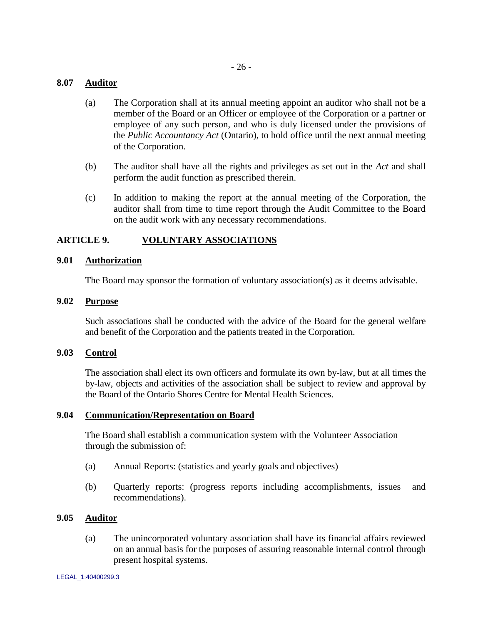## <span id="page-30-0"></span>**8.07 Auditor**

- (a) The Corporation shall at its annual meeting appoint an auditor who shall not be a member of the Board or an Officer or employee of the Corporation or a partner or employee of any such person, and who is duly licensed under the provisions of the *Public Accountancy Act* (Ontario), to hold office until the next annual meeting of the Corporation.
- (b) The auditor shall have all the rights and privileges as set out in the *Act* and shall perform the audit function as prescribed therein.
- (c) In addition to making the report at the annual meeting of the Corporation, the auditor shall from time to time report through the Audit Committee to the Board on the audit work with any necessary recommendations.

## <span id="page-30-1"></span>**ARTICLE 9. VOLUNTARY ASSOCIATIONS**

### <span id="page-30-2"></span>**9.01 Authorization**

The Board may sponsor the formation of voluntary association(s) as it deems advisable.

## <span id="page-30-3"></span>**9.02 Purpose**

Such associations shall be conducted with the advice of the Board for the general welfare and benefit of the Corporation and the patients treated in the Corporation.

### <span id="page-30-4"></span>**9.03 Control**

The association shall elect its own officers and formulate its own by-law, but at all times the by-law, objects and activities of the association shall be subject to review and approval by the Board of the Ontario Shores Centre for Mental Health Sciences.

### <span id="page-30-5"></span>**9.04 Communication/Representation on Board**

The Board shall establish a communication system with the Volunteer Association through the submission of:

- (a) Annual Reports: (statistics and yearly goals and objectives)
- (b) Quarterly reports: (progress reports including accomplishments, issues and recommendations).

#### <span id="page-30-6"></span>**9.05 Auditor**

(a) The unincorporated voluntary association shall have its financial affairs reviewed on an annual basis for the purposes of assuring reasonable internal control through present hospital systems.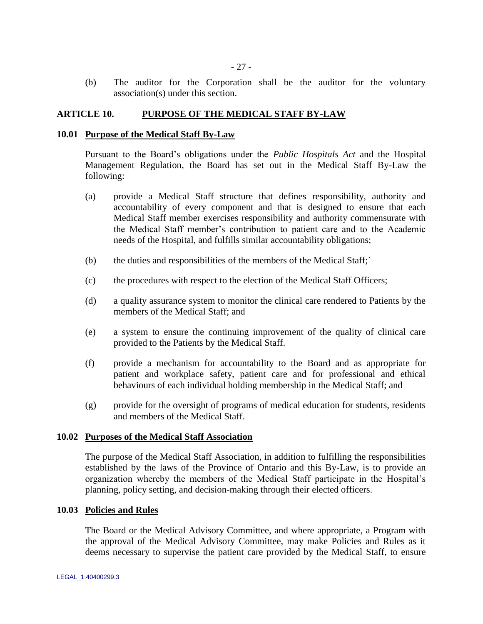(b) The auditor for the Corporation shall be the auditor for the voluntary association(s) under this section.

#### <span id="page-31-0"></span>**ARTICLE 10. PURPOSE OF THE MEDICAL STAFF BY-LAW**

#### <span id="page-31-1"></span>**10.01 Purpose of the Medical Staff By-Law**

Pursuant to the Board"s obligations under the *Public Hospitals Act* and the Hospital Management Regulation, the Board has set out in the Medical Staff By-Law the following:

- (a) provide a Medical Staff structure that defines responsibility, authority and accountability of every component and that is designed to ensure that each Medical Staff member exercises responsibility and authority commensurate with the Medical Staff member"s contribution to patient care and to the Academic needs of the Hospital, and fulfills similar accountability obligations;
- (b) the duties and responsibilities of the members of the Medical Staff;`
- (c) the procedures with respect to the election of the Medical Staff Officers;
- (d) a quality assurance system to monitor the clinical care rendered to Patients by the members of the Medical Staff; and
- (e) a system to ensure the continuing improvement of the quality of clinical care provided to the Patients by the Medical Staff.
- (f) provide a mechanism for accountability to the Board and as appropriate for patient and workplace safety, patient care and for professional and ethical behaviours of each individual holding membership in the Medical Staff; and
- (g) provide for the oversight of programs of medical education for students, residents and members of the Medical Staff.

#### <span id="page-31-2"></span>**10.02 Purposes of the Medical Staff Association**

The purpose of the Medical Staff Association, in addition to fulfilling the responsibilities established by the laws of the Province of Ontario and this By-Law, is to provide an organization whereby the members of the Medical Staff participate in the Hospital"s planning, policy setting, and decision-making through their elected officers.

## <span id="page-31-3"></span>**10.03 Policies and Rules**

The Board or the Medical Advisory Committee, and where appropriate, a Program with the approval of the Medical Advisory Committee, may make Policies and Rules as it deems necessary to supervise the patient care provided by the Medical Staff, to ensure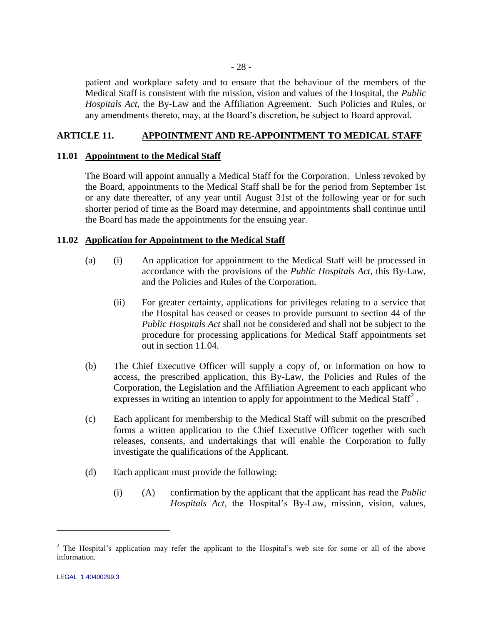patient and workplace safety and to ensure that the behaviour of the members of the Medical Staff is consistent with the mission, vision and values of the Hospital, the *Public Hospitals Act*, the By-Law and the Affiliation Agreement. Such Policies and Rules, or any amendments thereto, may, at the Board"s discretion, be subject to Board approval.

## <span id="page-32-0"></span>**ARTICLE 11. APPOINTMENT AND RE-APPOINTMENT TO MEDICAL STAFF**

## <span id="page-32-1"></span>**11.01 Appointment to the Medical Staff**

The Board will appoint annually a Medical Staff for the Corporation. Unless revoked by the Board, appointments to the Medical Staff shall be for the period from September 1st or any date thereafter, of any year until August 31st of the following year or for such shorter period of time as the Board may determine, and appointments shall continue until the Board has made the appointments for the ensuing year.

## <span id="page-32-2"></span>**11.02 Application for Appointment to the Medical Staff**

- (a) (i) An application for appointment to the Medical Staff will be processed in accordance with the provisions of the *Public Hospitals Act*, this By-Law, and the Policies and Rules of the Corporation.
	- (ii) For greater certainty, applications for privileges relating to a service that the Hospital has ceased or ceases to provide pursuant to section 44 of the *Public Hospitals Act* shall not be considered and shall not be subject to the procedure for processing applications for Medical Staff appointments set out in section [11.04.](#page-40-0)
- (b) The Chief Executive Officer will supply a copy of, or information on how to access, the prescribed application, this By-Law, the Policies and Rules of the Corporation, the Legislation and the Affiliation Agreement to each applicant who expresses in writing an intention to apply for appointment to the Medical Staff<sup>2</sup>.
- (c) Each applicant for membership to the Medical Staff will submit on the prescribed forms a written application to the Chief Executive Officer together with such releases, consents, and undertakings that will enable the Corporation to fully investigate the qualifications of the Applicant.
- (d) Each applicant must provide the following:
	- (i) (A) confirmation by the applicant that the applicant has read the *Public Hospitals Act*, the Hospital's By-Law, mission, vision, values,

 $\overline{a}$ 

<sup>&</sup>lt;sup>2</sup> The Hospital's application may refer the applicant to the Hospital's web site for some or all of the above information.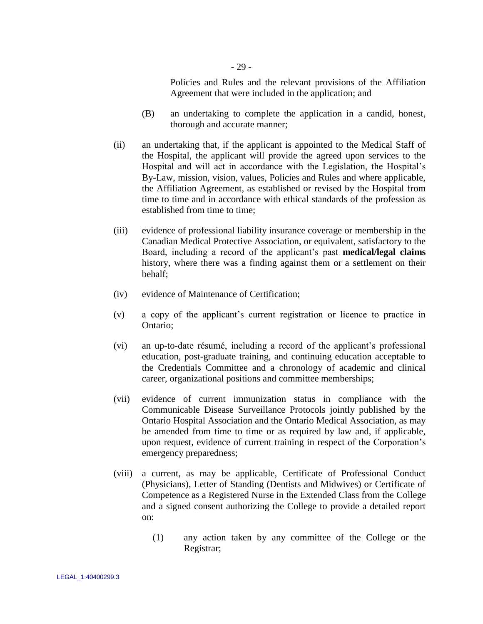Policies and Rules and the relevant provisions of the Affiliation Agreement that were included in the application; and

- (B) an undertaking to complete the application in a candid, honest, thorough and accurate manner;
- (ii) an undertaking that, if the applicant is appointed to the Medical Staff of the Hospital, the applicant will provide the agreed upon services to the Hospital and will act in accordance with the Legislation, the Hospital"s By-Law, mission, vision, values, Policies and Rules and where applicable, the Affiliation Agreement, as established or revised by the Hospital from time to time and in accordance with ethical standards of the profession as established from time to time;
- (iii) evidence of professional liability insurance coverage or membership in the Canadian Medical Protective Association, or equivalent, satisfactory to the Board, including a record of the applicant"s past **medical/legal claims**  history, where there was a finding against them or a settlement on their behalf;
- (iv) evidence of Maintenance of Certification;
- (v) a copy of the applicant"s current registration or licence to practice in Ontario;
- (vi) an up-to-date résumé, including a record of the applicant"s professional education, post-graduate training, and continuing education acceptable to the Credentials Committee and a chronology of academic and clinical career, organizational positions and committee memberships;
- (vii) evidence of current immunization status in compliance with the Communicable Disease Surveillance Protocols jointly published by the Ontario Hospital Association and the Ontario Medical Association, as may be amended from time to time or as required by law and, if applicable, upon request, evidence of current training in respect of the Corporation"s emergency preparedness;
- (viii) a current, as may be applicable, Certificate of Professional Conduct (Physicians), Letter of Standing (Dentists and Midwives) or Certificate of Competence as a Registered Nurse in the Extended Class from the College and a signed consent authorizing the College to provide a detailed report on:
	- (1) any action taken by any committee of the College or the Registrar;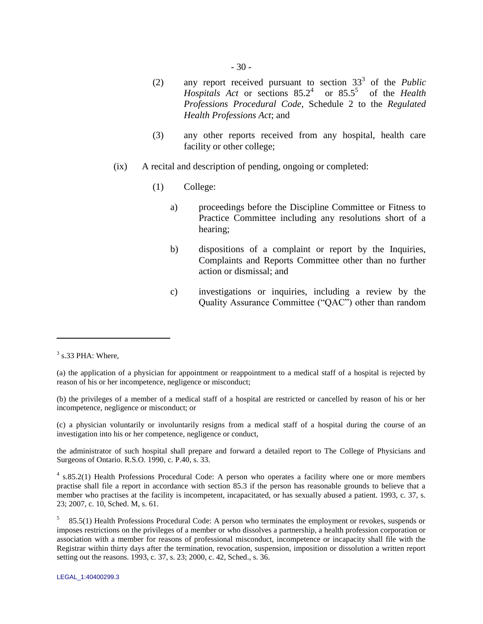- (2) any report received pursuant to section  $33<sup>3</sup>$  of the *Public Hospitals Act* or sections 85.2<sup>4</sup> or 85.5<sup>5</sup> of the *Health Professions Procedural Code*, Schedule 2 to the *Regulated Health Professions Act*; and
- (3) any other reports received from any hospital, health care facility or other college;
- (ix) A recital and description of pending, ongoing or completed:
	- (1) College:
		- a) proceedings before the Discipline Committee or Fitness to Practice Committee including any resolutions short of a hearing;
		- b) dispositions of a complaint or report by the Inquiries, Complaints and Reports Committee other than no further action or dismissal; and
		- c) investigations or inquiries, including a review by the Quality Assurance Committee ("QAC") other than random

 $\overline{a}$ 

(b) the privileges of a member of a medical staff of a hospital are restricted or cancelled by reason of his or her incompetence, negligence or misconduct; or

(c) a physician voluntarily or involuntarily resigns from a medical staff of a hospital during the course of an investigation into his or her competence, negligence or conduct,

the administrator of such hospital shall prepare and forward a detailed report to The College of Physicians and Surgeons of Ontario. R.S.O. 1990, c. P.40, s. 33.

<sup>4</sup> s.85.2(1) Health Professions Procedural Code: A person who operates a facility where one or more members practise shall file a report in accordance with section 85.3 if the person has reasonable grounds to believe that a member who practises at the facility is incompetent, incapacitated, or has sexually abused a patient. 1993, c. 37, s. 23; 2007, c. 10, Sched. M, s. 61.

 $3$  s.33 PHA: Where,

<sup>(</sup>a) the application of a physician for appointment or reappointment to a medical staff of a hospital is rejected by reason of his or her incompetence, negligence or misconduct;

<sup>5</sup> 85.5(1) Health Professions Procedural Code: A person who terminates the employment or revokes, suspends or imposes restrictions on the privileges of a member or who dissolves a partnership, a health profession corporation or association with a member for reasons of professional misconduct, incompetence or incapacity shall file with the Registrar within thirty days after the termination, revocation, suspension, imposition or dissolution a written report setting out the reasons. 1993, c. 37, s. 23; 2000, c. 42, Sched., s. 36.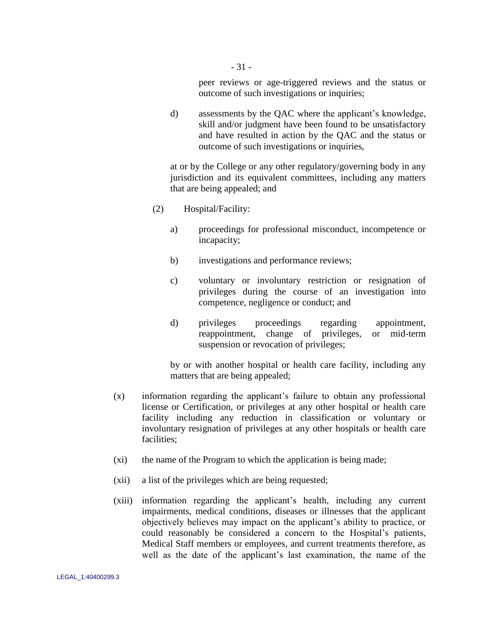peer reviews or age-triggered reviews and the status or outcome of such investigations or inquiries;

d) assessments by the QAC where the applicant's knowledge, skill and/or judgment have been found to be unsatisfactory and have resulted in action by the QAC and the status or outcome of such investigations or inquiries,

at or by the College or any other regulatory/governing body in any jurisdiction and its equivalent committees, including any matters that are being appealed; and

- (2) Hospital/Facility:
	- a) proceedings for professional misconduct, incompetence or incapacity;
	- b) investigations and performance reviews;
	- c) voluntary or involuntary restriction or resignation of privileges during the course of an investigation into competence, negligence or conduct; and
	- d) privileges proceedings regarding appointment, reappointment, change of privileges, or mid-term suspension or revocation of privileges;

by or with another hospital or health care facility, including any matters that are being appealed;

- (x) information regarding the applicant"s failure to obtain any professional license or Certification, or privileges at any other hospital or health care facility including any reduction in classification or voluntary or involuntary resignation of privileges at any other hospitals or health care facilities;
- (xi) the name of the Program to which the application is being made;
- (xii) a list of the privileges which are being requested;
- (xiii) information regarding the applicant"s health, including any current impairments, medical conditions, diseases or illnesses that the applicant objectively believes may impact on the applicant"s ability to practice, or could reasonably be considered a concern to the Hospital"s patients, Medical Staff members or employees, and current treatments therefore, as well as the date of the applicant's last examination, the name of the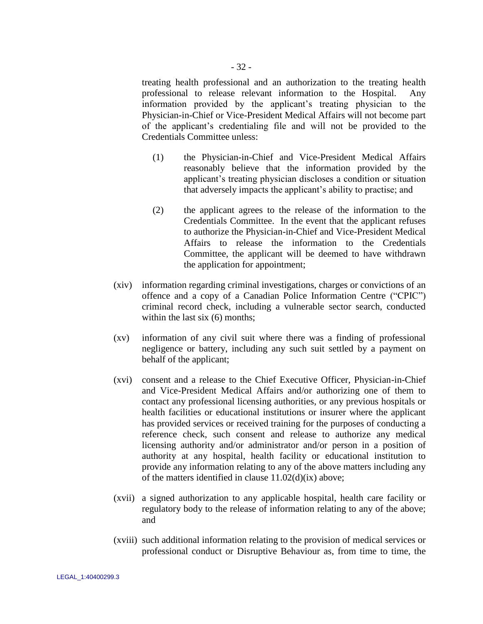treating health professional and an authorization to the treating health professional to release relevant information to the Hospital. Any information provided by the applicant"s treating physician to the Physician-in-Chief or Vice-President Medical Affairs will not become part of the applicant"s credentialing file and will not be provided to the Credentials Committee unless:

- (1) the Physician-in-Chief and Vice-President Medical Affairs reasonably believe that the information provided by the applicant"s treating physician discloses a condition or situation that adversely impacts the applicant"s ability to practise; and
- (2) the applicant agrees to the release of the information to the Credentials Committee. In the event that the applicant refuses to authorize the Physician-in-Chief and Vice-President Medical Affairs to release the information to the Credentials Committee, the applicant will be deemed to have withdrawn the application for appointment;
- (xiv) information regarding criminal investigations, charges or convictions of an offence and a copy of a Canadian Police Information Centre ("CPIC") criminal record check, including a vulnerable sector search, conducted within the last six (6) months:
- <span id="page-36-0"></span>(xv) information of any civil suit where there was a finding of professional negligence or battery, including any such suit settled by a payment on behalf of the applicant;
- (xvi) consent and a release to the Chief Executive Officer, Physician-in-Chief and Vice-President Medical Affairs and/or authorizing one of them to contact any professional licensing authorities, or any previous hospitals or health facilities or educational institutions or insurer where the applicant has provided services or received training for the purposes of conducting a reference check, such consent and release to authorize any medical licensing authority and/or administrator and/or person in a position of authority at any hospital, health facility or educational institution to provide any information relating to any of the above matters including any of the matters identified in clause  $11.02(d)(ix)$  above;
- (xvii) a signed authorization to any applicable hospital, health care facility or regulatory body to the release of information relating to any of the above; and
- (xviii) such additional information relating to the provision of medical services or professional conduct or Disruptive Behaviour as, from time to time, the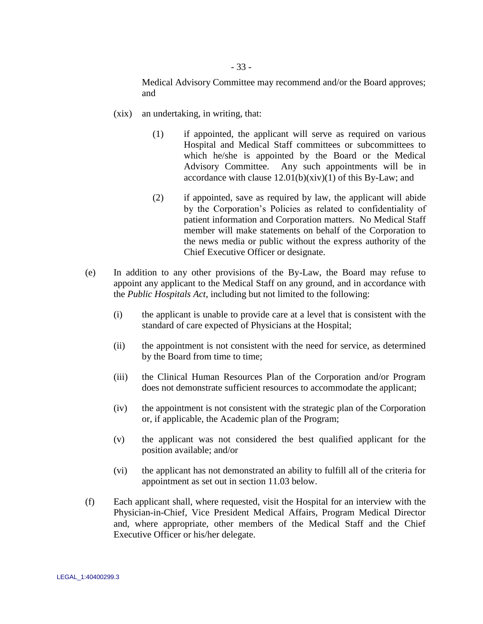Medical Advisory Committee may recommend and/or the Board approves; and

- <span id="page-37-0"></span>(xix) an undertaking, in writing, that:
	- (1) if appointed, the applicant will serve as required on various Hospital and Medical Staff committees or subcommittees to which he/she is appointed by the Board or the Medical Advisory Committee. Any such appointments will be in accordance with clause  $12.01(b)(xiv)(1)$  of this By-Law; and
	- (2) if appointed, save as required by law, the applicant will abide by the Corporation"s Policies as related to confidentiality of patient information and Corporation matters. No Medical Staff member will make statements on behalf of the Corporation to the news media or public without the express authority of the Chief Executive Officer or designate.
- (e) In addition to any other provisions of the By-Law, the Board may refuse to appoint any applicant to the Medical Staff on any ground, and in accordance with the *Public Hospitals Act*, including but not limited to the following:
	- (i) the applicant is unable to provide care at a level that is consistent with the standard of care expected of Physicians at the Hospital;
	- (ii) the appointment is not consistent with the need for service, as determined by the Board from time to time;
	- (iii) the Clinical Human Resources Plan of the Corporation and/or Program does not demonstrate sufficient resources to accommodate the applicant;
	- (iv) the appointment is not consistent with the strategic plan of the Corporation or, if applicable, the Academic plan of the Program;
	- (v) the applicant was not considered the best qualified applicant for the position available; and/or
	- (vi) the applicant has not demonstrated an ability to fulfill all of the criteria for appointment as set out in section [11.03](#page-38-0) below.
- (f) Each applicant shall, where requested, visit the Hospital for an interview with the Physician-in-Chief, Vice President Medical Affairs, Program Medical Director and, where appropriate, other members of the Medical Staff and the Chief Executive Officer or his/her delegate.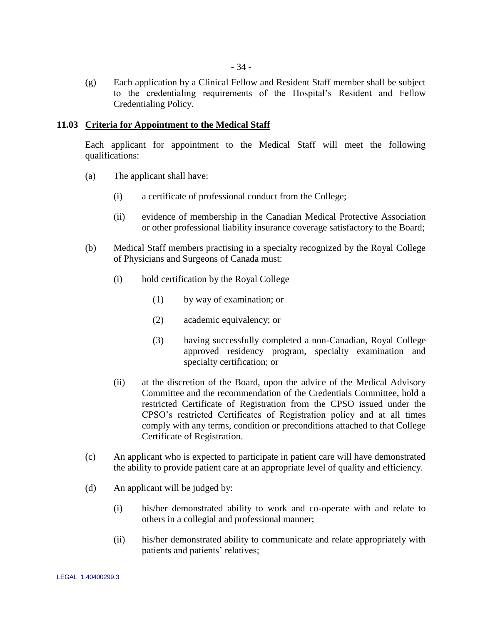(g) Each application by a Clinical Fellow and Resident Staff member shall be subject to the credentialing requirements of the Hospital"s Resident and Fellow Credentialing Policy.

### <span id="page-38-0"></span>**11.03 Criteria for Appointment to the Medical Staff**

Each applicant for appointment to the Medical Staff will meet the following qualifications:

- (a) The applicant shall have:
	- (i) a certificate of professional conduct from the College;
	- (ii) evidence of membership in the Canadian Medical Protective Association or other professional liability insurance coverage satisfactory to the Board;
- (b) Medical Staff members practising in a specialty recognized by the Royal College of Physicians and Surgeons of Canada must:
	- (i) hold certification by the Royal College
		- (1) by way of examination; or
		- (2) academic equivalency; or
		- (3) having successfully completed a non-Canadian, Royal College approved residency program, specialty examination and specialty certification; or
	- (ii) at the discretion of the Board, upon the advice of the Medical Advisory Committee and the recommendation of the Credentials Committee, hold a restricted Certificate of Registration from the CPSO issued under the CPSO"s restricted Certificates of Registration policy and at all times comply with any terms, condition or preconditions attached to that College Certificate of Registration.
- (c) An applicant who is expected to participate in patient care will have demonstrated the ability to provide patient care at an appropriate level of quality and efficiency.
- (d) An applicant will be judged by:
	- (i) his/her demonstrated ability to work and co-operate with and relate to others in a collegial and professional manner;
	- (ii) his/her demonstrated ability to communicate and relate appropriately with patients and patients' relatives;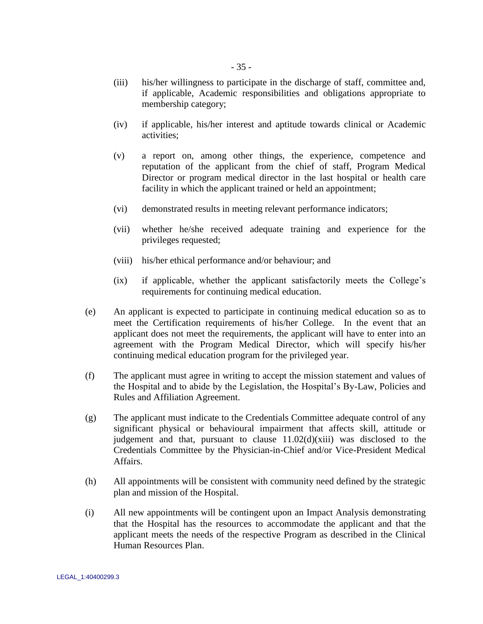- (iii) his/her willingness to participate in the discharge of staff, committee and, if applicable, Academic responsibilities and obligations appropriate to membership category;
- (iv) if applicable, his/her interest and aptitude towards clinical or Academic activities;
- (v) a report on, among other things, the experience, competence and reputation of the applicant from the chief of staff, Program Medical Director or program medical director in the last hospital or health care facility in which the applicant trained or held an appointment;
- (vi) demonstrated results in meeting relevant performance indicators;
- (vii) whether he/she received adequate training and experience for the privileges requested;
- (viii) his/her ethical performance and/or behaviour; and
- (ix) if applicable, whether the applicant satisfactorily meets the College"s requirements for continuing medical education.
- (e) An applicant is expected to participate in continuing medical education so as to meet the Certification requirements of his/her College. In the event that an applicant does not meet the requirements, the applicant will have to enter into an agreement with the Program Medical Director, which will specify his/her continuing medical education program for the privileged year.
- (f) The applicant must agree in writing to accept the mission statement and values of the Hospital and to abide by the Legislation, the Hospital"s By-Law, Policies and Rules and Affiliation Agreement.
- (g) The applicant must indicate to the Credentials Committee adequate control of any significant physical or behavioural impairment that affects skill, attitude or judgement and that, pursuant to clause  $11.02(d)(xiii)$  was disclosed to the Credentials Committee by the Physician-in-Chief and/or Vice-President Medical Affairs.
- (h) All appointments will be consistent with community need defined by the strategic plan and mission of the Hospital.
- (i) All new appointments will be contingent upon an Impact Analysis demonstrating that the Hospital has the resources to accommodate the applicant and that the applicant meets the needs of the respective Program as described in the Clinical Human Resources Plan.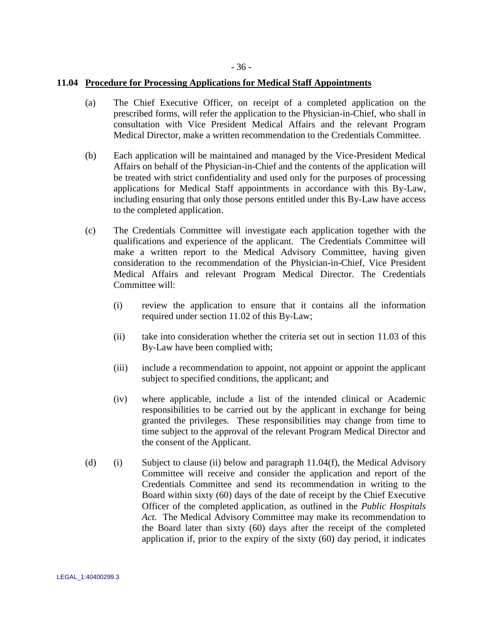### <span id="page-40-0"></span>**11.04 Procedure for Processing Applications for Medical Staff Appointments**

- (a) The Chief Executive Officer, on receipt of a completed application on the prescribed forms, will refer the application to the Physician-in-Chief, who shall in consultation with Vice President Medical Affairs and the relevant Program Medical Director, make a written recommendation to the Credentials Committee.
- (b) Each application will be maintained and managed by the Vice-President Medical Affairs on behalf of the Physician-in-Chief and the contents of the application will be treated with strict confidentiality and used only for the purposes of processing applications for Medical Staff appointments in accordance with this By-Law, including ensuring that only those persons entitled under this By-Law have access to the completed application.
- (c) The Credentials Committee will investigate each application together with the qualifications and experience of the applicant. The Credentials Committee will make a written report to the Medical Advisory Committee, having given consideration to the recommendation of the Physician-in-Chief, Vice President Medical Affairs and relevant Program Medical Director. The Credentials Committee will:
	- (i) review the application to ensure that it contains all the information required under section [11.02](#page-32-0) of this By-Law;
	- (ii) take into consideration whether the criteria set out in section [11.03](#page-38-0) of this By-Law have been complied with;
	- (iii) include a recommendation to appoint, not appoint or appoint the applicant subject to specified conditions, the applicant; and
	- (iv) where applicable, include a list of the intended clinical or Academic responsibilities to be carried out by the applicant in exchange for being granted the privileges. These responsibilities may change from time to time subject to the approval of the relevant Program Medical Director and the consent of the Applicant.
- <span id="page-40-1"></span>(d) (i) Subject to clause [\(ii\)](#page-41-0) below and paragraph  $11.04(f)$ , the Medical Advisory Committee will receive and consider the application and report of the Credentials Committee and send its recommendation in writing to the Board within sixty (60) days of the date of receipt by the Chief Executive Officer of the completed application, as outlined in the *Public Hospitals Act*. The Medical Advisory Committee may make its recommendation to the Board later than sixty (60) days after the receipt of the completed application if, prior to the expiry of the sixty (60) day period, it indicates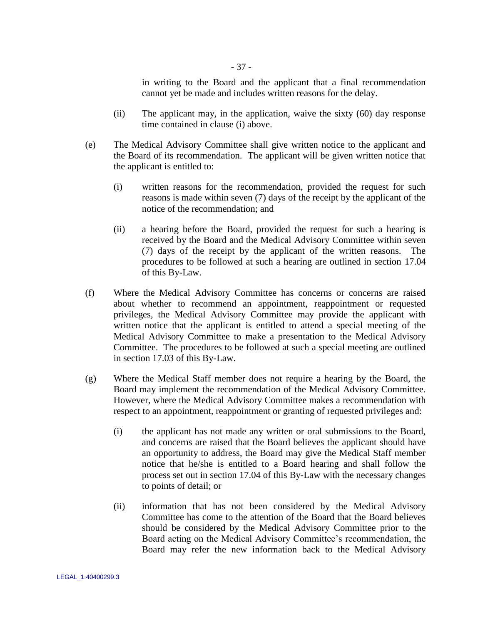in writing to the Board and the applicant that a final recommendation cannot yet be made and includes written reasons for the delay.

- (ii) The applicant may, in the application, waive the sixty (60) day response time contained in clause [\(i\)](#page-40-1) above.
- <span id="page-41-0"></span>(e) The Medical Advisory Committee shall give written notice to the applicant and the Board of its recommendation. The applicant will be given written notice that the applicant is entitled to:
	- (i) written reasons for the recommendation, provided the request for such reasons is made within seven (7) days of the receipt by the applicant of the notice of the recommendation; and
	- (ii) a hearing before the Board, provided the request for such a hearing is received by the Board and the Medical Advisory Committee within seven (7) days of the receipt by the applicant of the written reasons. The procedures to be followed at such a hearing are outlined in section [17.04](#page-77-0) of this By-Law.
- (f) Where the Medical Advisory Committee has concerns or concerns are raised about whether to recommend an appointment, reappointment or requested privileges, the Medical Advisory Committee may provide the applicant with written notice that the applicant is entitled to attend a special meeting of the Medical Advisory Committee to make a presentation to the Medical Advisory Committee. The procedures to be followed at such a special meeting are outlined in section [17.03](#page-74-0) of this By-Law.
- (g) Where the Medical Staff member does not require a hearing by the Board, the Board may implement the recommendation of the Medical Advisory Committee. However, where the Medical Advisory Committee makes a recommendation with respect to an appointment, reappointment or granting of requested privileges and:
	- (i) the applicant has not made any written or oral submissions to the Board, and concerns are raised that the Board believes the applicant should have an opportunity to address, the Board may give the Medical Staff member notice that he/she is entitled to a Board hearing and shall follow the process set out in section [17.04](#page-77-0) of this By-Law with the necessary changes to points of detail; or
	- (ii) information that has not been considered by the Medical Advisory Committee has come to the attention of the Board that the Board believes should be considered by the Medical Advisory Committee prior to the Board acting on the Medical Advisory Committee"s recommendation, the Board may refer the new information back to the Medical Advisory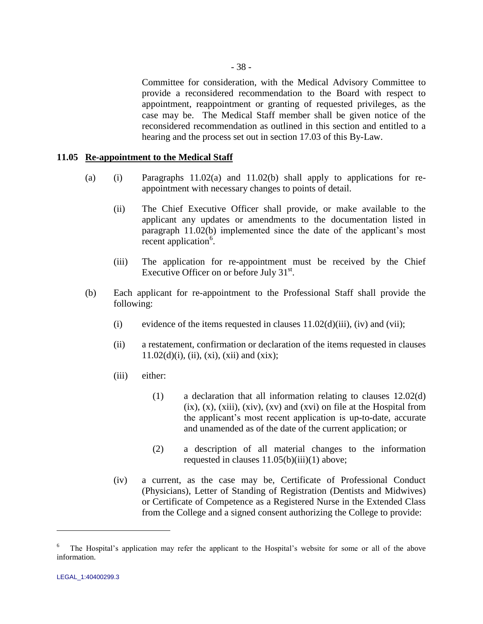Committee for consideration, with the Medical Advisory Committee to provide a reconsidered recommendation to the Board with respect to appointment, reappointment or granting of requested privileges, as the case may be. The Medical Staff member shall be given notice of the reconsidered recommendation as outlined in this section and entitled to a hearing and the process set out in section [17.03](#page-74-0) of this By-Law.

### <span id="page-42-0"></span>**11.05 Re-appointment to the Medical Staff**

- (a) (i) Paragraphs  $11.02(a)$  and  $11.02(b)$  shall apply to applications for reappointment with necessary changes to points of detail.
	- (ii) The Chief Executive Officer shall provide, or make available to the applicant any updates or amendments to the documentation listed in paragraph [11.02\(b\)](#page-32-2) implemented since the date of the applicant's most  $\text{recent application}^6$ .
	- (iii) The application for re-appointment must be received by the Chief Executive Officer on or before July  $31<sup>st</sup>$ .
- <span id="page-42-1"></span>(b) Each applicant for re-appointment to the Professional Staff shall provide the following:
	- (i) evidence of the items requested in clauses  $11.02(d)(iii)$ , [\(iv\)](#page-33-1) and [\(vii\);](#page-33-2)
	- (ii) a restatement, confirmation or declaration of the items requested in clauses  $11.02(d)(i)$ , [\(ii\),](#page-33-3) [\(xi\),](#page-35-1) [\(xii\)](#page-35-2) and [\(xix\);](#page-37-0)
	- (iii) either:
		- (1) a declaration that all information relating to clauses 12.02(d)  $(ix), (x), (xiii), (xiv), (xv)$  and  $(xvi)$  on file at the Hospital from the applicant"s most recent application is up-to-date, accurate and unamended as of the date of the current application; or
		- (2) a description of all material changes to the information requested in clauses 11.05(b)(iii)(1) above;
	- (iv) a current, as the case may be, Certificate of Professional Conduct (Physicians), Letter of Standing of Registration (Dentists and Midwives) or Certificate of Competence as a Registered Nurse in the Extended Class from the College and a signed consent authorizing the College to provide:

 $\overline{a}$ 

<sup>6</sup> The Hospital's application may refer the applicant to the Hospital's website for some or all of the above information.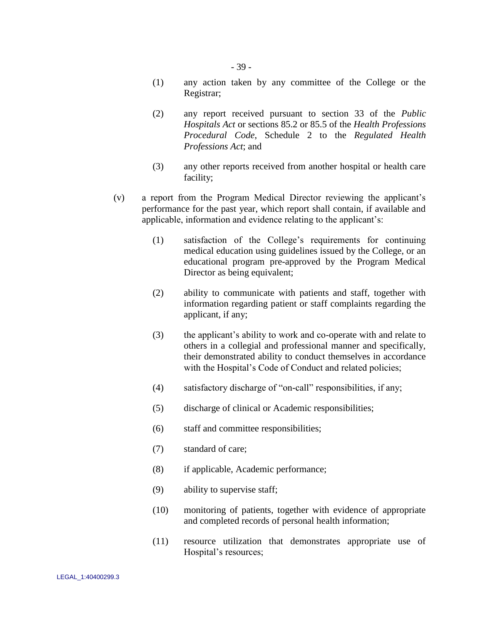- 39 -

- (1) any action taken by any committee of the College or the Registrar;
- (2) any report received pursuant to section 33 of the *Public Hospitals Act* or sections 85.2 or 85.5 of the *Health Professions Procedural Code*, Schedule 2 to the *Regulated Health Professions Act*; and
- (3) any other reports received from another hospital or health care facility;
- <span id="page-43-0"></span>(v) a report from the Program Medical Director reviewing the applicant"s performance for the past year, which report shall contain, if available and applicable, information and evidence relating to the applicant"s:
	- (1) satisfaction of the College"s requirements for continuing medical education using guidelines issued by the College, or an educational program pre-approved by the Program Medical Director as being equivalent;
	- (2) ability to communicate with patients and staff, together with information regarding patient or staff complaints regarding the applicant, if any;
	- (3) the applicant"s ability to work and co-operate with and relate to others in a collegial and professional manner and specifically, their demonstrated ability to conduct themselves in accordance with the Hospital's Code of Conduct and related policies;
	- (4) satisfactory discharge of "on-call" responsibilities, if any;
	- (5) discharge of clinical or Academic responsibilities;
	- (6) staff and committee responsibilities;
	- (7) standard of care;
	- (8) if applicable, Academic performance;
	- (9) ability to supervise staff;
	- (10) monitoring of patients, together with evidence of appropriate and completed records of personal health information;
	- (11) resource utilization that demonstrates appropriate use of Hospital"s resources;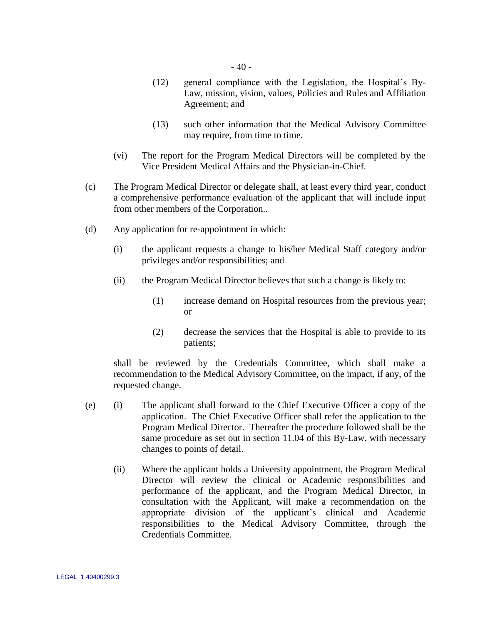- (12) general compliance with the Legislation, the Hospital"s By-Law, mission, vision, values, Policies and Rules and Affiliation Agreement; and
- (13) such other information that the Medical Advisory Committee may require, from time to time.
- (vi) The report for the Program Medical Directors will be completed by the Vice President Medical Affairs and the Physician-in-Chief.
- (c) The Program Medical Director or delegate shall, at least every third year, conduct a comprehensive performance evaluation of the applicant that will include input from other members of the Corporation..
- (d) Any application for re-appointment in which:
	- (i) the applicant requests a change to his/her Medical Staff category and/or privileges and/or responsibilities; and
	- (ii) the Program Medical Director believes that such a change is likely to:
		- (1) increase demand on Hospital resources from the previous year; or
		- (2) decrease the services that the Hospital is able to provide to its patients;

shall be reviewed by the Credentials Committee, which shall make a recommendation to the Medical Advisory Committee, on the impact, if any, of the requested change.

- (e) (i) The applicant shall forward to the Chief Executive Officer a copy of the application. The Chief Executive Officer shall refer the application to the Program Medical Director. Thereafter the procedure followed shall be the same procedure as set out in section [11.04](#page-40-0) of this By-Law, with necessary changes to points of detail.
	- (ii) Where the applicant holds a University appointment, the Program Medical Director will review the clinical or Academic responsibilities and performance of the applicant, and the Program Medical Director, in consultation with the Applicant, will make a recommendation on the appropriate division of the applicant"s clinical and Academic responsibilities to the Medical Advisory Committee, through the Credentials Committee.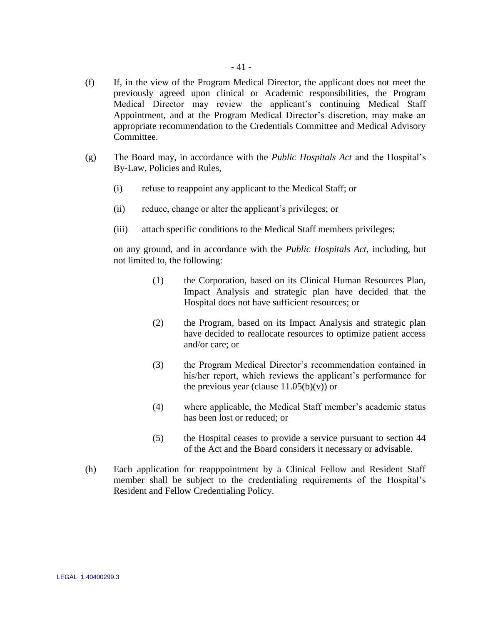- (f) If, in the view of the Program Medical Director, the applicant does not meet the previously agreed upon clinical or Academic responsibilities, the Program Medical Director may review the applicant's continuing Medical Staff Appointment, and at the Program Medical Director's discretion, may make an appropriate recommendation to the Credentials Committee and Medical Advisory Committee.
- (g) The Board may, in accordance with the *Public Hospitals Act* and the Hospital"s By-Law, Policies and Rules,
	- (i) refuse to reappoint any applicant to the Medical Staff; or
	- (ii) reduce, change or alter the applicant"s privileges; or
	- (iii) attach specific conditions to the Medical Staff members privileges;

on any ground, and in accordance with the *Public Hospitals Act*, including, but not limited to, the following:

- (1) the Corporation, based on its Clinical Human Resources Plan, Impact Analysis and strategic plan have decided that the Hospital does not have sufficient resources; or
- (2) the Program, based on its Impact Analysis and strategic plan have decided to reallocate resources to optimize patient access and/or care; or
- (3) the Program Medical Director"s recommendation contained in his/her report, which reviews the applicant's performance for the previous year (clause  $11.05(b)(v)$ ) or
- (4) where applicable, the Medical Staff member"s academic status has been lost or reduced; or
- (5) the Hospital ceases to provide a service pursuant to section 44 of the Act and the Board considers it necessary or advisable.
- (h) Each application for reapppointment by a Clinical Fellow and Resident Staff member shall be subject to the credentialing requirements of the Hospital"s Resident and Fellow Credentialing Policy.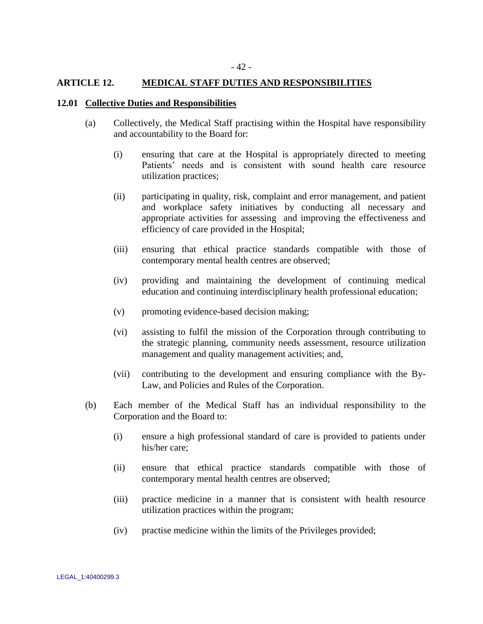### **ARTICLE 12. MEDICAL STAFF DUTIES AND RESPONSIBILITIES**

#### **12.01 Collective Duties and Responsibilities**

- (a) Collectively, the Medical Staff practising within the Hospital have responsibility and accountability to the Board for:
	- (i) ensuring that care at the Hospital is appropriately directed to meeting Patients' needs and is consistent with sound health care resource utilization practices;
	- (ii) participating in quality, risk, complaint and error management, and patient and workplace safety initiatives by conducting all necessary and appropriate activities for assessing and improving the effectiveness and efficiency of care provided in the Hospital;
	- (iii) ensuring that ethical practice standards compatible with those of contemporary mental health centres are observed;
	- (iv) providing and maintaining the development of continuing medical education and continuing interdisciplinary health professional education;
	- (v) promoting evidence-based decision making;
	- (vi) assisting to fulfil the mission of the Corporation through contributing to the strategic planning, community needs assessment, resource utilization management and quality management activities; and,
	- (vii) contributing to the development and ensuring compliance with the By-Law, and Policies and Rules of the Corporation.
- (b) Each member of the Medical Staff has an individual responsibility to the Corporation and the Board to:
	- (i) ensure a high professional standard of care is provided to patients under his/her care;
	- (ii) ensure that ethical practice standards compatible with those of contemporary mental health centres are observed;
	- (iii) practice medicine in a manner that is consistent with health resource utilization practices within the program;
	- (iv) practise medicine within the limits of the Privileges provided;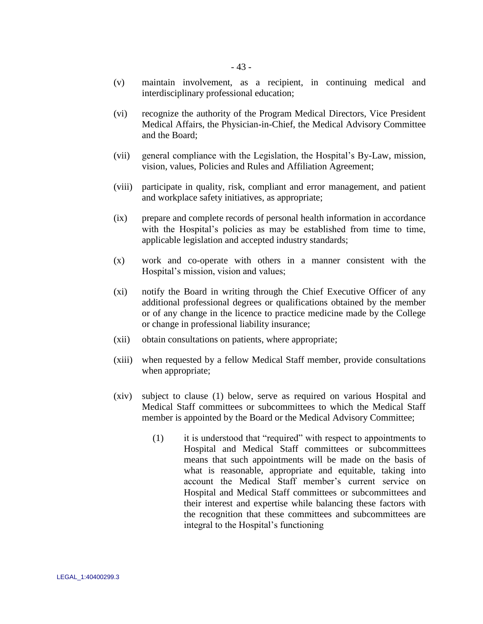- (v) maintain involvement, as a recipient, in continuing medical and interdisciplinary professional education;
- (vi) recognize the authority of the Program Medical Directors, Vice President Medical Affairs, the Physician-in-Chief, the Medical Advisory Committee and the Board;
- (vii) general compliance with the Legislation, the Hospital"s By-Law, mission, vision, values, Policies and Rules and Affiliation Agreement;
- (viii) participate in quality, risk, compliant and error management, and patient and workplace safety initiatives, as appropriate;
- (ix) prepare and complete records of personal health information in accordance with the Hospital's policies as may be established from time to time, applicable legislation and accepted industry standards;
- (x) work and co-operate with others in a manner consistent with the Hospital's mission, vision and values;
- (xi) notify the Board in writing through the Chief Executive Officer of any additional professional degrees or qualifications obtained by the member or of any change in the licence to practice medicine made by the College or change in professional liability insurance;
- (xii) obtain consultations on patients, where appropriate;
- (xiii) when requested by a fellow Medical Staff member, provide consultations when appropriate;
- <span id="page-47-0"></span>(xiv) subject to clause (1) below, serve as required on various Hospital and Medical Staff committees or subcommittees to which the Medical Staff member is appointed by the Board or the Medical Advisory Committee;
	- (1) it is understood that "required" with respect to appointments to Hospital and Medical Staff committees or subcommittees means that such appointments will be made on the basis of what is reasonable, appropriate and equitable, taking into account the Medical Staff member"s current service on Hospital and Medical Staff committees or subcommittees and their interest and expertise while balancing these factors with the recognition that these committees and subcommittees are integral to the Hospital's functioning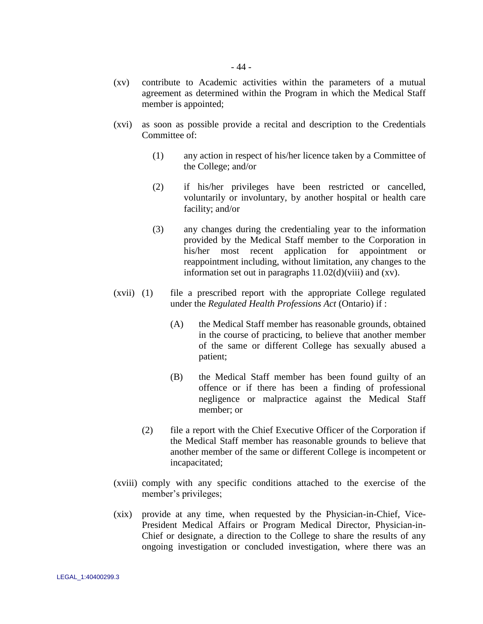- (xv) contribute to Academic activities within the parameters of a mutual agreement as determined within the Program in which the Medical Staff member is appointed;
- (xvi) as soon as possible provide a recital and description to the Credentials Committee of:
	- (1) any action in respect of his/her licence taken by a Committee of the College; and/or
	- (2) if his/her privileges have been restricted or cancelled, voluntarily or involuntary, by another hospital or health care facility; and/or
	- (3) any changes during the credentialing year to the information provided by the Medical Staff member to the Corporation in his/her most recent application for appointment or reappointment including, without limitation, any changes to the information set out in paragraphs  $11.02(d)(viii)$  and  $(xv)$ .
- (xvii) (1) file a prescribed report with the appropriate College regulated under the *Regulated Health Professions Act* (Ontario) if :
	- (A) the Medical Staff member has reasonable grounds, obtained in the course of practicing, to believe that another member of the same or different College has sexually abused a patient;
	- (B) the Medical Staff member has been found guilty of an offence or if there has been a finding of professional negligence or malpractice against the Medical Staff member; or
	- (2) file a report with the Chief Executive Officer of the Corporation if the Medical Staff member has reasonable grounds to believe that another member of the same or different College is incompetent or incapacitated;
- (xviii) comply with any specific conditions attached to the exercise of the member's privileges;
- (xix) provide at any time, when requested by the Physician-in-Chief, Vice-President Medical Affairs or Program Medical Director, Physician-in-Chief or designate, a direction to the College to share the results of any ongoing investigation or concluded investigation, where there was an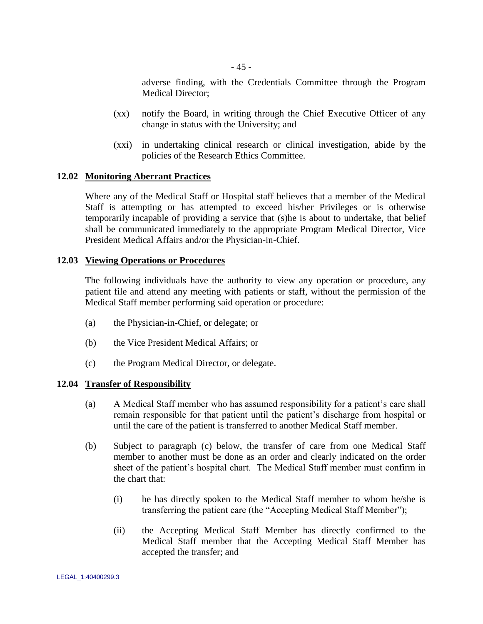adverse finding, with the Credentials Committee through the Program Medical Director;

- (xx) notify the Board, in writing through the Chief Executive Officer of any change in status with the University; and
- (xxi) in undertaking clinical research or clinical investigation, abide by the policies of the Research Ethics Committee.

### **12.02 Monitoring Aberrant Practices**

Where any of the Medical Staff or Hospital staff believes that a member of the Medical Staff is attempting or has attempted to exceed his/her Privileges or is otherwise temporarily incapable of providing a service that (s)he is about to undertake, that belief shall be communicated immediately to the appropriate Program Medical Director, Vice President Medical Affairs and/or the Physician-in-Chief.

#### **12.03 Viewing Operations or Procedures**

The following individuals have the authority to view any operation or procedure, any patient file and attend any meeting with patients or staff, without the permission of the Medical Staff member performing said operation or procedure:

- (a) the Physician-in-Chief, or delegate; or
- (b) the Vice President Medical Affairs; or
- (c) the Program Medical Director, or delegate.

### **12.04 Transfer of Responsibility**

- (a) A Medical Staff member who has assumed responsibility for a patient"s care shall remain responsible for that patient until the patient's discharge from hospital or until the care of the patient is transferred to another Medical Staff member.
- (b) Subject to paragraph [\(c\) below,](#page-50-0) the transfer of care from one Medical Staff member to another must be done as an order and clearly indicated on the order sheet of the patient"s hospital chart. The Medical Staff member must confirm in the chart that:
	- (i) he has directly spoken to the Medical Staff member to whom he/she is transferring the patient care (the "Accepting Medical Staff Member");
	- (ii) the Accepting Medical Staff Member has directly confirmed to the Medical Staff member that the Accepting Medical Staff Member has accepted the transfer; and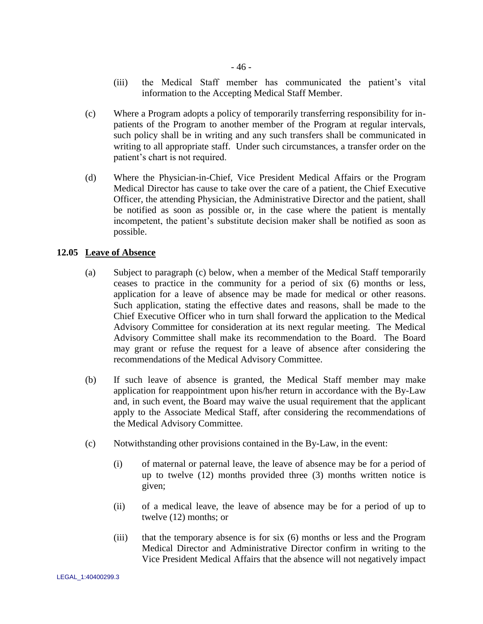- (iii) the Medical Staff member has communicated the patient"s vital information to the Accepting Medical Staff Member.
- <span id="page-50-0"></span>(c) Where a Program adopts a policy of temporarily transferring responsibility for inpatients of the Program to another member of the Program at regular intervals, such policy shall be in writing and any such transfers shall be communicated in writing to all appropriate staff. Under such circumstances, a transfer order on the patient"s chart is not required.
- (d) Where the Physician-in-Chief, Vice President Medical Affairs or the Program Medical Director has cause to take over the care of a patient, the Chief Executive Officer, the attending Physician, the Administrative Director and the patient, shall be notified as soon as possible or, in the case where the patient is mentally incompetent, the patient's substitute decision maker shall be notified as soon as possible.

## **12.05 Leave of Absence**

- (a) Subject to paragraph [\(c\) below,](#page-50-1) when a member of the Medical Staff temporarily ceases to practice in the community for a period of six (6) months or less, application for a leave of absence may be made for medical or other reasons. Such application, stating the effective dates and reasons, shall be made to the Chief Executive Officer who in turn shall forward the application to the Medical Advisory Committee for consideration at its next regular meeting. The Medical Advisory Committee shall make its recommendation to the Board. The Board may grant or refuse the request for a leave of absence after considering the recommendations of the Medical Advisory Committee.
- (b) If such leave of absence is granted, the Medical Staff member may make application for reappointment upon his/her return in accordance with the By-Law and, in such event, the Board may waive the usual requirement that the applicant apply to the Associate Medical Staff, after considering the recommendations of the Medical Advisory Committee.
- <span id="page-50-1"></span>(c) Notwithstanding other provisions contained in the By-Law, in the event:
	- (i) of maternal or paternal leave, the leave of absence may be for a period of up to twelve (12) months provided three (3) months written notice is given;
	- (ii) of a medical leave, the leave of absence may be for a period of up to twelve (12) months; or
	- (iii) that the temporary absence is for six (6) months or less and the Program Medical Director and Administrative Director confirm in writing to the Vice President Medical Affairs that the absence will not negatively impact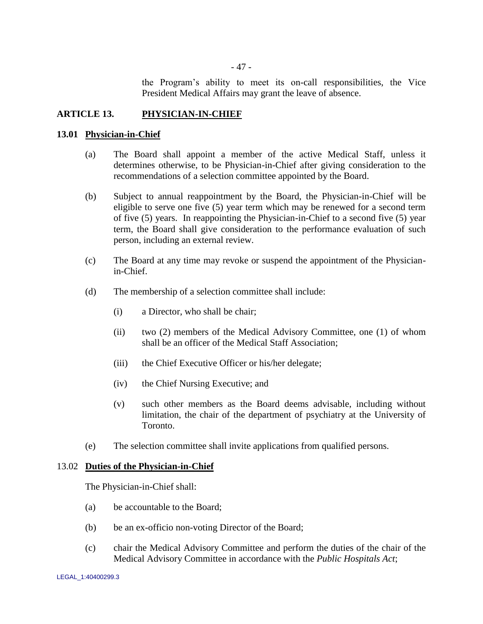the Program"s ability to meet its on-call responsibilities, the Vice President Medical Affairs may grant the leave of absence.

## **ARTICLE 13. PHYSICIAN-IN-CHIEF**

### **13.01 Physician-in-Chief**

- (a) The Board shall appoint a member of the active Medical Staff, unless it determines otherwise, to be Physician-in-Chief after giving consideration to the recommendations of a selection committee appointed by the Board.
- (b) Subject to annual reappointment by the Board, the Physician-in-Chief will be eligible to serve one five (5) year term which may be renewed for a second term of five (5) years. In reappointing the Physician-in-Chief to a second five (5) year term, the Board shall give consideration to the performance evaluation of such person, including an external review.
- (c) The Board at any time may revoke or suspend the appointment of the Physicianin-Chief.
- (d) The membership of a selection committee shall include:
	- (i) a Director, who shall be chair;
	- (ii) two (2) members of the Medical Advisory Committee, one (1) of whom shall be an officer of the Medical Staff Association;
	- (iii) the Chief Executive Officer or his/her delegate;
	- (iv) the Chief Nursing Executive; and
	- (v) such other members as the Board deems advisable, including without limitation, the chair of the department of psychiatry at the University of Toronto.
- (e) The selection committee shall invite applications from qualified persons.

### 13.02 **Duties of the Physician-in-Chief**

The Physician-in-Chief shall:

- (a) be accountable to the Board;
- (b) be an ex-officio non-voting Director of the Board;
- (c) chair the Medical Advisory Committee and perform the duties of the chair of the Medical Advisory Committee in accordance with the *Public Hospitals Act*;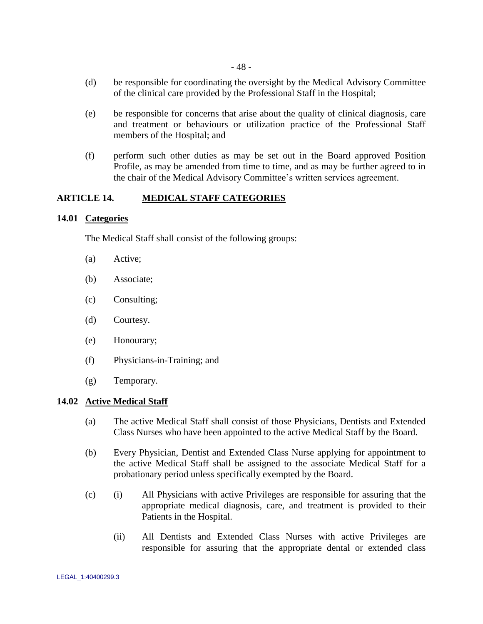- (d) be responsible for coordinating the oversight by the Medical Advisory Committee of the clinical care provided by the Professional Staff in the Hospital;
- (e) be responsible for concerns that arise about the quality of clinical diagnosis, care and treatment or behaviours or utilization practice of the Professional Staff members of the Hospital; and
- (f) perform such other duties as may be set out in the Board approved Position Profile, as may be amended from time to time, and as may be further agreed to in the chair of the Medical Advisory Committee"s written services agreement.

# **ARTICLE 14. MEDICAL STAFF CATEGORIES**

## **14.01 Categories**

The Medical Staff shall consist of the following groups:

- (a) Active;
- (b) Associate;
- (c) Consulting;
- (d) Courtesy.
- (e) Honourary;
- (f) Physicians-in-Training; and
- (g) Temporary.

### **14.02 Active Medical Staff**

- (a) The active Medical Staff shall consist of those Physicians, Dentists and Extended Class Nurses who have been appointed to the active Medical Staff by the Board.
- (b) Every Physician, Dentist and Extended Class Nurse applying for appointment to the active Medical Staff shall be assigned to the associate Medical Staff for a probationary period unless specifically exempted by the Board.
- (c) (i) All Physicians with active Privileges are responsible for assuring that the appropriate medical diagnosis, care, and treatment is provided to their Patients in the Hospital.
	- (ii) All Dentists and Extended Class Nurses with active Privileges are responsible for assuring that the appropriate dental or extended class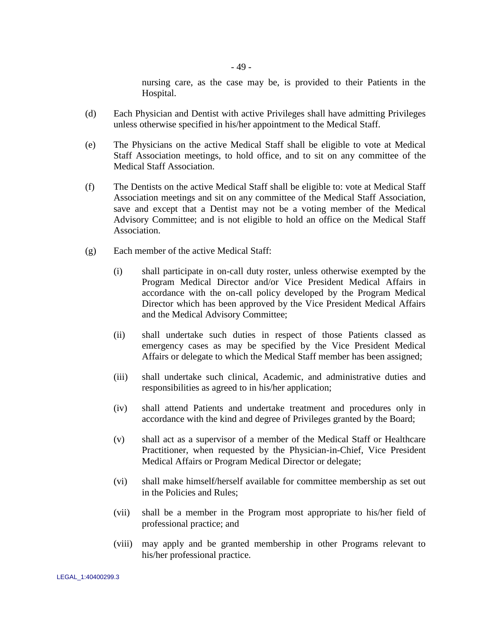nursing care, as the case may be, is provided to their Patients in the Hospital.

- (d) Each Physician and Dentist with active Privileges shall have admitting Privileges unless otherwise specified in his/her appointment to the Medical Staff.
- (e) The Physicians on the active Medical Staff shall be eligible to vote at Medical Staff Association meetings, to hold office, and to sit on any committee of the Medical Staff Association.
- (f) The Dentists on the active Medical Staff shall be eligible to: vote at Medical Staff Association meetings and sit on any committee of the Medical Staff Association, save and except that a Dentist may not be a voting member of the Medical Advisory Committee; and is not eligible to hold an office on the Medical Staff Association.
- (g) Each member of the active Medical Staff:
	- (i) shall participate in on-call duty roster, unless otherwise exempted by the Program Medical Director and/or Vice President Medical Affairs in accordance with the on-call policy developed by the Program Medical Director which has been approved by the Vice President Medical Affairs and the Medical Advisory Committee;
	- (ii) shall undertake such duties in respect of those Patients classed as emergency cases as may be specified by the Vice President Medical Affairs or delegate to which the Medical Staff member has been assigned;
	- (iii) shall undertake such clinical, Academic, and administrative duties and responsibilities as agreed to in his/her application;
	- (iv) shall attend Patients and undertake treatment and procedures only in accordance with the kind and degree of Privileges granted by the Board;
	- (v) shall act as a supervisor of a member of the Medical Staff or Healthcare Practitioner, when requested by the Physician-in-Chief, Vice President Medical Affairs or Program Medical Director or delegate;
	- (vi) shall make himself/herself available for committee membership as set out in the Policies and Rules;
	- (vii) shall be a member in the Program most appropriate to his/her field of professional practice; and
	- (viii) may apply and be granted membership in other Programs relevant to his/her professional practice.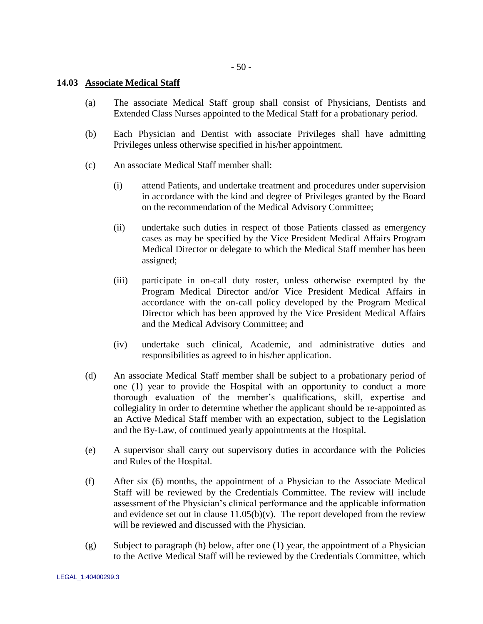$-50-$ 

## **14.03 Associate Medical Staff**

- (a) The associate Medical Staff group shall consist of Physicians, Dentists and Extended Class Nurses appointed to the Medical Staff for a probationary period.
- (b) Each Physician and Dentist with associate Privileges shall have admitting Privileges unless otherwise specified in his/her appointment.
- (c) An associate Medical Staff member shall:
	- (i) attend Patients, and undertake treatment and procedures under supervision in accordance with the kind and degree of Privileges granted by the Board on the recommendation of the Medical Advisory Committee;
	- (ii) undertake such duties in respect of those Patients classed as emergency cases as may be specified by the Vice President Medical Affairs Program Medical Director or delegate to which the Medical Staff member has been assigned;
	- (iii) participate in on-call duty roster, unless otherwise exempted by the Program Medical Director and/or Vice President Medical Affairs in accordance with the on-call policy developed by the Program Medical Director which has been approved by the Vice President Medical Affairs and the Medical Advisory Committee; and
	- (iv) undertake such clinical, Academic, and administrative duties and responsibilities as agreed to in his/her application.
- (d) An associate Medical Staff member shall be subject to a probationary period of one (1) year to provide the Hospital with an opportunity to conduct a more thorough evaluation of the member"s qualifications, skill, expertise and collegiality in order to determine whether the applicant should be re-appointed as an Active Medical Staff member with an expectation, subject to the Legislation and the By-Law, of continued yearly appointments at the Hospital.
- (e) A supervisor shall carry out supervisory duties in accordance with the Policies and Rules of the Hospital.
- (f) After six (6) months, the appointment of a Physician to the Associate Medical Staff will be reviewed by the Credentials Committee. The review will include assessment of the Physician"s clinical performance and the applicable information and evidence set out in clause  $11.05(b)(v)$ . The report developed from the review will be reviewed and discussed with the Physician.
- (g) Subject to paragraph [\(h\) below,](#page-55-0) after one (1) year, the appointment of a Physician to the Active Medical Staff will be reviewed by the Credentials Committee, which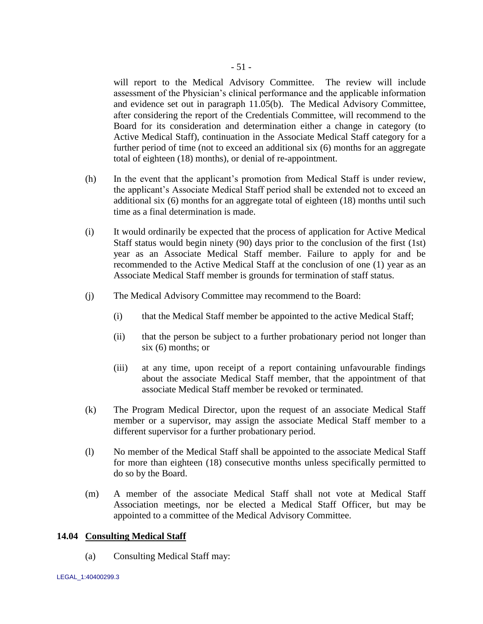will report to the Medical Advisory Committee. The review will include assessment of the Physician"s clinical performance and the applicable information and evidence set out in paragraph [11.05\(b\).](#page-42-1) The Medical Advisory Committee, after considering the report of the Credentials Committee, will recommend to the Board for its consideration and determination either a change in category (to Active Medical Staff), continuation in the Associate Medical Staff category for a further period of time (not to exceed an additional six (6) months for an aggregate total of eighteen (18) months), or denial of re-appointment.

- <span id="page-55-0"></span>(h) In the event that the applicant"s promotion from Medical Staff is under review, the applicant"s Associate Medical Staff period shall be extended not to exceed an additional six (6) months for an aggregate total of eighteen (18) months until such time as a final determination is made.
- (i) It would ordinarily be expected that the process of application for Active Medical Staff status would begin ninety (90) days prior to the conclusion of the first (1st) year as an Associate Medical Staff member. Failure to apply for and be recommended to the Active Medical Staff at the conclusion of one (1) year as an Associate Medical Staff member is grounds for termination of staff status.
- (j) The Medical Advisory Committee may recommend to the Board:
	- (i) that the Medical Staff member be appointed to the active Medical Staff;
	- (ii) that the person be subject to a further probationary period not longer than six (6) months; or
	- (iii) at any time, upon receipt of a report containing unfavourable findings about the associate Medical Staff member, that the appointment of that associate Medical Staff member be revoked or terminated.
- (k) The Program Medical Director, upon the request of an associate Medical Staff member or a supervisor, may assign the associate Medical Staff member to a different supervisor for a further probationary period.
- (l) No member of the Medical Staff shall be appointed to the associate Medical Staff for more than eighteen (18) consecutive months unless specifically permitted to do so by the Board.
- (m) A member of the associate Medical Staff shall not vote at Medical Staff Association meetings, nor be elected a Medical Staff Officer, but may be appointed to a committee of the Medical Advisory Committee.

### **14.04 Consulting Medical Staff**

(a) Consulting Medical Staff may: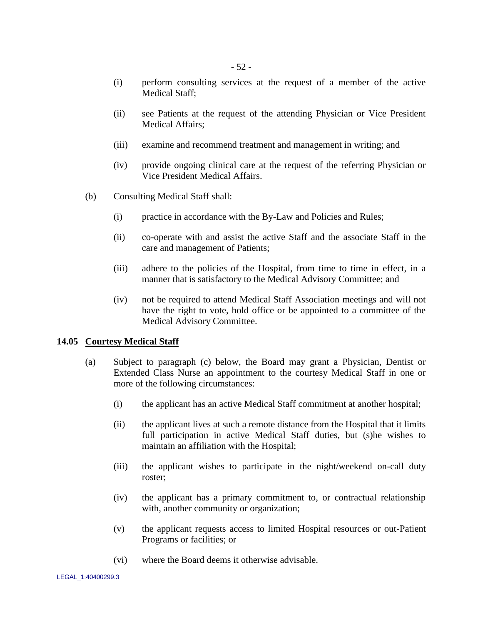- (i) perform consulting services at the request of a member of the active Medical Staff;
- (ii) see Patients at the request of the attending Physician or Vice President Medical Affairs;
- (iii) examine and recommend treatment and management in writing; and
- (iv) provide ongoing clinical care at the request of the referring Physician or Vice President Medical Affairs.
- (b) Consulting Medical Staff shall:
	- (i) practice in accordance with the By-Law and Policies and Rules;
	- (ii) co-operate with and assist the active Staff and the associate Staff in the care and management of Patients;
	- (iii) adhere to the policies of the Hospital, from time to time in effect, in a manner that is satisfactory to the Medical Advisory Committee; and
	- (iv) not be required to attend Medical Staff Association meetings and will not have the right to vote, hold office or be appointed to a committee of the Medical Advisory Committee.

# **14.05 Courtesy Medical Staff**

- (a) Subject to paragraph [\(c\) below,](#page-57-0) the Board may grant a Physician, Dentist or Extended Class Nurse an appointment to the courtesy Medical Staff in one or more of the following circumstances:
	- (i) the applicant has an active Medical Staff commitment at another hospital;
	- (ii) the applicant lives at such a remote distance from the Hospital that it limits full participation in active Medical Staff duties, but (s)he wishes to maintain an affiliation with the Hospital;
	- (iii) the applicant wishes to participate in the night/weekend on-call duty roster;
	- (iv) the applicant has a primary commitment to, or contractual relationship with, another community or organization;
	- (v) the applicant requests access to limited Hospital resources or out-Patient Programs or facilities; or
	- (vi) where the Board deems it otherwise advisable.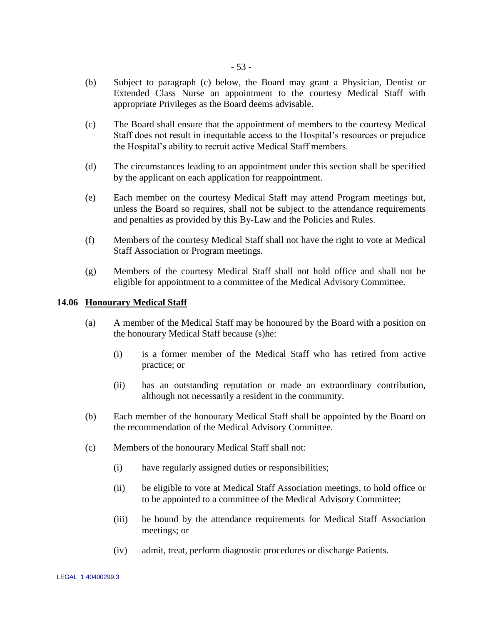- (b) Subject to paragraph [\(c\) below,](#page-57-0) the Board may grant a Physician, Dentist or Extended Class Nurse an appointment to the courtesy Medical Staff with appropriate Privileges as the Board deems advisable.
- <span id="page-57-0"></span>(c) The Board shall ensure that the appointment of members to the courtesy Medical Staff does not result in inequitable access to the Hospital"s resources or prejudice the Hospital"s ability to recruit active Medical Staff members.
- (d) The circumstances leading to an appointment under this section shall be specified by the applicant on each application for reappointment.
- (e) Each member on the courtesy Medical Staff may attend Program meetings but, unless the Board so requires, shall not be subject to the attendance requirements and penalties as provided by this By-Law and the Policies and Rules.
- (f) Members of the courtesy Medical Staff shall not have the right to vote at Medical Staff Association or Program meetings.
- (g) Members of the courtesy Medical Staff shall not hold office and shall not be eligible for appointment to a committee of the Medical Advisory Committee.

## **14.06 Honourary Medical Staff**

- (a) A member of the Medical Staff may be honoured by the Board with a position on the honourary Medical Staff because (s)he:
	- (i) is a former member of the Medical Staff who has retired from active practice; or
	- (ii) has an outstanding reputation or made an extraordinary contribution, although not necessarily a resident in the community.
- (b) Each member of the honourary Medical Staff shall be appointed by the Board on the recommendation of the Medical Advisory Committee.
- (c) Members of the honourary Medical Staff shall not:
	- (i) have regularly assigned duties or responsibilities;
	- (ii) be eligible to vote at Medical Staff Association meetings, to hold office or to be appointed to a committee of the Medical Advisory Committee;
	- (iii) be bound by the attendance requirements for Medical Staff Association meetings; or
	- (iv) admit, treat, perform diagnostic procedures or discharge Patients.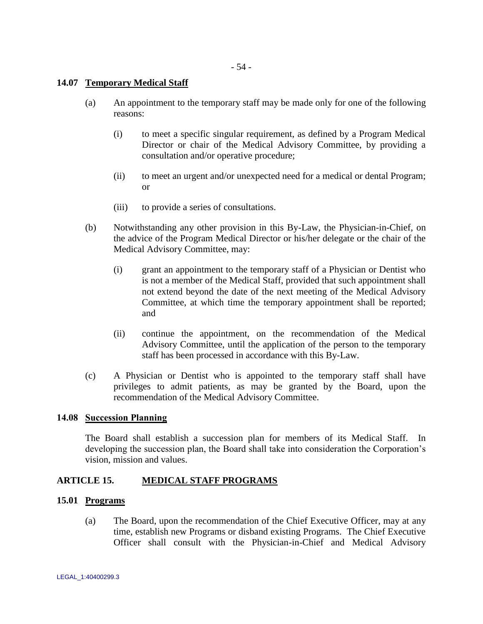- 54 -

## **14.07 Temporary Medical Staff**

- (a) An appointment to the temporary staff may be made only for one of the following reasons:
	- (i) to meet a specific singular requirement, as defined by a Program Medical Director or chair of the Medical Advisory Committee, by providing a consultation and/or operative procedure;
	- (ii) to meet an urgent and/or unexpected need for a medical or dental Program; or
	- (iii) to provide a series of consultations.
- (b) Notwithstanding any other provision in this By-Law, the Physician-in-Chief, on the advice of the Program Medical Director or his/her delegate or the chair of the Medical Advisory Committee, may:
	- (i) grant an appointment to the temporary staff of a Physician or Dentist who is not a member of the Medical Staff, provided that such appointment shall not extend beyond the date of the next meeting of the Medical Advisory Committee, at which time the temporary appointment shall be reported; and
	- (ii) continue the appointment, on the recommendation of the Medical Advisory Committee, until the application of the person to the temporary staff has been processed in accordance with this By-Law.
- (c) A Physician or Dentist who is appointed to the temporary staff shall have privileges to admit patients, as may be granted by the Board, upon the recommendation of the Medical Advisory Committee.

### **14.08 Succession Planning**

The Board shall establish a succession plan for members of its Medical Staff. In developing the succession plan, the Board shall take into consideration the Corporation's vision, mission and values.

# **ARTICLE 15. MEDICAL STAFF PROGRAMS**

## **15.01 Programs**

(a) The Board, upon the recommendation of the Chief Executive Officer, may at any time, establish new Programs or disband existing Programs. The Chief Executive Officer shall consult with the Physician-in-Chief and Medical Advisory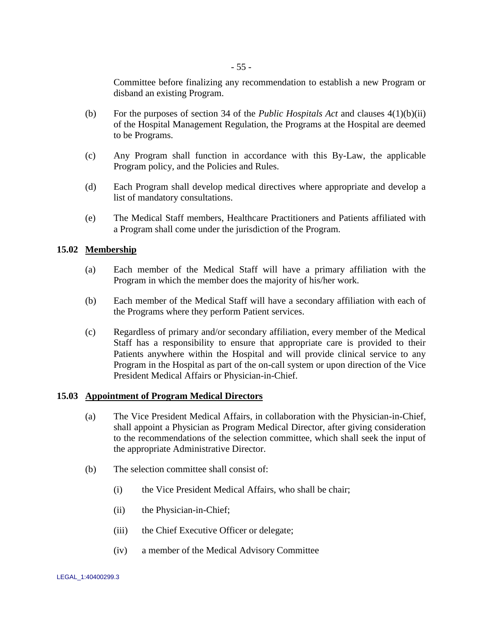Committee before finalizing any recommendation to establish a new Program or disband an existing Program.

- (b) For the purposes of section 34 of the *Public Hospitals Act* and clauses 4(1)(b)(ii) of the Hospital Management Regulation, the Programs at the Hospital are deemed to be Programs.
- (c) Any Program shall function in accordance with this By-Law, the applicable Program policy, and the Policies and Rules.
- (d) Each Program shall develop medical directives where appropriate and develop a list of mandatory consultations.
- (e) The Medical Staff members, Healthcare Practitioners and Patients affiliated with a Program shall come under the jurisdiction of the Program.

# **15.02 Membership**

- (a) Each member of the Medical Staff will have a primary affiliation with the Program in which the member does the majority of his/her work.
- (b) Each member of the Medical Staff will have a secondary affiliation with each of the Programs where they perform Patient services.
- (c) Regardless of primary and/or secondary affiliation, every member of the Medical Staff has a responsibility to ensure that appropriate care is provided to their Patients anywhere within the Hospital and will provide clinical service to any Program in the Hospital as part of the on-call system or upon direction of the Vice President Medical Affairs or Physician-in-Chief.

# **15.03 Appointment of Program Medical Directors**

- (a) The Vice President Medical Affairs, in collaboration with the Physician-in-Chief, shall appoint a Physician as Program Medical Director, after giving consideration to the recommendations of the selection committee, which shall seek the input of the appropriate Administrative Director.
- (b) The selection committee shall consist of:
	- (i) the Vice President Medical Affairs, who shall be chair;
	- (ii) the Physician-in-Chief;
	- (iii) the Chief Executive Officer or delegate;
	- (iv) a member of the Medical Advisory Committee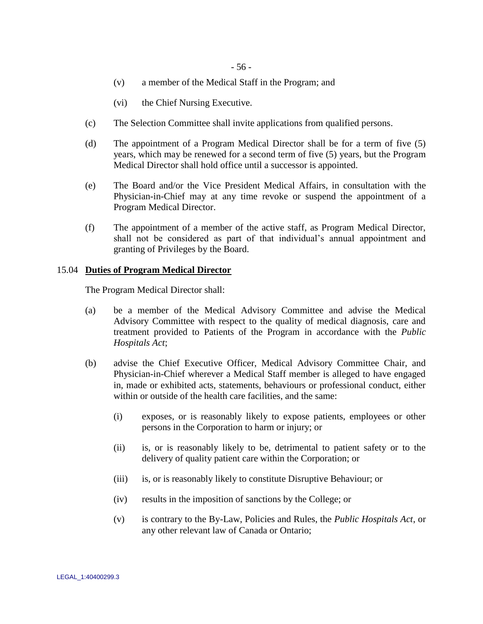- (v) a member of the Medical Staff in the Program; and
- (vi) the Chief Nursing Executive.
- (c) The Selection Committee shall invite applications from qualified persons.
- (d) The appointment of a Program Medical Director shall be for a term of five (5) years, which may be renewed for a second term of five (5) years, but the Program Medical Director shall hold office until a successor is appointed.
- (e) The Board and/or the Vice President Medical Affairs, in consultation with the Physician-in-Chief may at any time revoke or suspend the appointment of a Program Medical Director.
- (f) The appointment of a member of the active staff, as Program Medical Director, shall not be considered as part of that individual's annual appointment and granting of Privileges by the Board.

### 15.04 **Duties of Program Medical Director**

The Program Medical Director shall:

- (a) be a member of the Medical Advisory Committee and advise the Medical Advisory Committee with respect to the quality of medical diagnosis, care and treatment provided to Patients of the Program in accordance with the *Public Hospitals Act*;
- (b) advise the Chief Executive Officer, Medical Advisory Committee Chair, and Physician-in-Chief wherever a Medical Staff member is alleged to have engaged in, made or exhibited acts, statements, behaviours or professional conduct, either within or outside of the health care facilities, and the same:
	- (i) exposes, or is reasonably likely to expose patients, employees or other persons in the Corporation to harm or injury; or
	- (ii) is, or is reasonably likely to be, detrimental to patient safety or to the delivery of quality patient care within the Corporation; or
	- (iii) is, or is reasonably likely to constitute Disruptive Behaviour; or
	- (iv) results in the imposition of sanctions by the College; or
	- (v) is contrary to the By-Law, Policies and Rules, the *Public Hospitals Act*, or any other relevant law of Canada or Ontario;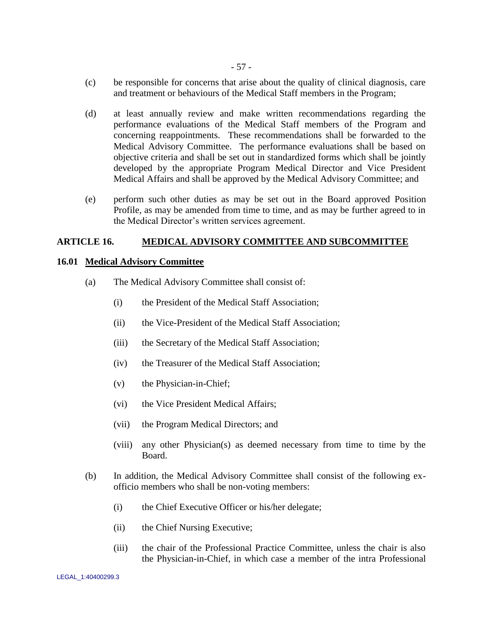- (c) be responsible for concerns that arise about the quality of clinical diagnosis, care and treatment or behaviours of the Medical Staff members in the Program;
- (d) at least annually review and make written recommendations regarding the performance evaluations of the Medical Staff members of the Program and concerning reappointments. These recommendations shall be forwarded to the Medical Advisory Committee. The performance evaluations shall be based on objective criteria and shall be set out in standardized forms which shall be jointly developed by the appropriate Program Medical Director and Vice President Medical Affairs and shall be approved by the Medical Advisory Committee; and
- (e) perform such other duties as may be set out in the Board approved Position Profile, as may be amended from time to time, and as may be further agreed to in the Medical Director"s written services agreement.

#### **ARTICLE 16. MEDICAL ADVISORY COMMITTEE AND SUBCOMMITTEE**

#### **16.01 Medical Advisory Committee**

- (a) The Medical Advisory Committee shall consist of:
	- (i) the President of the Medical Staff Association;
	- (ii) the Vice-President of the Medical Staff Association;
	- (iii) the Secretary of the Medical Staff Association;
	- (iv) the Treasurer of the Medical Staff Association;
	- (v) the Physician-in-Chief;
	- (vi) the Vice President Medical Affairs;
	- (vii) the Program Medical Directors; and
	- (viii) any other Physician(s) as deemed necessary from time to time by the Board.
- (b) In addition, the Medical Advisory Committee shall consist of the following exofficio members who shall be non-voting members:
	- (i) the Chief Executive Officer or his/her delegate;
	- (ii) the Chief Nursing Executive;
	- (iii) the chair of the Professional Practice Committee, unless the chair is also the Physician-in-Chief, in which case a member of the intra Professional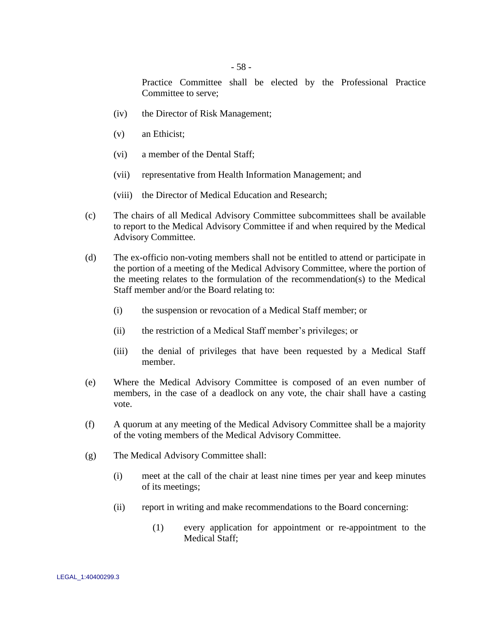Practice Committee shall be elected by the Professional Practice Committee to serve;

- (iv) the Director of Risk Management;
- (v) an Ethicist;
- (vi) a member of the Dental Staff;
- (vii) representative from Health Information Management; and
- (viii) the Director of Medical Education and Research;
- (c) The chairs of all Medical Advisory Committee subcommittees shall be available to report to the Medical Advisory Committee if and when required by the Medical Advisory Committee.
- (d) The ex-officio non-voting members shall not be entitled to attend or participate in the portion of a meeting of the Medical Advisory Committee, where the portion of the meeting relates to the formulation of the recommendation(s) to the Medical Staff member and/or the Board relating to:
	- (i) the suspension or revocation of a Medical Staff member; or
	- (ii) the restriction of a Medical Staff member"s privileges; or
	- (iii) the denial of privileges that have been requested by a Medical Staff member.
- (e) Where the Medical Advisory Committee is composed of an even number of members, in the case of a deadlock on any vote, the chair shall have a casting vote.
- (f) A quorum at any meeting of the Medical Advisory Committee shall be a majority of the voting members of the Medical Advisory Committee.
- <span id="page-62-0"></span>(g) The Medical Advisory Committee shall:
	- (i) meet at the call of the chair at least nine times per year and keep minutes of its meetings;
	- (ii) report in writing and make recommendations to the Board concerning:
		- (1) every application for appointment or re-appointment to the Medical Staff;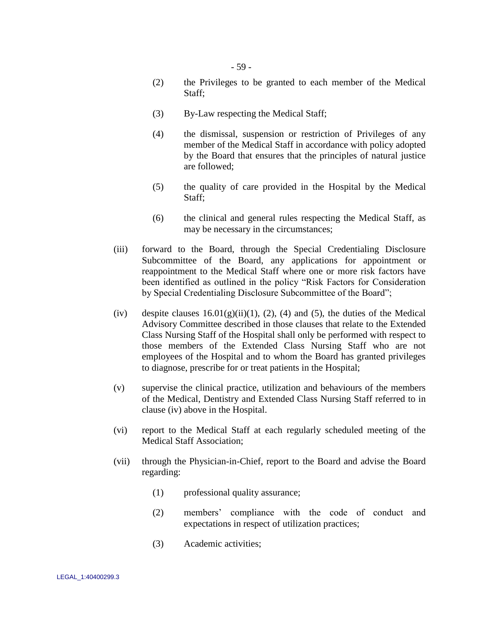- <span id="page-63-0"></span>(2) the Privileges to be granted to each member of the Medical Staff;
- (3) By-Law respecting the Medical Staff;
- <span id="page-63-1"></span>(4) the dismissal, suspension or restriction of Privileges of any member of the Medical Staff in accordance with policy adopted by the Board that ensures that the principles of natural justice are followed;
- (5) the quality of care provided in the Hospital by the Medical Staff;
- (6) the clinical and general rules respecting the Medical Staff, as may be necessary in the circumstances;
- <span id="page-63-2"></span>(iii) forward to the Board, through the Special Credentialing Disclosure Subcommittee of the Board, any applications for appointment or reappointment to the Medical Staff where one or more risk factors have been identified as outlined in the policy "Risk Factors for Consideration by Special Credentialing Disclosure Subcommittee of the Board";
- <span id="page-63-3"></span>(iv) despite clauses  $16.01(g)(ii)(1)$ , [\(2\),](#page-63-0) [\(4\)](#page-63-1) and [\(5\),](#page-63-2) the duties of the Medical Advisory Committee described in those clauses that relate to the Extended Class Nursing Staff of the Hospital shall only be performed with respect to those members of the Extended Class Nursing Staff who are not employees of the Hospital and to whom the Board has granted privileges to diagnose, prescribe for or treat patients in the Hospital;
- (v) supervise the clinical practice, utilization and behaviours of the members of the Medical, Dentistry and Extended Class Nursing Staff referred to in clause [\(iv\) above](#page-63-3) in the Hospital.
- (vi) report to the Medical Staff at each regularly scheduled meeting of the Medical Staff Association;
- (vii) through the Physician-in-Chief, report to the Board and advise the Board regarding:
	- (1) professional quality assurance;
	- (2) members" compliance with the code of conduct and expectations in respect of utilization practices;
	- (3) Academic activities;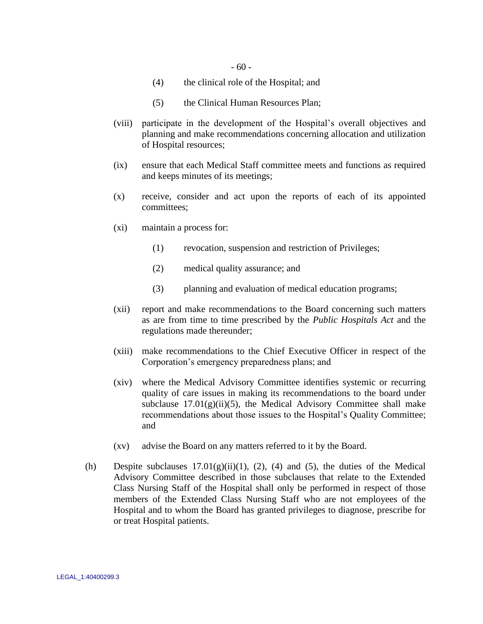- (4) the clinical role of the Hospital; and
- (5) the Clinical Human Resources Plan;
- (viii) participate in the development of the Hospital"s overall objectives and planning and make recommendations concerning allocation and utilization of Hospital resources;
- (ix) ensure that each Medical Staff committee meets and functions as required and keeps minutes of its meetings;
- (x) receive, consider and act upon the reports of each of its appointed committees;
- (xi) maintain a process for:
	- (1) revocation, suspension and restriction of Privileges;
	- (2) medical quality assurance; and
	- (3) planning and evaluation of medical education programs;
- (xii) report and make recommendations to the Board concerning such matters as are from time to time prescribed by the *Public Hospitals Act* and the regulations made thereunder;
- (xiii) make recommendations to the Chief Executive Officer in respect of the Corporation"s emergency preparedness plans; and
- (xiv) where the Medical Advisory Committee identifies systemic or recurring quality of care issues in making its recommendations to the board under subclause  $17.01(g)(ii)(5)$ , the Medical Advisory Committee shall make recommendations about those issues to the Hospital"s Quality Committee; and
- (xv) advise the Board on any matters referred to it by the Board.
- (h) Despite subclauses  $17.01(g)(ii)(1)$ , (2), (4) and (5), the duties of the Medical Advisory Committee described in those subclauses that relate to the Extended Class Nursing Staff of the Hospital shall only be performed in respect of those members of the Extended Class Nursing Staff who are not employees of the Hospital and to whom the Board has granted privileges to diagnose, prescribe for or treat Hospital patients.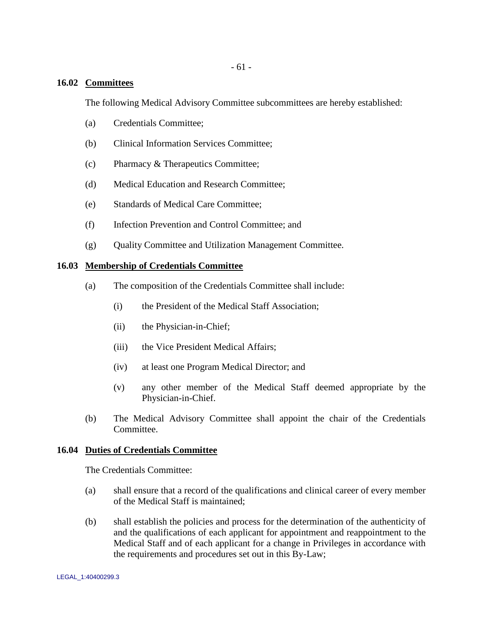- 61 -

# **16.02 Committees**

The following Medical Advisory Committee subcommittees are hereby established:

- (a) Credentials Committee;
- (b) Clinical Information Services Committee;
- (c) Pharmacy & Therapeutics Committee;
- (d) Medical Education and Research Committee;
- (e) Standards of Medical Care Committee;
- (f) Infection Prevention and Control Committee; and
- (g) Quality Committee and Utilization Management Committee.

### **16.03 Membership of Credentials Committee**

- (a) The composition of the Credentials Committee shall include:
	- (i) the President of the Medical Staff Association;
	- (ii) the Physician-in-Chief;
	- (iii) the Vice President Medical Affairs;
	- (iv) at least one Program Medical Director; and
	- (v) any other member of the Medical Staff deemed appropriate by the Physician-in-Chief.
- (b) The Medical Advisory Committee shall appoint the chair of the Credentials Committee.

### **16.04 Duties of Credentials Committee**

The Credentials Committee:

- (a) shall ensure that a record of the qualifications and clinical career of every member of the Medical Staff is maintained;
- (b) shall establish the policies and process for the determination of the authenticity of and the qualifications of each applicant for appointment and reappointment to the Medical Staff and of each applicant for a change in Privileges in accordance with the requirements and procedures set out in this By-Law;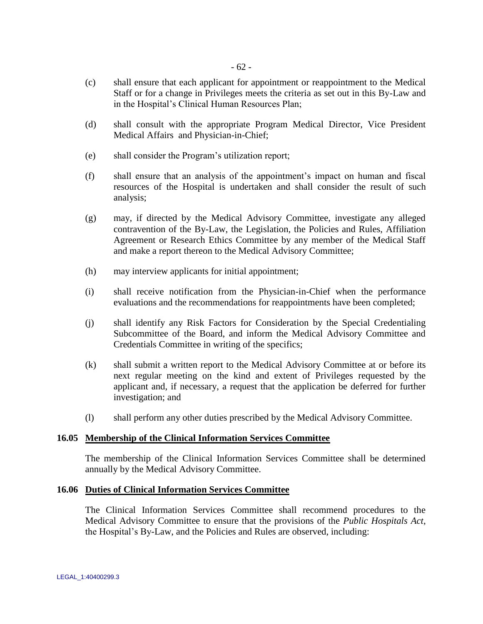- (c) shall ensure that each applicant for appointment or reappointment to the Medical Staff or for a change in Privileges meets the criteria as set out in this By-Law and in the Hospital"s Clinical Human Resources Plan;
- (d) shall consult with the appropriate Program Medical Director, Vice President Medical Affairs and Physician-in-Chief;
- (e) shall consider the Program"s utilization report;
- (f) shall ensure that an analysis of the appointment"s impact on human and fiscal resources of the Hospital is undertaken and shall consider the result of such analysis;
- (g) may, if directed by the Medical Advisory Committee, investigate any alleged contravention of the By-Law, the Legislation, the Policies and Rules, Affiliation Agreement or Research Ethics Committee by any member of the Medical Staff and make a report thereon to the Medical Advisory Committee;
- (h) may interview applicants for initial appointment;
- (i) shall receive notification from the Physician-in-Chief when the performance evaluations and the recommendations for reappointments have been completed;
- (j) shall identify any Risk Factors for Consideration by the Special Credentialing Subcommittee of the Board, and inform the Medical Advisory Committee and Credentials Committee in writing of the specifics;
- (k) shall submit a written report to the Medical Advisory Committee at or before its next regular meeting on the kind and extent of Privileges requested by the applicant and, if necessary, a request that the application be deferred for further investigation; and
- (l) shall perform any other duties prescribed by the Medical Advisory Committee.

### **16.05 Membership of the Clinical Information Services Committee**

The membership of the Clinical Information Services Committee shall be determined annually by the Medical Advisory Committee.

### **16.06 Duties of Clinical Information Services Committee**

The Clinical Information Services Committee shall recommend procedures to the Medical Advisory Committee to ensure that the provisions of the *Public Hospitals Act*, the Hospital"s By-Law, and the Policies and Rules are observed, including: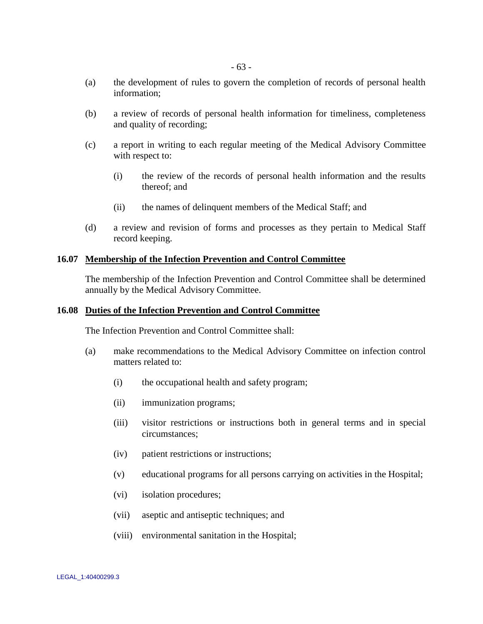- (a) the development of rules to govern the completion of records of personal health information;
- (b) a review of records of personal health information for timeliness, completeness and quality of recording;
- (c) a report in writing to each regular meeting of the Medical Advisory Committee with respect to:
	- (i) the review of the records of personal health information and the results thereof; and
	- (ii) the names of delinquent members of the Medical Staff; and
- (d) a review and revision of forms and processes as they pertain to Medical Staff record keeping.

#### **16.07 Membership of the Infection Prevention and Control Committee**

The membership of the Infection Prevention and Control Committee shall be determined annually by the Medical Advisory Committee.

#### **16.08 Duties of the Infection Prevention and Control Committee**

The Infection Prevention and Control Committee shall:

- <span id="page-67-0"></span>(a) make recommendations to the Medical Advisory Committee on infection control matters related to:
	- (i) the occupational health and safety program;
	- (ii) immunization programs;
	- (iii) visitor restrictions or instructions both in general terms and in special circumstances;
	- (iv) patient restrictions or instructions;
	- (v) educational programs for all persons carrying on activities in the Hospital;
	- (vi) isolation procedures;
	- (vii) aseptic and antiseptic techniques; and
	- (viii) environmental sanitation in the Hospital;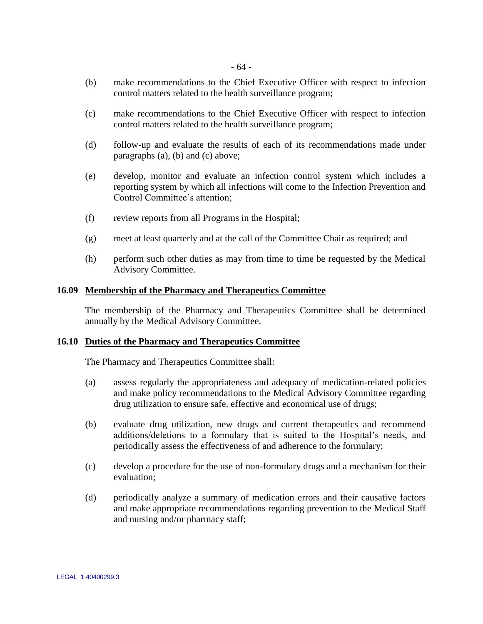- <span id="page-68-0"></span>(b) make recommendations to the Chief Executive Officer with respect to infection control matters related to the health surveillance program;
- <span id="page-68-1"></span>(c) make recommendations to the Chief Executive Officer with respect to infection control matters related to the health surveillance program;
- (d) follow-up and evaluate the results of each of its recommendations made under paragraphs [\(a\),](#page-67-0) [\(b\)](#page-68-0) and [\(c\)](#page-68-1) above;
- (e) develop, monitor and evaluate an infection control system which includes a reporting system by which all infections will come to the Infection Prevention and Control Committee's attention;
- (f) review reports from all Programs in the Hospital;
- (g) meet at least quarterly and at the call of the Committee Chair as required; and
- (h) perform such other duties as may from time to time be requested by the Medical Advisory Committee.

### **16.09 Membership of the Pharmacy and Therapeutics Committee**

The membership of the Pharmacy and Therapeutics Committee shall be determined annually by the Medical Advisory Committee.

### **16.10 Duties of the Pharmacy and Therapeutics Committee**

The Pharmacy and Therapeutics Committee shall:

- (a) assess regularly the appropriateness and adequacy of medication-related policies and make policy recommendations to the Medical Advisory Committee regarding drug utilization to ensure safe, effective and economical use of drugs;
- (b) evaluate drug utilization, new drugs and current therapeutics and recommend additions/deletions to a formulary that is suited to the Hospital"s needs, and periodically assess the effectiveness of and adherence to the formulary;
- (c) develop a procedure for the use of non-formulary drugs and a mechanism for their evaluation;
- (d) periodically analyze a summary of medication errors and their causative factors and make appropriate recommendations regarding prevention to the Medical Staff and nursing and/or pharmacy staff;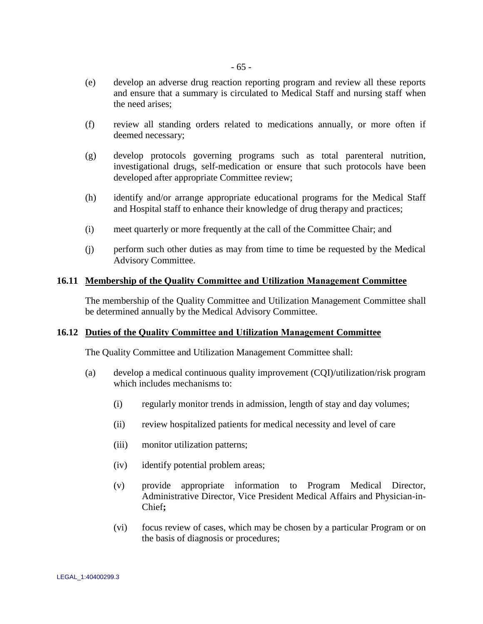- (e) develop an adverse drug reaction reporting program and review all these reports and ensure that a summary is circulated to Medical Staff and nursing staff when the need arises;
- (f) review all standing orders related to medications annually, or more often if deemed necessary;
- (g) develop protocols governing programs such as total parenteral nutrition, investigational drugs, self-medication or ensure that such protocols have been developed after appropriate Committee review;
- (h) identify and/or arrange appropriate educational programs for the Medical Staff and Hospital staff to enhance their knowledge of drug therapy and practices;
- (i) meet quarterly or more frequently at the call of the Committee Chair; and
- (j) perform such other duties as may from time to time be requested by the Medical Advisory Committee.

# **16.11 Membership of the Quality Committee and Utilization Management Committee**

The membership of the Quality Committee and Utilization Management Committee shall be determined annually by the Medical Advisory Committee.

# **16.12 Duties of the Quality Committee and Utilization Management Committee**

The Quality Committee and Utilization Management Committee shall:

- (a) develop a medical continuous quality improvement (CQI)/utilization/risk program which includes mechanisms to:
	- (i) regularly monitor trends in admission, length of stay and day volumes;
	- (ii) review hospitalized patients for medical necessity and level of care
	- (iii) monitor utilization patterns;
	- (iv) identify potential problem areas;
	- (v) provide appropriate information to Program Medical Director, Administrative Director, Vice President Medical Affairs and Physician-in-Chief**;**
	- (vi) focus review of cases, which may be chosen by a particular Program or on the basis of diagnosis or procedures;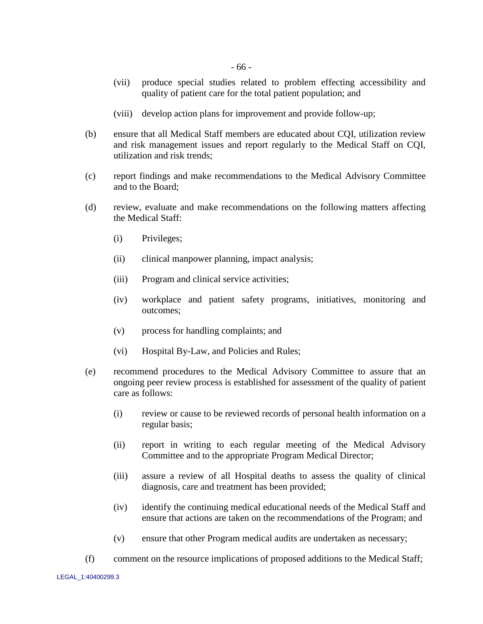- (vii) produce special studies related to problem effecting accessibility and quality of patient care for the total patient population; and
- (viii) develop action plans for improvement and provide follow-up;
- (b) ensure that all Medical Staff members are educated about CQI, utilization review and risk management issues and report regularly to the Medical Staff on CQI, utilization and risk trends;
- (c) report findings and make recommendations to the Medical Advisory Committee and to the Board;
- (d) review, evaluate and make recommendations on the following matters affecting the Medical Staff:
	- (i) Privileges;
	- (ii) clinical manpower planning, impact analysis;
	- (iii) Program and clinical service activities;
	- (iv) workplace and patient safety programs, initiatives, monitoring and outcomes;
	- (v) process for handling complaints; and
	- (vi) Hospital By-Law, and Policies and Rules;
- (e) recommend procedures to the Medical Advisory Committee to assure that an ongoing peer review process is established for assessment of the quality of patient care as follows:
	- (i) review or cause to be reviewed records of personal health information on a regular basis;
	- (ii) report in writing to each regular meeting of the Medical Advisory Committee and to the appropriate Program Medical Director;
	- (iii) assure a review of all Hospital deaths to assess the quality of clinical diagnosis, care and treatment has been provided;
	- (iv) identify the continuing medical educational needs of the Medical Staff and ensure that actions are taken on the recommendations of the Program; and
	- (v) ensure that other Program medical audits are undertaken as necessary;
- (f) comment on the resource implications of proposed additions to the Medical Staff;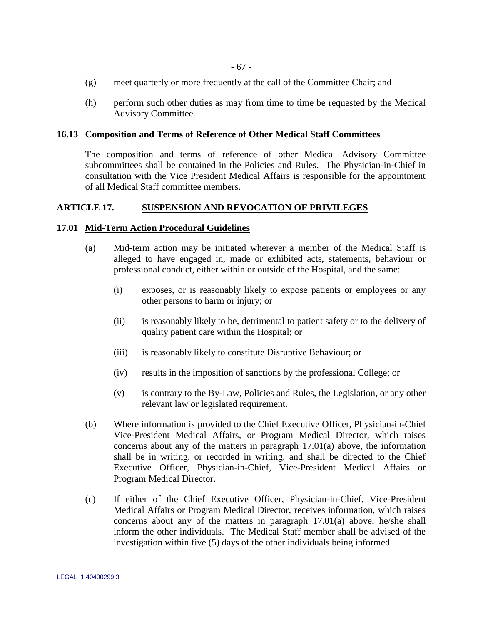- (g) meet quarterly or more frequently at the call of the Committee Chair; and
- (h) perform such other duties as may from time to time be requested by the Medical Advisory Committee.

#### **16.13 Composition and Terms of Reference of Other Medical Staff Committees**

The composition and terms of reference of other Medical Advisory Committee subcommittees shall be contained in the Policies and Rules. The Physician-in-Chief in consultation with the Vice President Medical Affairs is responsible for the appointment of all Medical Staff committee members.

### **ARTICLE 17. SUSPENSION AND REVOCATION OF PRIVILEGES**

#### <span id="page-71-0"></span>**17.01 Mid-Term Action Procedural Guidelines**

- (a) Mid-term action may be initiated wherever a member of the Medical Staff is alleged to have engaged in, made or exhibited acts, statements, behaviour or professional conduct, either within or outside of the Hospital, and the same:
	- (i) exposes, or is reasonably likely to expose patients or employees or any other persons to harm or injury; or
	- (ii) is reasonably likely to be, detrimental to patient safety or to the delivery of quality patient care within the Hospital; or
	- (iii) is reasonably likely to constitute Disruptive Behaviour; or
	- (iv) results in the imposition of sanctions by the professional College; or
	- (v) is contrary to the By-Law, Policies and Rules, the Legislation, or any other relevant law or legislated requirement.
- (b) Where information is provided to the Chief Executive Officer, Physician-in-Chief Vice-President Medical Affairs, or Program Medical Director, which raises concerns about any of the matters in paragraph [17.01\(a\) above,](#page-71-0) the information shall be in writing, or recorded in writing, and shall be directed to the Chief Executive Officer, Physician-in-Chief, Vice-President Medical Affairs or Program Medical Director.
- (c) If either of the Chief Executive Officer, Physician-in-Chief, Vice-President Medical Affairs or Program Medical Director, receives information, which raises concerns about any of the matters in paragraph [17.01\(a\) above,](#page-71-0) he/she shall inform the other individuals. The Medical Staff member shall be advised of the investigation within five (5) days of the other individuals being informed.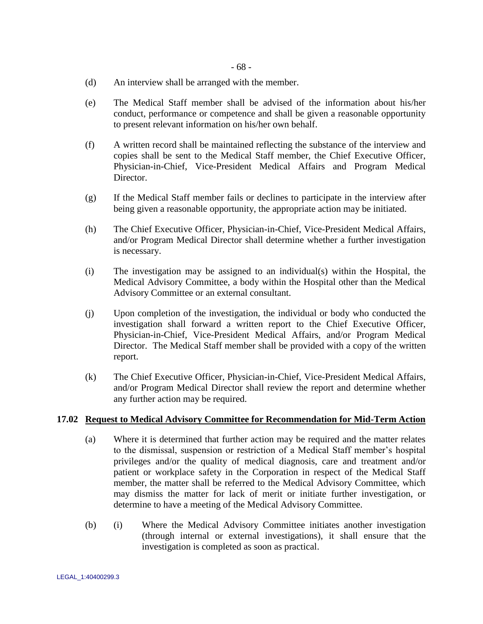- (d) An interview shall be arranged with the member.
- (e) The Medical Staff member shall be advised of the information about his/her conduct, performance or competence and shall be given a reasonable opportunity to present relevant information on his/her own behalf.
- (f) A written record shall be maintained reflecting the substance of the interview and copies shall be sent to the Medical Staff member, the Chief Executive Officer, Physician-in-Chief, Vice-President Medical Affairs and Program Medical Director.
- (g) If the Medical Staff member fails or declines to participate in the interview after being given a reasonable opportunity, the appropriate action may be initiated.
- (h) The Chief Executive Officer, Physician-in-Chief, Vice-President Medical Affairs, and/or Program Medical Director shall determine whether a further investigation is necessary.
- (i) The investigation may be assigned to an individual(s) within the Hospital, the Medical Advisory Committee, a body within the Hospital other than the Medical Advisory Committee or an external consultant.
- (j) Upon completion of the investigation, the individual or body who conducted the investigation shall forward a written report to the Chief Executive Officer, Physician-in-Chief, Vice-President Medical Affairs, and/or Program Medical Director. The Medical Staff member shall be provided with a copy of the written report.
- (k) The Chief Executive Officer, Physician-in-Chief, Vice-President Medical Affairs, and/or Program Medical Director shall review the report and determine whether any further action may be required.

## **17.02 Request to Medical Advisory Committee for Recommendation for Mid-Term Action**

- (a) Where it is determined that further action may be required and the matter relates to the dismissal, suspension or restriction of a Medical Staff member"s hospital privileges and/or the quality of medical diagnosis, care and treatment and/or patient or workplace safety in the Corporation in respect of the Medical Staff member, the matter shall be referred to the Medical Advisory Committee, which may dismiss the matter for lack of merit or initiate further investigation, or determine to have a meeting of the Medical Advisory Committee.
- (b) (i) Where the Medical Advisory Committee initiates another investigation (through internal or external investigations), it shall ensure that the investigation is completed as soon as practical.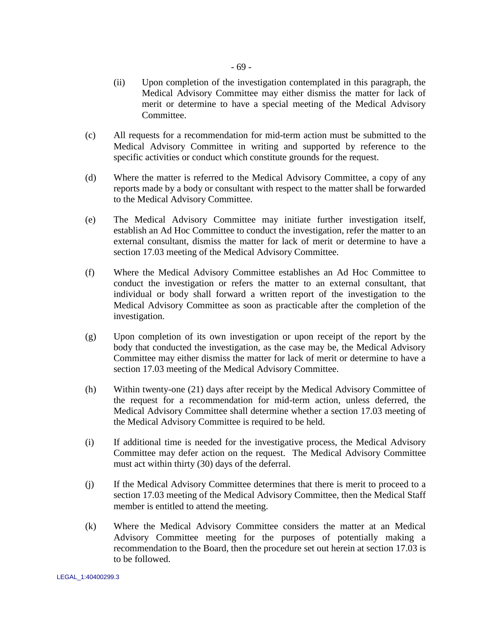- (c) All requests for a recommendation for mid-term action must be submitted to the Medical Advisory Committee in writing and supported by reference to the specific activities or conduct which constitute grounds for the request.
- (d) Where the matter is referred to the Medical Advisory Committee, a copy of any reports made by a body or consultant with respect to the matter shall be forwarded to the Medical Advisory Committee.
- (e) The Medical Advisory Committee may initiate further investigation itself, establish an Ad Hoc Committee to conduct the investigation, refer the matter to an external consultant, dismiss the matter for lack of merit or determine to have a section [17.03](#page-74-0) meeting of the Medical Advisory Committee.
- (f) Where the Medical Advisory Committee establishes an Ad Hoc Committee to conduct the investigation or refers the matter to an external consultant, that individual or body shall forward a written report of the investigation to the Medical Advisory Committee as soon as practicable after the completion of the investigation.
- (g) Upon completion of its own investigation or upon receipt of the report by the body that conducted the investigation, as the case may be, the Medical Advisory Committee may either dismiss the matter for lack of merit or determine to have a section [17.03](#page-74-0) meeting of the Medical Advisory Committee.
- (h) Within twenty-one (21) days after receipt by the Medical Advisory Committee of the request for a recommendation for mid-term action, unless deferred, the Medical Advisory Committee shall determine whether a section [17.03](#page-74-0) meeting of the Medical Advisory Committee is required to be held.
- (i) If additional time is needed for the investigative process, the Medical Advisory Committee may defer action on the request. The Medical Advisory Committee must act within thirty (30) days of the deferral.
- (j) If the Medical Advisory Committee determines that there is merit to proceed to a section [17.03](#page-74-0) meeting of the Medical Advisory Committee, then the Medical Staff member is entitled to attend the meeting.
- (k) Where the Medical Advisory Committee considers the matter at an Medical Advisory Committee meeting for the purposes of potentially making a recommendation to the Board, then the procedure set out herein at section [17.03](#page-74-0) is to be followed.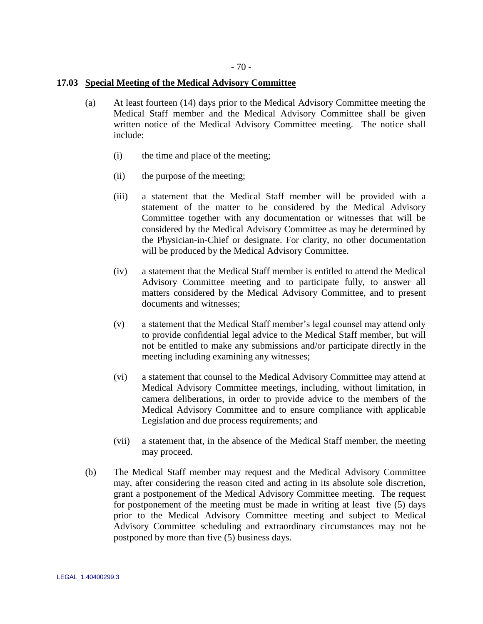## <span id="page-74-1"></span><span id="page-74-0"></span>**17.03 Special Meeting of the Medical Advisory Committee**

- (a) At least fourteen (14) days prior to the Medical Advisory Committee meeting the Medical Staff member and the Medical Advisory Committee shall be given written notice of the Medical Advisory Committee meeting. The notice shall include:
	- (i) the time and place of the meeting;
	- (ii) the purpose of the meeting;
	- (iii) a statement that the Medical Staff member will be provided with a statement of the matter to be considered by the Medical Advisory Committee together with any documentation or witnesses that will be considered by the Medical Advisory Committee as may be determined by the Physician-in-Chief or designate. For clarity, no other documentation will be produced by the Medical Advisory Committee.
	- (iv) a statement that the Medical Staff member is entitled to attend the Medical Advisory Committee meeting and to participate fully, to answer all matters considered by the Medical Advisory Committee, and to present documents and witnesses;
	- (v) a statement that the Medical Staff member"s legal counsel may attend only to provide confidential legal advice to the Medical Staff member, but will not be entitled to make any submissions and/or participate directly in the meeting including examining any witnesses;
	- (vi) a statement that counsel to the Medical Advisory Committee may attend at Medical Advisory Committee meetings, including, without limitation, in camera deliberations, in order to provide advice to the members of the Medical Advisory Committee and to ensure compliance with applicable Legislation and due process requirements; and
	- (vii) a statement that, in the absence of the Medical Staff member, the meeting may proceed.
- (b) The Medical Staff member may request and the Medical Advisory Committee may, after considering the reason cited and acting in its absolute sole discretion, grant a postponement of the Medical Advisory Committee meeting. The request for postponement of the meeting must be made in writing at least five (5) days prior to the Medical Advisory Committee meeting and subject to Medical Advisory Committee scheduling and extraordinary circumstances may not be postponed by more than five (5) business days.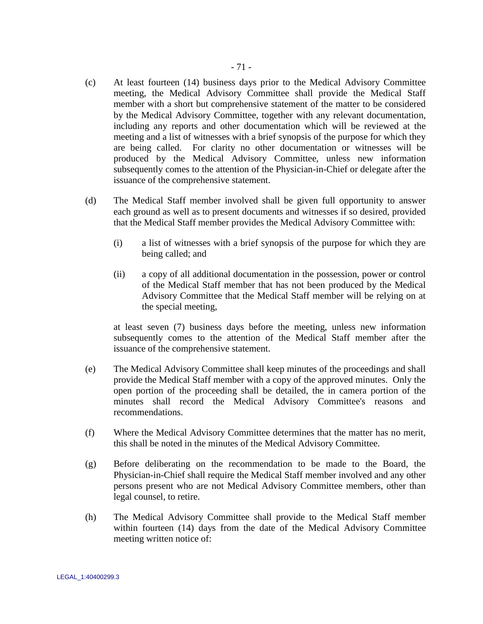- (c) At least fourteen (14) business days prior to the Medical Advisory Committee meeting, the Medical Advisory Committee shall provide the Medical Staff member with a short but comprehensive statement of the matter to be considered by the Medical Advisory Committee, together with any relevant documentation, including any reports and other documentation which will be reviewed at the meeting and a list of witnesses with a brief synopsis of the purpose for which they are being called. For clarity no other documentation or witnesses will be produced by the Medical Advisory Committee, unless new information subsequently comes to the attention of the Physician-in-Chief or delegate after the issuance of the comprehensive statement.
- (d) The Medical Staff member involved shall be given full opportunity to answer each ground as well as to present documents and witnesses if so desired, provided that the Medical Staff member provides the Medical Advisory Committee with:
	- (i) a list of witnesses with a brief synopsis of the purpose for which they are being called; and
	- (ii) a copy of all additional documentation in the possession, power or control of the Medical Staff member that has not been produced by the Medical Advisory Committee that the Medical Staff member will be relying on at the special meeting,

at least seven (7) business days before the meeting, unless new information subsequently comes to the attention of the Medical Staff member after the issuance of the comprehensive statement.

- (e) The Medical Advisory Committee shall keep minutes of the proceedings and shall provide the Medical Staff member with a copy of the approved minutes. Only the open portion of the proceeding shall be detailed, the in camera portion of the minutes shall record the Medical Advisory Committee's reasons and recommendations.
- (f) Where the Medical Advisory Committee determines that the matter has no merit, this shall be noted in the minutes of the Medical Advisory Committee.
- (g) Before deliberating on the recommendation to be made to the Board, the Physician-in-Chief shall require the Medical Staff member involved and any other persons present who are not Medical Advisory Committee members, other than legal counsel, to retire.
- <span id="page-75-0"></span>(h) The Medical Advisory Committee shall provide to the Medical Staff member within fourteen (14) days from the date of the Medical Advisory Committee meeting written notice of: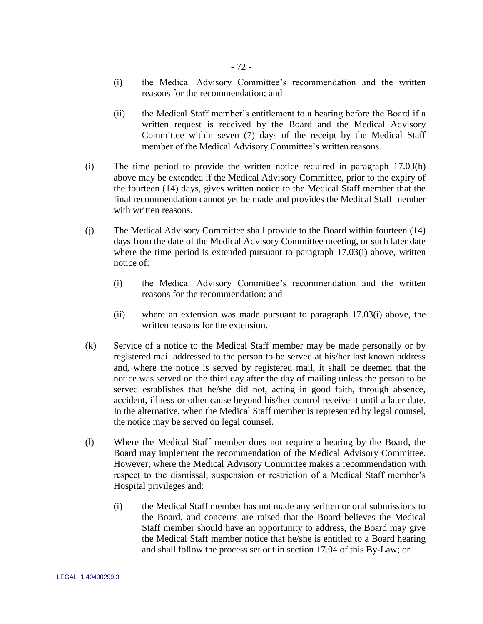- (i) the Medical Advisory Committee"s recommendation and the written reasons for the recommendation; and
- (ii) the Medical Staff member"s entitlement to a hearing before the Board if a written request is received by the Board and the Medical Advisory Committee within seven (7) days of the receipt by the Medical Staff member of the Medical Advisory Committee's written reasons.
- <span id="page-76-0"></span>(i) The time period to provide the written notice required in paragraph [17.03\(h\)](#page-75-0)  [above](#page-75-0) may be extended if the Medical Advisory Committee, prior to the expiry of the fourteen (14) days, gives written notice to the Medical Staff member that the final recommendation cannot yet be made and provides the Medical Staff member with written reasons.
- (j) The Medical Advisory Committee shall provide to the Board within fourteen (14) days from the date of the Medical Advisory Committee meeting, or such later date where the time period is extended pursuant to paragraph [17.03\(i\) above,](#page-76-0) written notice of:
	- (i) the Medical Advisory Committee"s recommendation and the written reasons for the recommendation; and
	- (ii) where an extension was made pursuant to paragraph [17.03\(i\) above,](#page-76-0) the written reasons for the extension.
- <span id="page-76-1"></span>(k) Service of a notice to the Medical Staff member may be made personally or by registered mail addressed to the person to be served at his/her last known address and, where the notice is served by registered mail, it shall be deemed that the notice was served on the third day after the day of mailing unless the person to be served establishes that he/she did not, acting in good faith, through absence, accident, illness or other cause beyond his/her control receive it until a later date. In the alternative, when the Medical Staff member is represented by legal counsel, the notice may be served on legal counsel.
- (l) Where the Medical Staff member does not require a hearing by the Board, the Board may implement the recommendation of the Medical Advisory Committee. However, where the Medical Advisory Committee makes a recommendation with respect to the dismissal, suspension or restriction of a Medical Staff member"s Hospital privileges and:
	- (i) the Medical Staff member has not made any written or oral submissions to the Board, and concerns are raised that the Board believes the Medical Staff member should have an opportunity to address, the Board may give the Medical Staff member notice that he/she is entitled to a Board hearing and shall follow the process set out in section [17.04](#page-77-0) of this By-Law; or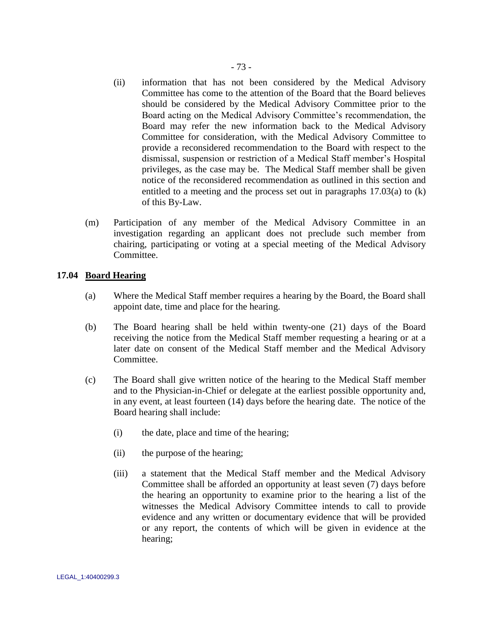- (ii) information that has not been considered by the Medical Advisory Committee has come to the attention of the Board that the Board believes should be considered by the Medical Advisory Committee prior to the Board acting on the Medical Advisory Committee"s recommendation, the Board may refer the new information back to the Medical Advisory Committee for consideration, with the Medical Advisory Committee to provide a reconsidered recommendation to the Board with respect to the dismissal, suspension or restriction of a Medical Staff member"s Hospital privileges, as the case may be. The Medical Staff member shall be given notice of the reconsidered recommendation as outlined in this section and entitled to a meeting and the process set out in paragraphs [17.03\(a\)](#page-74-1) to [\(k\)](#page-76-1) of this By-Law.
- (m) Participation of any member of the Medical Advisory Committee in an investigation regarding an applicant does not preclude such member from chairing, participating or voting at a special meeting of the Medical Advisory Committee.

# <span id="page-77-0"></span>**17.04 Board Hearing**

- (a) Where the Medical Staff member requires a hearing by the Board, the Board shall appoint date, time and place for the hearing.
- (b) The Board hearing shall be held within twenty-one (21) days of the Board receiving the notice from the Medical Staff member requesting a hearing or at a later date on consent of the Medical Staff member and the Medical Advisory Committee.
- (c) The Board shall give written notice of the hearing to the Medical Staff member and to the Physician-in-Chief or delegate at the earliest possible opportunity and, in any event, at least fourteen (14) days before the hearing date. The notice of the Board hearing shall include:
	- (i) the date, place and time of the hearing;
	- (ii) the purpose of the hearing;
	- (iii) a statement that the Medical Staff member and the Medical Advisory Committee shall be afforded an opportunity at least seven (7) days before the hearing an opportunity to examine prior to the hearing a list of the witnesses the Medical Advisory Committee intends to call to provide evidence and any written or documentary evidence that will be provided or any report, the contents of which will be given in evidence at the hearing;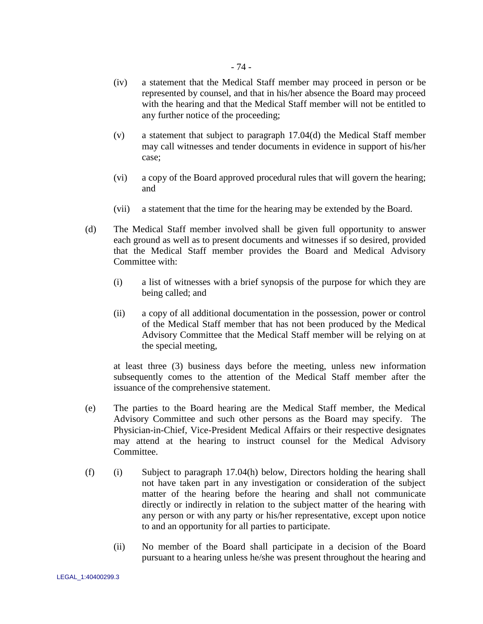- (iv) a statement that the Medical Staff member may proceed in person or be represented by counsel, and that in his/her absence the Board may proceed with the hearing and that the Medical Staff member will not be entitled to any further notice of the proceeding;
- (v) a statement that subject to paragraph [17.04\(d\)](#page-78-0) the Medical Staff member may call witnesses and tender documents in evidence in support of his/her case;
- (vi) a copy of the Board approved procedural rules that will govern the hearing; and
- (vii) a statement that the time for the hearing may be extended by the Board.
- <span id="page-78-0"></span>(d) The Medical Staff member involved shall be given full opportunity to answer each ground as well as to present documents and witnesses if so desired, provided that the Medical Staff member provides the Board and Medical Advisory Committee with:
	- (i) a list of witnesses with a brief synopsis of the purpose for which they are being called; and
	- (ii) a copy of all additional documentation in the possession, power or control of the Medical Staff member that has not been produced by the Medical Advisory Committee that the Medical Staff member will be relying on at the special meeting,

at least three (3) business days before the meeting, unless new information subsequently comes to the attention of the Medical Staff member after the issuance of the comprehensive statement.

- (e) The parties to the Board hearing are the Medical Staff member, the Medical Advisory Committee and such other persons as the Board may specify. The Physician-in-Chief, Vice-President Medical Affairs or their respective designates may attend at the hearing to instruct counsel for the Medical Advisory Committee.
- <span id="page-78-1"></span>(f) (i) Subject to paragraph [17.04\(h\) below,](#page-79-0) Directors holding the hearing shall not have taken part in any investigation or consideration of the subject matter of the hearing before the hearing and shall not communicate directly or indirectly in relation to the subject matter of the hearing with any person or with any party or his/her representative, except upon notice to and an opportunity for all parties to participate.
	- (ii) No member of the Board shall participate in a decision of the Board pursuant to a hearing unless he/she was present throughout the hearing and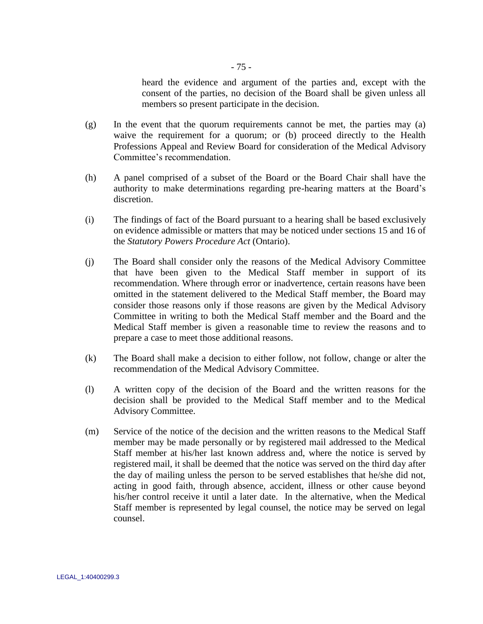heard the evidence and argument of the parties and, except with the consent of the parties, no decision of the Board shall be given unless all members so present participate in the decision.

- (g) In the event that the quorum requirements cannot be met, the parties may (a) waive the requirement for a quorum; or (b) proceed directly to the Health Professions Appeal and Review Board for consideration of the Medical Advisory Committee"s recommendation.
- <span id="page-79-0"></span>(h) A panel comprised of a subset of the Board or the Board Chair shall have the authority to make determinations regarding pre-hearing matters at the Board"s discretion.
- (i) The findings of fact of the Board pursuant to a hearing shall be based exclusively on evidence admissible or matters that may be noticed under sections 15 and 16 of the *Statutory Powers Procedure Act* (Ontario).
- (j) The Board shall consider only the reasons of the Medical Advisory Committee that have been given to the Medical Staff member in support of its recommendation. Where through error or inadvertence, certain reasons have been omitted in the statement delivered to the Medical Staff member, the Board may consider those reasons only if those reasons are given by the Medical Advisory Committee in writing to both the Medical Staff member and the Board and the Medical Staff member is given a reasonable time to review the reasons and to prepare a case to meet those additional reasons.
- (k) The Board shall make a decision to either follow, not follow, change or alter the recommendation of the Medical Advisory Committee.
- (l) A written copy of the decision of the Board and the written reasons for the decision shall be provided to the Medical Staff member and to the Medical Advisory Committee.
- <span id="page-79-1"></span>(m) Service of the notice of the decision and the written reasons to the Medical Staff member may be made personally or by registered mail addressed to the Medical Staff member at his/her last known address and, where the notice is served by registered mail, it shall be deemed that the notice was served on the third day after the day of mailing unless the person to be served establishes that he/she did not, acting in good faith, through absence, accident, illness or other cause beyond his/her control receive it until a later date. In the alternative, when the Medical Staff member is represented by legal counsel, the notice may be served on legal counsel.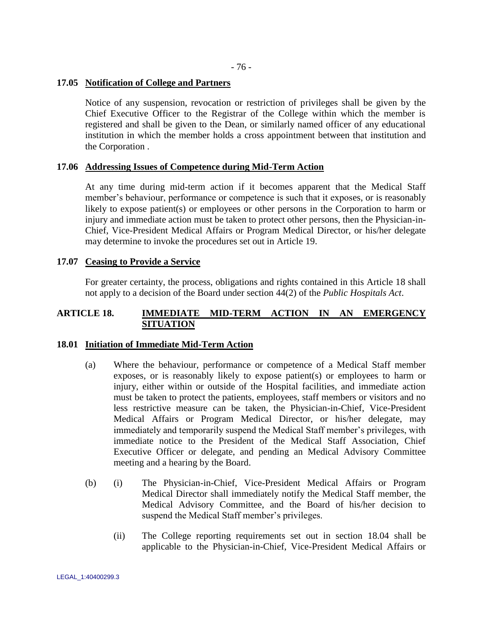# <span id="page-80-0"></span>**17.05 Notification of College and Partners**

Notice of any suspension, revocation or restriction of privileges shall be given by the Chief Executive Officer to the Registrar of the College within which the member is registered and shall be given to the Dean, or similarly named officer of any educational institution in which the member holds a cross appointment between that institution and the Corporation .

# **17.06 Addressing Issues of Competence during Mid-Term Action**

At any time during mid-term action if it becomes apparent that the Medical Staff member's behaviour, performance or competence is such that it exposes, or is reasonably likely to expose patient(s) or employees or other persons in the Corporation to harm or injury and immediate action must be taken to protect other persons, then the Physician-in-Chief, Vice-President Medical Affairs or Program Medical Director, or his/her delegate may determine to invoke the procedures set out in Article 19.

# **17.07 Ceasing to Provide a Service**

For greater certainty, the process, obligations and rights contained in this Article 18 shall not apply to a decision of the Board under section 44(2) of the *Public Hospitals Act*.

# **ARTICLE 18. IMMEDIATE MID-TERM ACTION IN AN EMERGENCY SITUATION**

# **18.01 Initiation of Immediate Mid-Term Action**

- (a) Where the behaviour, performance or competence of a Medical Staff member exposes, or is reasonably likely to expose patient(s) or employees to harm or injury, either within or outside of the Hospital facilities, and immediate action must be taken to protect the patients, employees, staff members or visitors and no less restrictive measure can be taken, the Physician-in-Chief, Vice-President Medical Affairs or Program Medical Director, or his/her delegate, may immediately and temporarily suspend the Medical Staff member's privileges, with immediate notice to the President of the Medical Staff Association, Chief Executive Officer or delegate, and pending an Medical Advisory Committee meeting and a hearing by the Board.
- (b) (i) The Physician-in-Chief, Vice-President Medical Affairs or Program Medical Director shall immediately notify the Medical Staff member, the Medical Advisory Committee, and the Board of his/her decision to suspend the Medical Staff member's privileges.
	- (ii) The College reporting requirements set out in section [18.04](#page-85-0) shall be applicable to the Physician-in-Chief, Vice-President Medical Affairs or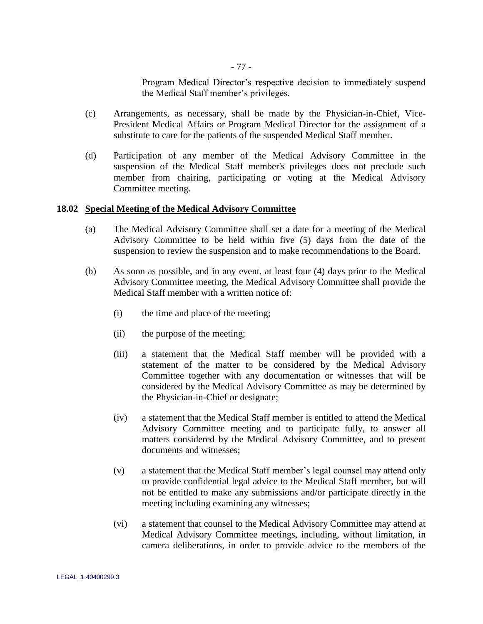Program Medical Director"s respective decision to immediately suspend the Medical Staff member"s privileges.

- (c) Arrangements, as necessary, shall be made by the Physician-in-Chief, Vice-President Medical Affairs or Program Medical Director for the assignment of a substitute to care for the patients of the suspended Medical Staff member.
- (d) Participation of any member of the Medical Advisory Committee in the suspension of the Medical Staff member's privileges does not preclude such member from chairing, participating or voting at the Medical Advisory Committee meeting.

### **18.02 Special Meeting of the Medical Advisory Committee**

- (a) The Medical Advisory Committee shall set a date for a meeting of the Medical Advisory Committee to be held within five (5) days from the date of the suspension to review the suspension and to make recommendations to the Board.
- (b) As soon as possible, and in any event, at least four (4) days prior to the Medical Advisory Committee meeting, the Medical Advisory Committee shall provide the Medical Staff member with a written notice of:
	- (i) the time and place of the meeting;
	- (ii) the purpose of the meeting;
	- (iii) a statement that the Medical Staff member will be provided with a statement of the matter to be considered by the Medical Advisory Committee together with any documentation or witnesses that will be considered by the Medical Advisory Committee as may be determined by the Physician-in-Chief or designate;
	- (iv) a statement that the Medical Staff member is entitled to attend the Medical Advisory Committee meeting and to participate fully, to answer all matters considered by the Medical Advisory Committee, and to present documents and witnesses;
	- (v) a statement that the Medical Staff member"s legal counsel may attend only to provide confidential legal advice to the Medical Staff member, but will not be entitled to make any submissions and/or participate directly in the meeting including examining any witnesses;
	- (vi) a statement that counsel to the Medical Advisory Committee may attend at Medical Advisory Committee meetings, including, without limitation, in camera deliberations, in order to provide advice to the members of the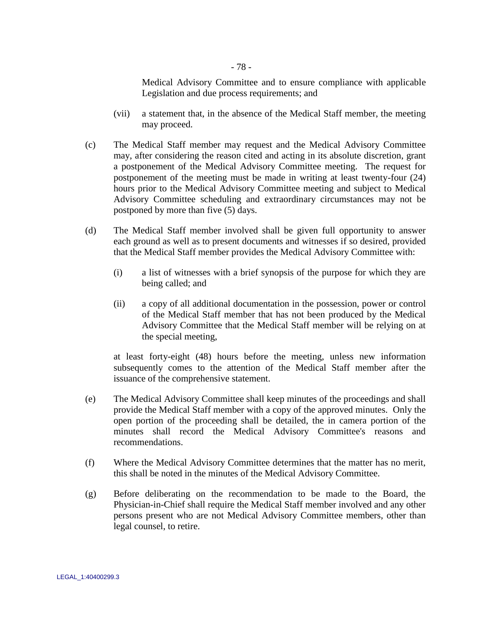Medical Advisory Committee and to ensure compliance with applicable Legislation and due process requirements; and

- (vii) a statement that, in the absence of the Medical Staff member, the meeting may proceed.
- (c) The Medical Staff member may request and the Medical Advisory Committee may, after considering the reason cited and acting in its absolute discretion, grant a postponement of the Medical Advisory Committee meeting. The request for postponement of the meeting must be made in writing at least twenty-four (24) hours prior to the Medical Advisory Committee meeting and subject to Medical Advisory Committee scheduling and extraordinary circumstances may not be postponed by more than five (5) days.
- (d) The Medical Staff member involved shall be given full opportunity to answer each ground as well as to present documents and witnesses if so desired, provided that the Medical Staff member provides the Medical Advisory Committee with:
	- (i) a list of witnesses with a brief synopsis of the purpose for which they are being called; and
	- (ii) a copy of all additional documentation in the possession, power or control of the Medical Staff member that has not been produced by the Medical Advisory Committee that the Medical Staff member will be relying on at the special meeting,

at least forty-eight (48) hours before the meeting, unless new information subsequently comes to the attention of the Medical Staff member after the issuance of the comprehensive statement.

- (e) The Medical Advisory Committee shall keep minutes of the proceedings and shall provide the Medical Staff member with a copy of the approved minutes. Only the open portion of the proceeding shall be detailed, the in camera portion of the minutes shall record the Medical Advisory Committee's reasons and recommendations.
- (f) Where the Medical Advisory Committee determines that the matter has no merit, this shall be noted in the minutes of the Medical Advisory Committee.
- (g) Before deliberating on the recommendation to be made to the Board, the Physician-in-Chief shall require the Medical Staff member involved and any other persons present who are not Medical Advisory Committee members, other than legal counsel, to retire.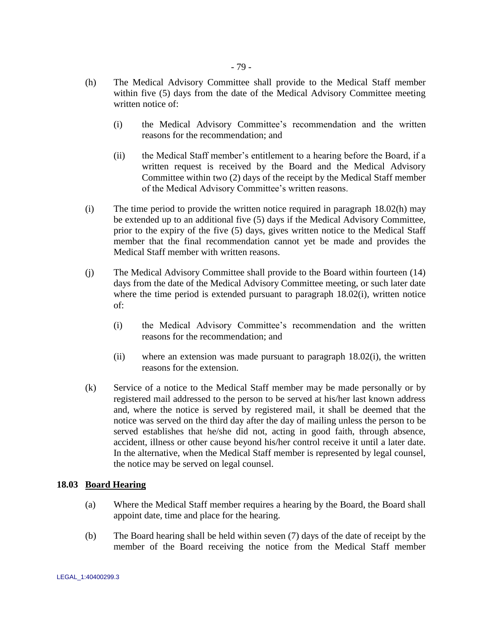- <span id="page-83-0"></span>(h) The Medical Advisory Committee shall provide to the Medical Staff member within five (5) days from the date of the Medical Advisory Committee meeting written notice of:
	- (i) the Medical Advisory Committee"s recommendation and the written reasons for the recommendation; and
	- (ii) the Medical Staff member"s entitlement to a hearing before the Board, if a written request is received by the Board and the Medical Advisory Committee within two (2) days of the receipt by the Medical Staff member of the Medical Advisory Committee"s written reasons.
- <span id="page-83-1"></span>(i) The time period to provide the written notice required in paragraph [18.02\(h\)](#page-83-0) may be extended up to an additional five (5) days if the Medical Advisory Committee, prior to the expiry of the five (5) days, gives written notice to the Medical Staff member that the final recommendation cannot yet be made and provides the Medical Staff member with written reasons.
- (j) The Medical Advisory Committee shall provide to the Board within fourteen (14) days from the date of the Medical Advisory Committee meeting, or such later date where the time period is extended pursuant to paragraph [18.02\(i\),](#page-83-1) written notice of:
	- (i) the Medical Advisory Committee"s recommendation and the written reasons for the recommendation; and
	- (ii) where an extension was made pursuant to paragraph [18.02\(i\),](#page-83-1) the written reasons for the extension.
- (k) Service of a notice to the Medical Staff member may be made personally or by registered mail addressed to the person to be served at his/her last known address and, where the notice is served by registered mail, it shall be deemed that the notice was served on the third day after the day of mailing unless the person to be served establishes that he/she did not, acting in good faith, through absence, accident, illness or other cause beyond his/her control receive it until a later date. In the alternative, when the Medical Staff member is represented by legal counsel, the notice may be served on legal counsel.

# **18.03 Board Hearing**

- (a) Where the Medical Staff member requires a hearing by the Board, the Board shall appoint date, time and place for the hearing.
- (b) The Board hearing shall be held within seven (7) days of the date of receipt by the member of the Board receiving the notice from the Medical Staff member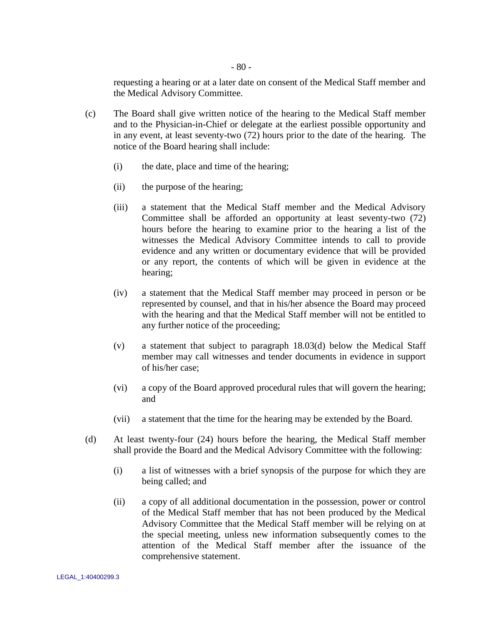requesting a hearing or at a later date on consent of the Medical Staff member and the Medical Advisory Committee.

- (c) The Board shall give written notice of the hearing to the Medical Staff member and to the Physician-in-Chief or delegate at the earliest possible opportunity and in any event, at least seventy-two (72) hours prior to the date of the hearing. The notice of the Board hearing shall include:
	- (i) the date, place and time of the hearing;
	- (ii) the purpose of the hearing;
	- (iii) a statement that the Medical Staff member and the Medical Advisory Committee shall be afforded an opportunity at least seventy-two (72) hours before the hearing to examine prior to the hearing a list of the witnesses the Medical Advisory Committee intends to call to provide evidence and any written or documentary evidence that will be provided or any report, the contents of which will be given in evidence at the hearing;
	- (iv) a statement that the Medical Staff member may proceed in person or be represented by counsel, and that in his/her absence the Board may proceed with the hearing and that the Medical Staff member will not be entitled to any further notice of the proceeding;
	- (v) a statement that subject to paragraph [18.03\(d\)](#page-84-0) below the Medical Staff member may call witnesses and tender documents in evidence in support of his/her case;
	- (vi) a copy of the Board approved procedural rules that will govern the hearing; and
	- (vii) a statement that the time for the hearing may be extended by the Board.
- <span id="page-84-0"></span>(d) At least twenty-four (24) hours before the hearing, the Medical Staff member shall provide the Board and the Medical Advisory Committee with the following:
	- (i) a list of witnesses with a brief synopsis of the purpose for which they are being called; and
	- (ii) a copy of all additional documentation in the possession, power or control of the Medical Staff member that has not been produced by the Medical Advisory Committee that the Medical Staff member will be relying on at the special meeting, unless new information subsequently comes to the attention of the Medical Staff member after the issuance of the comprehensive statement.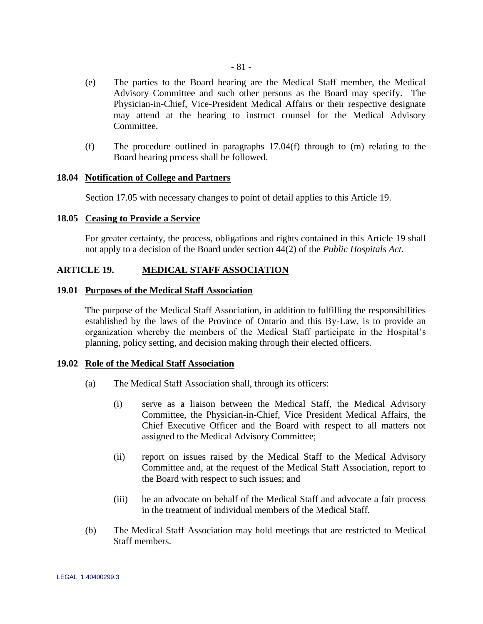- (e) The parties to the Board hearing are the Medical Staff member, the Medical Advisory Committee and such other persons as the Board may specify. The Physician-in-Chief, Vice-President Medical Affairs or their respective designate may attend at the hearing to instruct counsel for the Medical Advisory Committee.
- (f) The procedure outlined in paragraphs [17.04\(f\)](#page-78-1) through to [\(m\)](#page-79-1) relating to the Board hearing process shall be followed.

### <span id="page-85-0"></span>**18.04 Notification of College and Partners**

Section [17.05](#page-80-0) with necessary changes to point of detail applies to this Article 19.

## **18.05 Ceasing to Provide a Service**

For greater certainty, the process, obligations and rights contained in this Article 19 shall not apply to a decision of the Board under section 44(2) of the *Public Hospitals Act*.

### **ARTICLE 19. MEDICAL STAFF ASSOCIATION**

## **19.01 Purposes of the Medical Staff Association**

The purpose of the Medical Staff Association, in addition to fulfilling the responsibilities established by the laws of the Province of Ontario and this By-Law, is to provide an organization whereby the members of the Medical Staff participate in the Hospital"s planning, policy setting, and decision making through their elected officers.

#### **19.02 Role of the Medical Staff Association**

- (a) The Medical Staff Association shall, through its officers:
	- (i) serve as a liaison between the Medical Staff, the Medical Advisory Committee, the Physician-in-Chief, Vice President Medical Affairs, the Chief Executive Officer and the Board with respect to all matters not assigned to the Medical Advisory Committee;
	- (ii) report on issues raised by the Medical Staff to the Medical Advisory Committee and, at the request of the Medical Staff Association, report to the Board with respect to such issues; and
	- (iii) be an advocate on behalf of the Medical Staff and advocate a fair process in the treatment of individual members of the Medical Staff.
- (b) The Medical Staff Association may hold meetings that are restricted to Medical Staff members.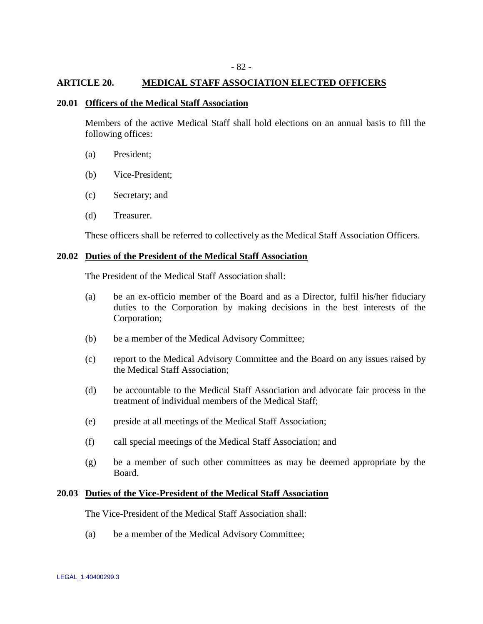## **ARTICLE 20. MEDICAL STAFF ASSOCIATION ELECTED OFFICERS**

# **20.01 Officers of the Medical Staff Association**

Members of the active Medical Staff shall hold elections on an annual basis to fill the following offices:

- (a) President;
- (b) Vice-President;
- (c) Secretary; and
- (d) Treasurer.

These officers shall be referred to collectively as the Medical Staff Association Officers.

#### **20.02 Duties of the President of the Medical Staff Association**

The President of the Medical Staff Association shall:

- (a) be an ex-officio member of the Board and as a Director, fulfil his/her fiduciary duties to the Corporation by making decisions in the best interests of the Corporation;
- (b) be a member of the Medical Advisory Committee;
- (c) report to the Medical Advisory Committee and the Board on any issues raised by the Medical Staff Association;
- (d) be accountable to the Medical Staff Association and advocate fair process in the treatment of individual members of the Medical Staff;
- (e) preside at all meetings of the Medical Staff Association;
- (f) call special meetings of the Medical Staff Association; and
- (g) be a member of such other committees as may be deemed appropriate by the Board.

### **20.03 Duties of the Vice-President of the Medical Staff Association**

The Vice-President of the Medical Staff Association shall:

(a) be a member of the Medical Advisory Committee;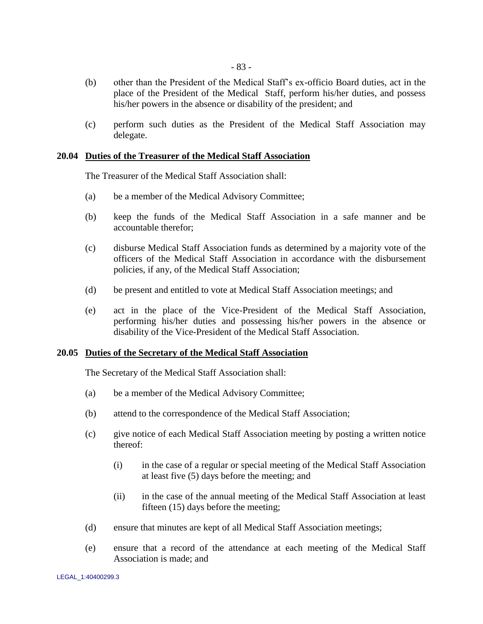- (b) other than the President of the Medical Staff"s ex-officio Board duties, act in the place of the President of the Medical Staff, perform his/her duties, and possess his/her powers in the absence or disability of the president; and
- (c) perform such duties as the President of the Medical Staff Association may delegate.

#### **20.04 Duties of the Treasurer of the Medical Staff Association**

The Treasurer of the Medical Staff Association shall:

- (a) be a member of the Medical Advisory Committee;
- (b) keep the funds of the Medical Staff Association in a safe manner and be accountable therefor;
- (c) disburse Medical Staff Association funds as determined by a majority vote of the officers of the Medical Staff Association in accordance with the disbursement policies, if any, of the Medical Staff Association;
- (d) be present and entitled to vote at Medical Staff Association meetings; and
- (e) act in the place of the Vice-President of the Medical Staff Association, performing his/her duties and possessing his/her powers in the absence or disability of the Vice-President of the Medical Staff Association.

#### **20.05 Duties of the Secretary of the Medical Staff Association**

The Secretary of the Medical Staff Association shall:

- (a) be a member of the Medical Advisory Committee;
- (b) attend to the correspondence of the Medical Staff Association;
- (c) give notice of each Medical Staff Association meeting by posting a written notice thereof:
	- (i) in the case of a regular or special meeting of the Medical Staff Association at least five (5) days before the meeting; and
	- (ii) in the case of the annual meeting of the Medical Staff Association at least fifteen (15) days before the meeting;
- (d) ensure that minutes are kept of all Medical Staff Association meetings;
- (e) ensure that a record of the attendance at each meeting of the Medical Staff Association is made; and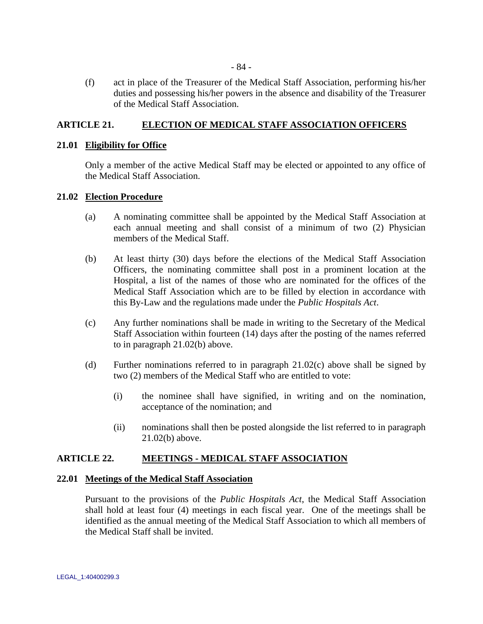(f) act in place of the Treasurer of the Medical Staff Association, performing his/her duties and possessing his/her powers in the absence and disability of the Treasurer of the Medical Staff Association.

# **ARTICLE 21. ELECTION OF MEDICAL STAFF ASSOCIATION OFFICERS**

## **21.01 Eligibility for Office**

Only a member of the active Medical Staff may be elected or appointed to any office of the Medical Staff Association.

## **21.02 Election Procedure**

- (a) A nominating committee shall be appointed by the Medical Staff Association at each annual meeting and shall consist of a minimum of two (2) Physician members of the Medical Staff.
- <span id="page-88-0"></span>(b) At least thirty (30) days before the elections of the Medical Staff Association Officers, the nominating committee shall post in a prominent location at the Hospital, a list of the names of those who are nominated for the offices of the Medical Staff Association which are to be filled by election in accordance with this By-Law and the regulations made under the *Public Hospitals Act*.
- <span id="page-88-1"></span>(c) Any further nominations shall be made in writing to the Secretary of the Medical Staff Association within fourteen (14) days after the posting of the names referred to in paragraph [21.02\(b\)](#page-88-0) above.
- (d) Further nominations referred to in paragraph [21.02\(c\)](#page-88-1) above shall be signed by two (2) members of the Medical Staff who are entitled to vote:
	- (i) the nominee shall have signified, in writing and on the nomination, acceptance of the nomination; and
	- (ii) nominations shall then be posted alongside the list referred to in paragraph [21.02\(b\)](#page-88-0) above.

## **ARTICLE 22. MEETINGS - MEDICAL STAFF ASSOCIATION**

#### **22.01 Meetings of the Medical Staff Association**

Pursuant to the provisions of the *Public Hospitals Act*, the Medical Staff Association shall hold at least four (4) meetings in each fiscal year. One of the meetings shall be identified as the annual meeting of the Medical Staff Association to which all members of the Medical Staff shall be invited.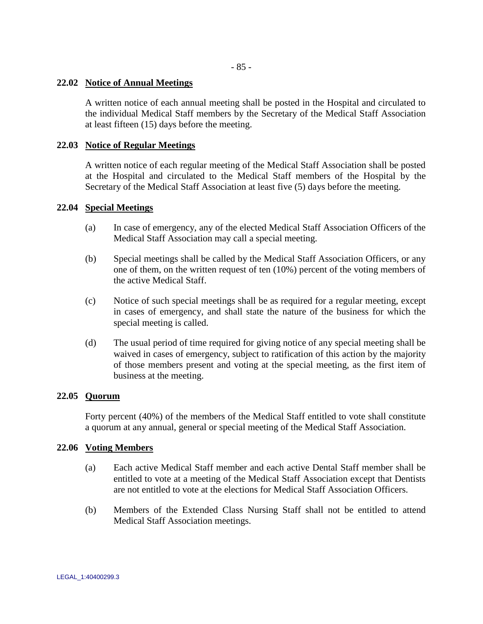- 85 -

# **22.02 Notice of Annual Meetings**

A written notice of each annual meeting shall be posted in the Hospital and circulated to the individual Medical Staff members by the Secretary of the Medical Staff Association at least fifteen (15) days before the meeting.

# **22.03 Notice of Regular Meetings**

A written notice of each regular meeting of the Medical Staff Association shall be posted at the Hospital and circulated to the Medical Staff members of the Hospital by the Secretary of the Medical Staff Association at least five (5) days before the meeting.

# **22.04 Special Meetings**

- (a) In case of emergency, any of the elected Medical Staff Association Officers of the Medical Staff Association may call a special meeting.
- (b) Special meetings shall be called by the Medical Staff Association Officers, or any one of them, on the written request of ten (10%) percent of the voting members of the active Medical Staff.
- (c) Notice of such special meetings shall be as required for a regular meeting, except in cases of emergency, and shall state the nature of the business for which the special meeting is called.
- (d) The usual period of time required for giving notice of any special meeting shall be waived in cases of emergency, subject to ratification of this action by the majority of those members present and voting at the special meeting, as the first item of business at the meeting.

# **22.05 Quorum**

Forty percent (40%) of the members of the Medical Staff entitled to vote shall constitute a quorum at any annual, general or special meeting of the Medical Staff Association.

## **22.06 Voting Members**

- (a) Each active Medical Staff member and each active Dental Staff member shall be entitled to vote at a meeting of the Medical Staff Association except that Dentists are not entitled to vote at the elections for Medical Staff Association Officers.
- (b) Members of the Extended Class Nursing Staff shall not be entitled to attend Medical Staff Association meetings.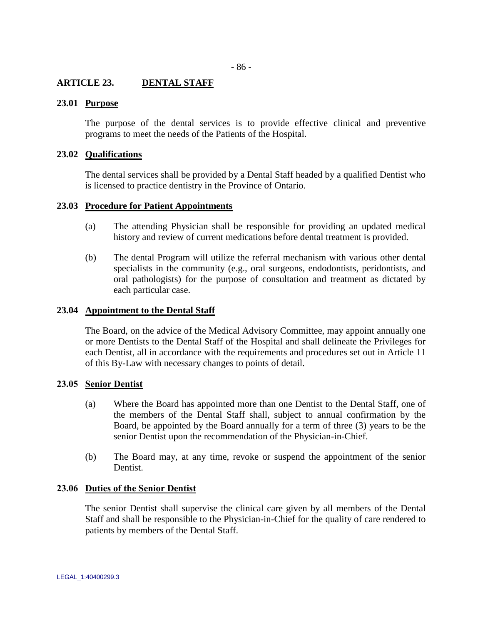## **ARTICLE 23. DENTAL STAFF**

## **23.01 Purpose**

The purpose of the dental services is to provide effective clinical and preventive programs to meet the needs of the Patients of the Hospital.

### **23.02 Qualifications**

The dental services shall be provided by a Dental Staff headed by a qualified Dentist who is licensed to practice dentistry in the Province of Ontario.

## **23.03 Procedure for Patient Appointments**

- (a) The attending Physician shall be responsible for providing an updated medical history and review of current medications before dental treatment is provided.
- (b) The dental Program will utilize the referral mechanism with various other dental specialists in the community (e.g., oral surgeons, endodontists, peridontists, and oral pathologists) for the purpose of consultation and treatment as dictated by each particular case.

#### **23.04 Appointment to the Dental Staff**

The Board, on the advice of the Medical Advisory Committee, may appoint annually one or more Dentists to the Dental Staff of the Hospital and shall delineate the Privileges for each Dentist, all in accordance with the requirements and procedures set out in Article 11 of this By-Law with necessary changes to points of detail.

### **23.05 Senior Dentist**

- (a) Where the Board has appointed more than one Dentist to the Dental Staff, one of the members of the Dental Staff shall, subject to annual confirmation by the Board, be appointed by the Board annually for a term of three (3) years to be the senior Dentist upon the recommendation of the Physician-in-Chief.
- (b) The Board may, at any time, revoke or suspend the appointment of the senior Dentist.

#### **23.06 Duties of the Senior Dentist**

The senior Dentist shall supervise the clinical care given by all members of the Dental Staff and shall be responsible to the Physician-in-Chief for the quality of care rendered to patients by members of the Dental Staff.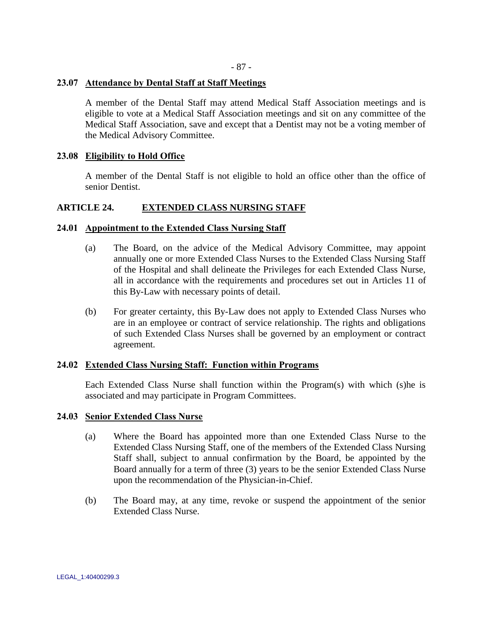# **23.07 Attendance by Dental Staff at Staff Meetings**

A member of the Dental Staff may attend Medical Staff Association meetings and is eligible to vote at a Medical Staff Association meetings and sit on any committee of the Medical Staff Association, save and except that a Dentist may not be a voting member of the Medical Advisory Committee.

## **23.08 Eligibility to Hold Office**

A member of the Dental Staff is not eligible to hold an office other than the office of senior Dentist.

# **ARTICLE 24. EXTENDED CLASS NURSING STAFF**

## **24.01 Appointment to the Extended Class Nursing Staff**

- (a) The Board, on the advice of the Medical Advisory Committee, may appoint annually one or more Extended Class Nurses to the Extended Class Nursing Staff of the Hospital and shall delineate the Privileges for each Extended Class Nurse, all in accordance with the requirements and procedures set out in Articles 11 of this By-Law with necessary points of detail.
- (b) For greater certainty, this By-Law does not apply to Extended Class Nurses who are in an employee or contract of service relationship. The rights and obligations of such Extended Class Nurses shall be governed by an employment or contract agreement.

# **24.02 Extended Class Nursing Staff: Function within Programs**

Each Extended Class Nurse shall function within the Program(s) with which (s)he is associated and may participate in Program Committees.

#### **24.03 Senior Extended Class Nurse**

- (a) Where the Board has appointed more than one Extended Class Nurse to the Extended Class Nursing Staff, one of the members of the Extended Class Nursing Staff shall, subject to annual confirmation by the Board, be appointed by the Board annually for a term of three (3) years to be the senior Extended Class Nurse upon the recommendation of the Physician-in-Chief.
- (b) The Board may, at any time, revoke or suspend the appointment of the senior Extended Class Nurse.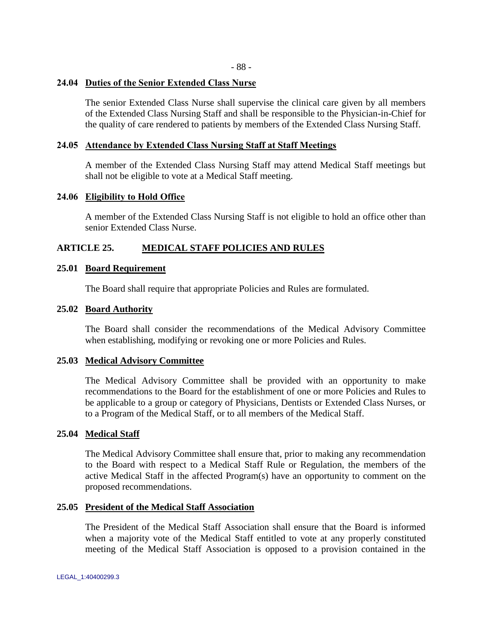## **24.04 Duties of the Senior Extended Class Nurse**

The senior Extended Class Nurse shall supervise the clinical care given by all members of the Extended Class Nursing Staff and shall be responsible to the Physician-in-Chief for the quality of care rendered to patients by members of the Extended Class Nursing Staff.

## **24.05 Attendance by Extended Class Nursing Staff at Staff Meetings**

A member of the Extended Class Nursing Staff may attend Medical Staff meetings but shall not be eligible to vote at a Medical Staff meeting.

## **24.06 Eligibility to Hold Office**

A member of the Extended Class Nursing Staff is not eligible to hold an office other than senior Extended Class Nurse.

## **ARTICLE 25. MEDICAL STAFF POLICIES AND RULES**

## **25.01 Board Requirement**

The Board shall require that appropriate Policies and Rules are formulated.

## **25.02 Board Authority**

The Board shall consider the recommendations of the Medical Advisory Committee when establishing, modifying or revoking one or more Policies and Rules.

#### **25.03 Medical Advisory Committee**

The Medical Advisory Committee shall be provided with an opportunity to make recommendations to the Board for the establishment of one or more Policies and Rules to be applicable to a group or category of Physicians, Dentists or Extended Class Nurses, or to a Program of the Medical Staff, or to all members of the Medical Staff.

#### **25.04 Medical Staff**

The Medical Advisory Committee shall ensure that, prior to making any recommendation to the Board with respect to a Medical Staff Rule or Regulation, the members of the active Medical Staff in the affected Program(s) have an opportunity to comment on the proposed recommendations.

#### **25.05 President of the Medical Staff Association**

The President of the Medical Staff Association shall ensure that the Board is informed when a majority vote of the Medical Staff entitled to vote at any properly constituted meeting of the Medical Staff Association is opposed to a provision contained in the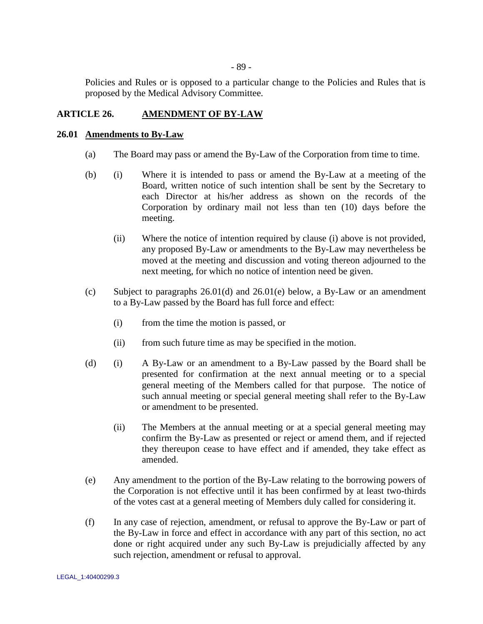- 89 -

Policies and Rules or is opposed to a particular change to the Policies and Rules that is proposed by the Medical Advisory Committee.

# **ARTICLE 26. AMENDMENT OF BY-LAW**

## **26.01 Amendments to By-Law**

- (a) The Board may pass or amend the By-Law of the Corporation from time to time.
- (b) (i) Where it is intended to pass or amend the By-Law at a meeting of the Board, written notice of such intention shall be sent by the Secretary to each Director at his/her address as shown on the records of the Corporation by ordinary mail not less than ten (10) days before the meeting.
	- (ii) Where the notice of intention required by clause (i) above is not provided, any proposed By-Law or amendments to the By-Law may nevertheless be moved at the meeting and discussion and voting thereon adjourned to the next meeting, for which no notice of intention need be given.
- (c) Subject to paragraphs  $26.01(d)$  and  $26.01(e)$  below, a By-Law or an amendment to a By-Law passed by the Board has full force and effect:
	- (i) from the time the motion is passed, or
	- (ii) from such future time as may be specified in the motion.
- <span id="page-93-0"></span>(d) (i) A By-Law or an amendment to a By-Law passed by the Board shall be presented for confirmation at the next annual meeting or to a special general meeting of the Members called for that purpose. The notice of such annual meeting or special general meeting shall refer to the By-Law or amendment to be presented.
	- (ii) The Members at the annual meeting or at a special general meeting may confirm the By-Law as presented or reject or amend them, and if rejected they thereupon cease to have effect and if amended, they take effect as amended.
- <span id="page-93-1"></span>(e) Any amendment to the portion of the By-Law relating to the borrowing powers of the Corporation is not effective until it has been confirmed by at least two-thirds of the votes cast at a general meeting of Members duly called for considering it.
- (f) In any case of rejection, amendment, or refusal to approve the By-Law or part of the By-Law in force and effect in accordance with any part of this section, no act done or right acquired under any such By-Law is prejudicially affected by any such rejection, amendment or refusal to approval.